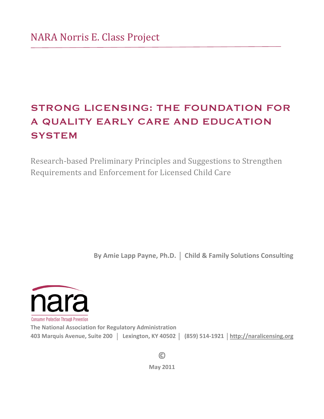# STRONG LICENSING: THE FOUNDATION FOR A QUALITY EARLY CARE AND EDUCATION **SYSTEM**

Research-based Preliminary Principles and Suggestions to Strengthen Requirements and Enforcement for Licensed Child Care

**By Amie Lapp Payne, Ph.D. | Child & Family Solutions Consulting** 



**The National Association for Regulatory Administration 403!Marquis!Avenue,!Suite!200!!**!**!!Lexington,!KY!40502!**!**!!(859)!514R1921!**!**http://naralicensing.org**

> **©!! May!2011**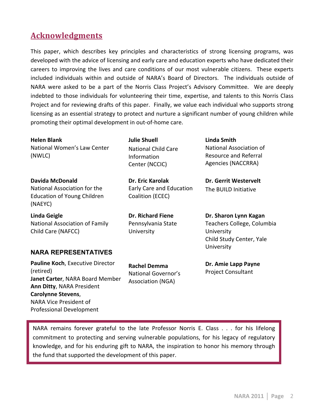# **Acknowledgments**

This paper, which describes key principles and characteristics of strong licensing programs, was developed with the advice of licensing and early care and education experts who have dedicated their careers to improving the lives and care conditions of our most vulnerable citizens. These experts included individuals within and outside of NARA's Board of Directors. The individuals outside of NARA were asked to be a part of the Norris Class Project's Advisory Committee. We are deeply indebted to those individuals for volunteering their time, expertise, and talents to this Norris Class Project and for reviewing drafts of this paper. Finally, we value each individual who supports strong licensing as an essential strategy to protect and nurture a significant number of young children while promoting their optimal development in out-of-home care.

**Helen!Blank** National Women's Law Center (NWLC)

**Davida!McDonald** National Association for the Education of Young Children (NAEYC)

**Linda!Geigle** National Association of Family Child Care (NAFCC)

# **Julie!Shuell** National Child Care Information Center (NCCIC)

**Dr.!Eric!Karolak** Early Care and Education Coalition (ECEC)

**Dr. Richard Fiene** Pennsylvania State **University** 

**Linda!Smith** National Association of Resource and Referral Agencies (NACCRRA)

**Dr. Gerrit Westervelt** The BUILD Initiative

**Dr. Sharon Lynn Kagan** Teachers College, Columbia University Child Study Center, Yale **University** 

# **NARA REPRESENTATIVES**

**Pauline Koch, Executive Director** (retired) **Janet Carter, NARA Board Member Ann Ditty, NARA President Carolynne Stevens,** NARA Vice President of Professional Development

**Rachel!Demma** National Governor's Association (NGA)

**Dr. Amie Lapp Payne** Project Consultant

NARA remains forever grateful to the late Professor Norris E. Class . . . for his lifelong commitment to protecting and serving vulnerable populations, for his legacy of regulatory knowledge, and for his enduring gift to NARA, the inspiration to honor his memory through the fund that supported the development of this paper.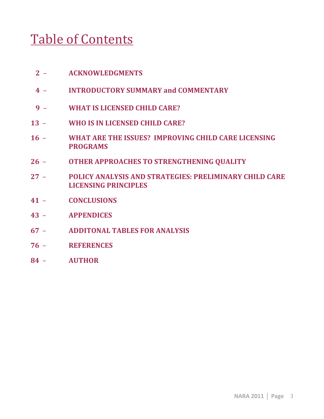# Table of Contents

- **!!!2!! ACKNOWLEDGMENTS**
- **!!!4!! !! INTRODUCTORY!SUMMARY!and!COMMENTARY**
- **!!!9!! WHAT!IS!LICENSED!CHILD!CARE?**
- 13 **WHO IS IN LICENSED CHILD CARE?**
- 16 **WHAT ARE THE ISSUES? IMPROVING CHILD CARE LICENSING PROGRAMS! !!!!!!!!!!!!**
- **26 OTHER APPROACHES TO STRENGTHENING QUALITY**
- 27 **POLICY ANALYSIS AND STRATEGIES: PRELIMINARY CHILD CARE LICENSING!PRINCIPLES**
- **41!! CONCLUSIONS !!!!!!!!!!!!!!!!!!!!!!!!!!!!!!!**
- **43!! APPENDICES**
- **67!! ADDITONAL!TABLES!FOR!ANALYSIS**
- **76!! REFERENCES**
- 84 AUTHOR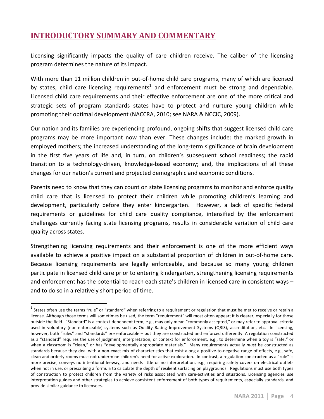# **INTRODUCTORY SUMMARY AND COMMENTARY**

Licensing significantly impacts the quality of care children receive. The caliber of the licensing program determines the nature of its impact.

With more than 11 million children in out-of-home child care programs, many of which are licensed by states, child care licensing requirements<sup>1</sup> and enforcement must be strong and dependable. Licensed child care requirements and their effective enforcement are one of the more critical and strategic sets of program standards states have to protect and nurture young children while promoting their optimal development (NACCRA, 2010; see NARA & NCCIC, 2009).

Our nation and its families are experiencing profound, ongoing shifts that suggest licensed child care programs may be more important now than ever. These changes include: the marked growth in employed mothers; the increased understanding of the long-term significance of brain development in the first five years of life and, in turn, on children's subsequent school readiness; the rapid transition to a technology-driven, knowledge-based economy; and, the implications of all these changes for our nation's current and projected demographic and economic conditions.

Parents need to know that they can count on state licensing programs to monitor and enforce quality child care that is licensed to protect their children while promoting children's learning and development, particularly before they enter kindergarten. However, a lack of specific federal requirements or guidelines for child care quality compliance, intensified by the enforcement challenges currently facing state licensing programs, results in considerable variation of child care quality across states.

Strengthening licensing requirements and their enforcement is one of the more efficient ways available to achieve a positive impact on a substantial proportion of children in out-of-home care. Because licensing requirements are legally enforceable, and because so many young children participate in licensed child care prior to entering kindergarten, strengthening licensing requirements and enforcement has the potential to reach each state's children in licensed care in consistent ways – and to do so in a relatively short period of time.

 $<sup>1</sup>$  States often use the terms "rule" or "standard" when referring to a requirement or regulation that must be met to receive or retain a</sup> license. Although those terms will sometimes be used, the term "requirement" will most often appear; it is clearer, especially for those outside the field. "Standard" is a context-dependent term, e.g., may only mean "commonly accepted," or may refer to approval criteria used in voluntary (non-enforceable) systems such as Quality Rating Improvement Systems (QRIS), accreditation, etc. In licensing, however, both "rules" and "standards" are enforceable – but they are constructed and enforced differently. A regulation constructed as a "standard" requires the use of judgment, interpretation, or context for enforcement, e.g., to determine when a toy is "safe," or when a classroom is "clean," or has "developmentally appropriate materials." Many requirements actually *must* be constructed as standards because they deal with a non-exact mix of characteristics that exist along a positive-to-negative range of effects, e.g., safe, clean and orderly rooms must not undermine children's need for active exploration. In contrast, a regulation constructed as a "rule" is more precise, conveys no intentional leeway, and needs little or no interpretation, e.g., requiring safety covers on electrical outlets when not in use, or prescribing a formula to calculate the depth of resilient surfacing on playgrounds. Regulations must use both types of construction to protect children from the variety of risks associated with care-activities and situations. Licensing agencies use interpretation guides and other strategies to achieve consistent enforcement of both types of requirements, especially standards, and provide similar guidance to licensees.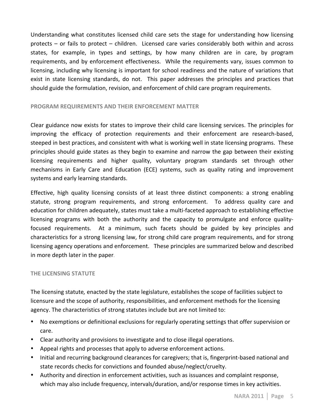Understanding what constitutes licensed child care sets the stage for understanding how licensing protects – or fails to protect – children. Licensed care varies considerably both within and across states, for example, in types and settings, by how many children are in care, by program requirements, and by enforcement effectiveness. While the requirements vary, issues common to licensing, including why licensing is important for school readiness and the nature of variations that exist in state licensing standards, do not. This paper addresses the principles and practices that should guide the formulation, revision, and enforcement of child care program requirements.

### **PROGRAM REQUIREMENTS AND THEIR ENFORCEMENT MATTER**

Clear guidance now exists for states to improve their child care licensing services. The principles for improving the efficacy of protection requirements and their enforcement are research-based, steeped in best practices, and consistent with what is working well in state licensing programs. These principles should guide states as they begin to examine and narrow the gap between their existing licensing requirements and higher quality, voluntary program standards set through other mechanisms in Early Care and Education (ECE) systems, such as quality rating and improvement systems and early learning standards.

Effective, high quality licensing consists of at least three distinct components: a strong enabling statute, strong program requirements, and strong enforcement. To address quality care and education for children adequately, states must take a multi-faceted approach to establishing effective licensing programs with both the authority and the capacity to promulgate and enforce qualityfocused requirements. At a minimum, such facets should be guided by key principles and characteristics for a strong licensing law, for strong child care program requirements, and for strong licensing agency operations and enforcement. These principles are summarized below and described in more depth later in the paper.

#### **THE LICENSING STATUTE**

The licensing statute, enacted by the state legislature, establishes the scope of facilities subject to licensure and the scope of authority, responsibilities, and enforcement methods for the licensing agency. The characteristics of strong statutes include but are not limited to:

- No exemptions or definitional exclusions for regularly operating settings that offer supervision or care.
- Clear authority and provisions to investigate and to close illegal operations.
- Appeal rights and processes that apply to adverse enforcement actions.
- Initial and recurring background clearances for caregivers; that is, fingerprint-based national and state records checks for convictions and founded abuse/neglect/cruelty.
- Authority and direction in enforcement activities, such as issuances and complaint response, which may also include frequency, intervals/duration, and/or response times in key activities.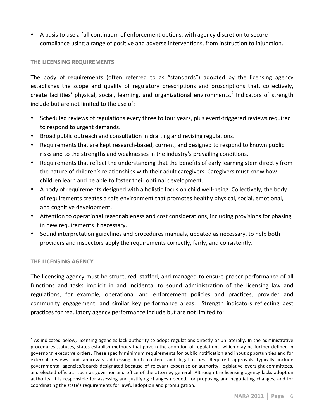• A basis to use a full continuum of enforcement options, with agency discretion to secure compliance using a range of positive and adverse interventions, from instruction to injunction.

# **THE LICENSING REQUIREMENTS**

The body of requirements (often referred to as "standards") adopted by the licensing agency establishes the scope and quality of regulatory prescriptions and proscriptions that, collectively, create facilities' physical, social, learning, and organizational environments.<sup>2</sup> Indicators of strength include but are not limited to the use of:

- Scheduled reviews of regulations every three to four years, plus event-triggered reviews required to respond to urgent demands.
- Broad public outreach and consultation in drafting and revising regulations.
- Requirements that are kept research-based, current, and designed to respond to known public risks and to the strengths and weaknesses in the industry's prevailing conditions.
- Requirements that reflect the understanding that the benefits of early learning stem directly from the nature of children's relationships with their adult caregivers. Caregivers must know how children learn and be able to foster their optimal development.
- A body of requirements designed with a holistic focus on child well-being. Collectively, the body of requirements creates a safe environment that promotes healthy physical, social, emotional, and cognitive development.
- Attention to operational reasonableness and cost considerations, including provisions for phasing in new requirements if necessary.
- Sound interpretation guidelines and procedures manuals, updated as necessary, to help both providers and inspectors apply the requirements correctly, fairly, and consistently.

# **THE LICENSING AGENCY**

The licensing agency must be structured, staffed, and managed to ensure proper performance of all functions and tasks implicit in and incidental to sound administration of the licensing law and regulations, for example, operational and enforcement policies and practices, provider and community engagement, and similar key performance areas. Strength indicators reflecting best practices for regulatory agency performance include but are not limited to:

The sum of the constant of the constant of the constant of the constant of the constant of the selective of the soministrative  $^2$  As indicated below, licensing agencies lack authority to adopt regulations directly or uni procedures statutes, states establish methods that govern the adoption of regulations, which may be further defined in governors' executive orders. These specify minimum requirements for public notification and input opportunities and for external reviews and approvals addressing both content and legal issues. Required approvals typically include governmental agencies/boards designated because of relevant expertise or authority, legislative oversight committees, and elected officials, such as governor and office of the attorney general. Although the licensing agency lacks adoption authority, it is responsible for assessing and justifying changes needed, for proposing and negotiating changes, and for coordinating the state's requirements for lawful adoption and promulgation.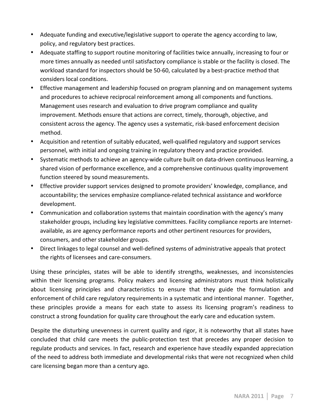- Adequate funding and executive/legislative support to operate the agency according to law, policy, and regulatory best practices.
- Adequate staffing to support routine monitoring of facilities twice annually, increasing to four or more times annually as needed until satisfactory compliance is stable or the facility is closed. The workload standard for inspectors should be 50-60, calculated by a best-practice method that considers local conditions.
- Effective management and leadership focused on program planning and on management systems and procedures to achieve reciprocal reinforcement among all components and functions. Management uses research and evaluation to drive program compliance and quality improvement. Methods ensure that actions are correct, timely, thorough, objective, and consistent across the agency. The agency uses a systematic, risk-based enforcement decision method.
- Acquisition and retention of suitably educated, well-qualified regulatory and support services personnel, with initial and ongoing training in regulatory theory and practice provided.
- Systematic methods to achieve an agency-wide culture built on data-driven continuous learning, a shared vision of performance excellence, and a comprehensive continuous quality improvement function steered by sound measurements.
- Effective provider support services designed to promote providers' knowledge, compliance, and accountability; the services emphasize compliance-related technical assistance and workforce development.
- Communication and collaboration systems that maintain coordination with the agency's many stakeholder groups, including key legislative committees. Facility compliance reports are Internetavailable, as are agency performance reports and other pertinent resources for providers, consumers, and other stakeholder groups.
- Direct linkages to legal counsel and well-defined systems of administrative appeals that protect the rights of licensees and care-consumers.

Using these principles, states will be able to identify strengths, weaknesses, and inconsistencies within their licensing programs. Policy makers and licensing administrators must think holistically about licensing principles and characteristics to ensure that they guide the formulation and enforcement of child care regulatory requirements in a systematic and intentional manner. Together, these principles provide a means for each state to assess its licensing program's readiness to construct a strong foundation for quality care throughout the early care and education system.

Despite the disturbing unevenness in current quality and rigor, it is noteworthy that all states have concluded that child care meets the public-protection test that precedes any proper decision to regulate products and services. In fact, research and experience have steadily expanded appreciation of the need to address both immediate and developmental risks that were not recognized when child care licensing began more than a century ago.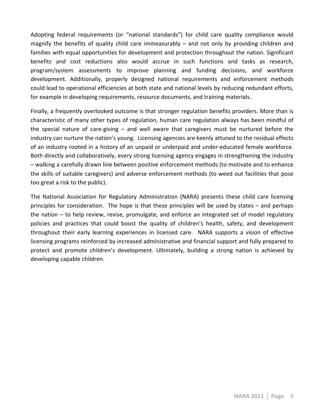Adopting federal requirements (or "national standards") for child care quality compliance would magnify the benefits of quality child care immeasurably – and not only by providing children and families with equal opportunities for development and protection throughout the nation. Significant benefits and cost reductions also would accrue in such functions and tasks as research, program/system assessments to improve planning and funding decisions, and workforce development. Additionally, properly designed national requirements and enforcement methods could lead to operational efficiencies at both state and national levels by reducing redundant efforts, for example in developing requirements, resource documents, and training materials.

Finally, a frequently overlooked outcome is that stronger regulation benefits providers. More than is characteristic of many other types of regulation, human care regulation always has been mindful of the special nature of care-giving  $-$  and well aware that caregivers must be nurtured before the industry can nurture the nation's young. Licensing agencies are keenly attuned to the residual effects of an industry rooted in a history of an unpaid or underpaid and under-educated female workforce. Both directly and collaboratively, every strong licensing agency engages in strengthening the industry – walking a carefully drawn line between positive enforcement methods (to motivate and to enhance the skills of suitable caregivers) and adverse enforcement methods (to weed out facilities that pose too great a risk to the public).

The National Association for Regulatory Administration (NARA) presents these child care licensing principles for consideration. The hope is that these principles will be used by states – and perhaps the nation – to help review, revise, promulgate, and enforce an integrated set of model regulatory policies and practices that could boost the quality of children's health, safety, and development throughout their early learning experiences in licensed care. NARA supports a vision of effective licensing programs reinforced by increased administrative and financial support and fully prepared to protect and promote children's development. Ultimately, building a strong nation is achieved by developing capable children.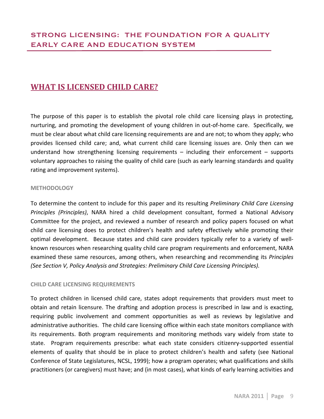# WHAT IS LICENSED CHILD CARE?

The purpose of this paper is to establish the pivotal role child care licensing plays in protecting, nurturing, and promoting the development of young children in out-of-home care. Specifically, we must be clear about what child care licensing requirements are and are not; to whom they apply; who provides licensed child care; and, what current child care licensing issues are. Only then can we understand how strengthening licensing requirements  $-$  including their enforcement  $-$  supports voluntary approaches to raising the quality of child care (such as early learning standards and quality") rating and improvement systems).

### **METHODOLOGY**

To determine the content to include for this paper and its resulting *Preliminary Child Care Licensing Principles (Principles)*, NARA hired a child development consultant, formed a National Advisory Committee for the project, and reviewed a number of research and policy papers focused on what child care licensing does to protect children's health and safety effectively while promoting their optimal development. " Because states and child care providers typically refer to a variety of wellknown resources when researching quality child care program requirements and enforcement, NARA examined these same resources, among others, when researching and recommending its *Principles (See Section V, Policy Analysis and Strategies: Preliminary Child Care Licensing Principles).* 

# **CHILD CARE LICENSING REQUIREMENTS**

To protect children in licensed child care, states adopt requirements that providers must meet to obtain and retain licensure. The drafting and adoption process is prescribed in law and is exacting, requiring public involvement and comment opportunities as well as reviews by legislative and administrative authorities. The child care licensing office within each state monitors compliance with its requirements. Both program requirements and monitoring methods vary widely from state to state. Program requirements prescribe: what each state considers citizenry-supported essential elements of quality that should be in place to protect children's health and safety (see National Conference of State Legislatures, NCSL, 1999); how a program operates; what qualifications and skills practitioners (or caregivers) must have; and (in most cases), what kinds of early learning activities and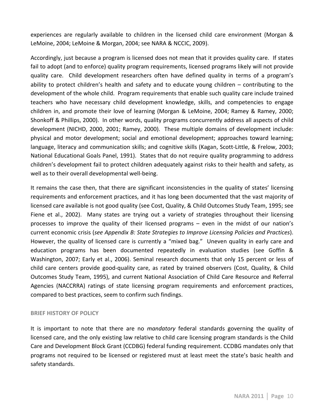experiences are regularly available to children in the licensed child care environment (Morgan & LeMoine, 2004; LeMoine & Morgan, 2004; see NARA & NCCIC, 2009).

Accordingly, just because a program is licensed does not mean that it provides quality care. If states fail to adopt (and to enforce) quality program requirements, licensed programs likely will not provide quality care. Child development researchers often have defined quality in terms of a program's ability to protect children's health and safety and to educate young children – contributing to the development of the whole child. Program requirements that enable such quality care include trained teachers who have necessary child development knowledge, skills, and competencies to engage children in, and promote their love of learning (Morgan & LeMoine, 2004; Ramey & Ramey, 2000; Shonkoff & Phillips, 2000). In other words, quality programs concurrently address all aspects of child development (NICHD, 2000, 2001; Ramey, 2000). These multiple domains of development include: physical and motor development; social and emotional development; approaches toward learning; language, literacy and communication skills; and cognitive skills (Kagan, Scott-Little, & Frelow, 2003; National Educational Goals Panel, 1991). States that do not require quality programming to address children's development fail to protect children adequately against risks to their health and safety, as well as to their overall developmental well-being.

It remains the case then, that there are significant inconsistencies in the quality of states' licensing requirements and enforcement practices, and it has long been documented that the vast majority of licensed care available is not good quality (see Cost, Quality, & Child Outcomes Study Team, 1995; see Fiene et al., 2002). Many states are trying out a variety of strategies throughout their licensing processes to improve the quality of their licensed programs – even in the midst of our nation's current economic crisis (see Appendix B: State Strategies to Improve Licensing Policies and Practices). However, the quality of licensed care is currently a "mixed bag." Uneven quality in early care and education programs has been documented repeatedly in evaluation studies (see Goffin & Washington, 2007; Early et al., 2006). Seminal research documents that only 15 percent or less of child care centers provide good-quality care, as rated by trained observers (Cost, Quality, & Child" Outcomes Study Team, 1995), and current National Association of Child Care Resource and Referral Agencies (NACCRRA) ratings of state licensing program requirements and enforcement practices, compared to best practices, seem to confirm such findings.

# **BRIEF HISTORY OF POLICY**

It is important to note that there are no *mandatory* federal standards governing the quality of licensed care, and the only existing law relative to child care licensing program standards is the Child Care and Development Block Grant (CCDBG) federal funding requirement. CCDBG mandates only that programs not required to be licensed or registered must at least meet the state's basic health and safety standards.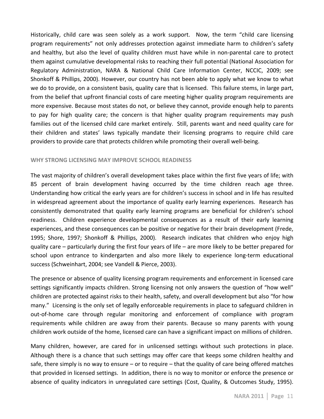Historically, child care was seen solely as a work support. Now, the term " child care licensing program requirements" not only addresses protection against immediate harm to children's safety and healthy, but also the level of quality children must have while in non-parental care to protect them against cumulative developmental risks to reaching their full potential (National Association for Regulatory Administration, NARA & National Child Care Information Center, NCCIC, 2009; see Shonkoff & Phillips, 2000). However, our country has not been able to apply what we know to what we do to provide, on a consistent basis, quality care that is licensed. This failure stems, in large part, from the belief that upfront financial costs of care meeting higher quality program requirements are more expensive. Because most states do not, or believe they cannot, provide enough help to parents to pay for high quality care; the concern is that higher quality program requirements may push families out of the licensed child care market entirely. Still, parents want and need quality care for their children and states' laws typically mandate their licensing programs to require child care providers to provide care that protects children while promoting their overall well-being.

### WHY STRONG LICENSING MAY IMPROVE SCHOOL READINESS

The vast majority of children's overall development takes place within the first five years of life; with 85 percent of brain development having occurred by the time children reach age three. Understanding how critical the early years are for children's success in school and in life has resulted in widespread agreement about the importance of quality early learning experiences. Research has consistently demonstrated that quality early learning programs are beneficial for children's school readiness. Children experience developmental consequences as a result of their early learning experiences, and these consequences can be positive or negative for their brain development (Frede, 1995; Shore, 1997; Shonkoff & Phillips, 2000). Research indicates that children who enjoy high quality care – particularly during the first four years of life – are more likely to be better prepared for school upon entrance to kindergarten and also more likely to experience long-term educational success (Schweinhart, 2004; see Vandell & Pierce, 2003).

The presence or absence of quality licensing program requirements and enforcement in licensed care settings significantly impacts children. Strong licensing not only answers the question of "how well" children are protected against risks to their health, safety, and overall development but also "for how many." Licensing is the only set of legally enforceable requirements in place to safeguard children in out-of-home care through regular monitoring and enforcement of compliance with program requirements while children are away from their parents. Because so many parents with young children work outside of the home, licensed care can have a significant impact on millions of children.

Many children, however, are cared for in unlicensed settings without such protections in place. Although there is a chance that such settings may offer care that keeps some children healthy and safe, there simply is no way to ensure – or to require – that the quality of care being offered matches that provided in licensed settings. In addition, there is no way to monitor or enforce the presence or absence of quality indicators in unregulated care settings (Cost, Quality, & Outcomes Study, 1995).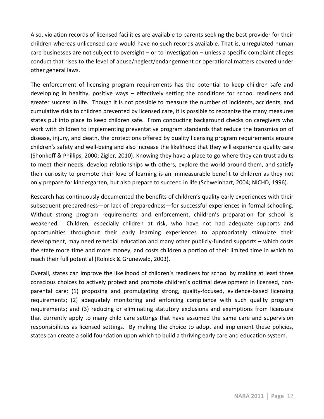Also, violation records of licensed facilities are available to parents seeking the best provider for their children whereas unlicensed care would have no such records available. That is, unregulated human care businesses are not subject to oversight – or to investigation – unless a specific complaint alleges conduct that rises to the level of abuse/neglect/endangerment or operational matters covered under other general laws.

The enforcement of licensing program requirements has the potential to keep children safe and developing in healthy, positive ways – effectively setting the conditions for school readiness and greater success in life. Though it is not possible to measure the number of incidents, accidents, and cumulative risks to children prevented by licensed care, it is possible to recognize the many measures states put into place to keep children safe. From conducting background checks on caregivers who work with children to implementing preventative program standards that reduce the transmission of disease, injury, and death, the protections offered by quality licensing program requirements ensure children's safety and well-being and also increase the likelihood that they will experience quality care (Shonkoff & Phillips, 2000; Zigler, 2010). Knowing they have a place to go where they can trust adults to meet their needs, develop relationships with others, explore the world around them, and satisfy their curiosity to promote their love of learning is an immeasurable benefit to children as they not only prepare for kindergarten, but also prepare to succeed in life (Schweinhart, 2004; NICHD, 1996).

Research has continuously documented the benefits of children's quality early experiences with their subsequent preparedness—or lack of preparedness—for successful experiences in formal schooling. Without strong program requirements and enforcement, children's preparation for school is weakened. Children, especially children at risk, who have not had adequate supports and opportunities throughout their early learning experiences to appropriately stimulate their development, may need remedial education and many other publicly-funded supports – which costs the state more time and more money, and costs children a portion of their limited time in which to reach their full potential (Rolnick & Grunewald, 2003).

Overall, states can improve the likelihood of children's readiness for school by making at least three conscious choices to actively protect and promote children's optimal development in licensed, nonparental care: (1) proposing and promulgating strong, quality-focused, evidence-based licensing requirements; (2) adequately monitoring and enforcing compliance with such quality program requirements; and (3) reducing or eliminating statutory exclusions and exemptions from licensure that currently apply to many child care settings that have assumed the same care and supervision responsibilities as licensed settings. By making the choice to adopt and implement these policies, states can create a solid foundation upon which to build a thriving early care and education system.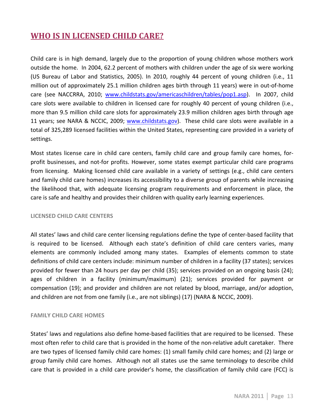# WHO IS IN LICENSED CHILD CARE?

Child care is in high demand, largely due to the proportion of young children whose mothers work outside the home. In 2004, 62.2 percent of mothers with children under the age of six were working (US Bureau of Labor and Statistics, 2005). In 2010, roughly 44 percent of young children (i.e., 11 million out of approximately 25.1 million children ages birth through 11 years) were in out-of-home care (see NACCRRA, 2010; www.childstats.gov/americaschildren/tables/pop1.asp). In 2007, child care slots were available to children in licensed care for roughly 40 percent of young children (i.e., more than 9.5 million child care slots for approximately 23.9 million children ages birth through age 11 years; see NARA & NCCIC, 2009; www.childstats.gov). These child care slots were available in a total of 325,289 licensed facilities within the United States, representing care provided in a variety of settings.

Most states license care in child care centers, family child care and group family care homes, forprofit businesses, and not-for profits. However, some states exempt particular child care programs from licensing. "Making licensed child care available in a variety of settings (e.g., child care centers") and family child care homes) increases its accessibility to a diverse group of parents while increasing the likelihood that, with adequate licensing program requirements and enforcement in place, the care is safe and healthy and provides their children with quality early learning experiences.

#### **LICENSED!CHILD!CARE!CENTERS**

All states' laws and child care center licensing regulations define the type of center-based facility that is required to be licensed. Although each state's definition of child care centers varies, many elements are commonly included among many states. Examples of elements common to state definitions of child care centers include: minimum number of children in a facility (37 states); services provided for fewer than 24 hours per day per child (35); services provided on an ongoing basis (24); ages of children in a facility (minimum/maximum) (21); services provided for payment or compensation (19); and provider and children are not related by blood, marriage, and/or adoption, and children are not from one family (i.e., are not siblings) (17) (NARA & NCCIC, 2009).

#### **FAMILY CHILD CARE HOMES**

States' laws and regulations also define home-based facilities that are required to be licensed. These most often refer to child care that is provided in the home of the non-relative adult caretaker. There are two types of licensed family child care homes: (1) small family child care homes; and (2) large or group family child care homes. Although not all states use the same terminology to describe child care that is provided in a child care provider's home, the classification of family child care (FCC) is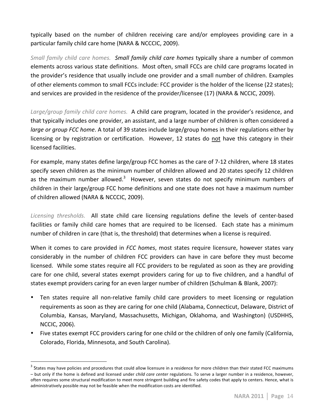typically based on the number of children receiving care and/or employees providing care in a particular family child care home (NARA & NCCCIC, 2009).

Small family child care homes. Small family child care homes typically share a number of common elements across various state definitions. Most often, small FCCs are child care programs located in the provider's residence that usually include one provider and a small number of children. Examples of other elements common to small FCCs include: FCC provider is the holder of the license (22 states); and services are provided in the residence of the provider/licensee (17) (NARA & NCCIC, 2009).

Large/group family child care homes. A child care program, located in the provider's residence, and that typically includes one provider, an assistant, and a large number of children is often considered a *large or group FCC home.* A total of 39 states include large/group homes in their regulations either by licensing or by registration or certification. However, 12 states do not have this category in their licensed facilities.

For example, many states define large/group FCC homes as the care of 7-12 children, where 18 states specify seven children as the minimum number of children allowed and 20 states specify 12 children as the maximum number allowed.<sup>3</sup> However, seven states do not specify minimum numbers of children in their large/group FCC home definitions and one state does not have a maximum number of children allowed (NARA & NCCCIC, 2009).

*Licensing thresholds.* All state child care licensing regulations define the levels of center-based facilities or family child care homes that are required to be licensed. Each state has a minimum number of children in care (that is, the threshold) that determines when a license is required.

When it comes to care provided in *FCC homes*, most states require licensure, however states vary considerably in the number of children FCC providers can have in care before they must become licensed. While some states require all FCC providers to be regulated as soon as they are providing care for one child, several states exempt providers caring for up to five children, and a handful of states exempt providers caring for an even larger number of children (Schulman & Blank, 2007):

- Ten states require all non-relative family child care providers to meet licensing or regulation requirements as soon as they are caring for one child (Alabama, Connecticut, Delaware, District of Columbia, Kansas, Maryland, Massachusetts, Michigan, Oklahoma, and Washington) (USDHHS, NCCIC, 2006).
- Five states exempt FCC providers caring for one child or the children of only one family (California, Colorado, Florida, Minnesota, and South Carolina).

wates may have policies and procedures that could allow licensure in a residence for more children than their stated FCC maximums<br>States may have policies and procedures that could allow licensure in a residence for more c – but only if the home is defined and licensed under *child care center* regulations. To serve a larger number in a residence, however, often requires some structural modification to meet more stringent building and fire safety codes that apply to centers. Hence, what is administratively possible may not be feasible when the modification costs are identified.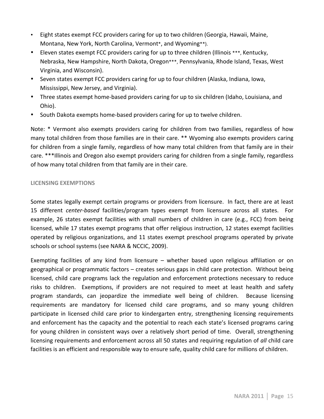- Eight states exempt FCC providers caring for up to two children (Georgia, Hawaii, Maine, Montana, New York, North Carolina, Vermont\*, and Wyoming\*\*).
- Eleven states exempt FCC providers caring for up to three children (Illinois \*\*\*, Kentucky, Nebraska, New Hampshire, North Dakota, Oregon\*\*\*, Pennsylvania, Rhode Island, Texas, West Virginia, and Wisconsin).
- Seven states exempt FCC providers caring for up to four children (Alaska, Indiana, Iowa, Mississippi, New Jersey, and Virginia).
- Three states exempt home-based providers caring for up to six children (Idaho, Louisiana, and Ohio).
- South Dakota exempts home-based providers caring for up to twelve children.

Note: \* Vermont also exempts providers caring for children from two families, regardless of how many total children from those families are in their care. \*\* Wyoming also exempts providers caring for children from a single family, regardless of how many total children from that family are in their care. \*\*\*Illinois and Oregon also exempt providers caring for children from a single family, regardless of how many total children from that family are in their care.

# **LICENSING!EXEMPTIONS**

Some states legally exempt certain programs or providers from licensure. In fact, there are at least 15 different *center-based* facilities/program types exempt from licensure across all states. For example, 26 states exempt facilities with small numbers of children in care (e.g., FCC) from being licensed, while 17 states exempt programs that offer religious instruction, 12 states exempt facilities operated by religious organizations, and 11 states exempt preschool programs operated by private schools or school systems (see NARA & NCCIC, 2009).

Exempting facilities of any kind from licensure – whether based upon religious affiliation or on geographical or programmatic factors – creates serious gaps in child care protection. Without being licensed, child care programs lack the regulation and enforcement protections necessary to reduce risks to children. " Exemptions, if providers are not required to meet at least health and safety program standards, can jeopardize the immediate well being of children. Because licensing requirements are mandatory for licensed child care programs, and so many young children participate in licensed child care prior to kindergarten entry, strengthening licensing requirements and enforcement has the capacity and the potential to reach each state's licensed programs caring for young children in consistent ways over a relatively short period of time. Overall, strengthening licensing requirements and enforcement across all 50 states and requiring regulation of *all* child care facilities is an efficient and responsible way to ensure safe, quality child care for millions of children.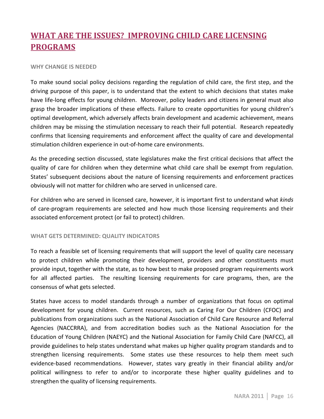# **WHAT ARE THE ISSUES? IMPROVING CHILD CARE LICENSING PROGRAMS!**

#### WHY CHANGE IS NEEDED

To make sound social policy decisions regarding the regulation of child care, the first step, and the driving purpose of this paper, is to understand that the extent to which decisions that states make have life-long effects for young children. "Moreover, policy leaders and citizens in general must also grasp the broader implications of these effects. Failure to create opportunities for young children's optimal development, which adversely affects brain development and academic achievement, means children may be missing the stimulation necessary to reach their full potential. Research repeatedly confirms that licensing requirements and enforcement affect the quality of care and developmental stimulation children experience in out-of-home care environments.

As the preceding section discussed, state legislatures make the first critical decisions that affect the quality of care for children when they determine what child care shall be exempt from regulation. States' subsequent decisions about the nature of licensing requirements and enforcement practices obviously will not matter for children who are served in unlicensed care.

For children who are served in licensed care, however, it is important first to understand what *kinds* of care-program requirements are selected and how much those licensing requirements and their associated enforcement protect (or fail to protect) children.

#### WHAT GETS DETERMINED: QUALITY INDICATORS

To reach a feasible set of licensing requirements that will support the level of quality care necessary to protect children while promoting their development, providers and other constituents must provide input, together with the state, as to how best to make proposed program requirements work for all affected parties. The resulting licensing requirements for care programs, then, are the consensus of what gets selected.

States have access to model standards through a number of organizations that focus on optimal development for young children. Current resources, such as Caring For Our Children (CFOC) and publications from organizations such as the National Association of Child Care Resource and Referral Agencies (NACCRRA), and from accreditation bodies such as the National Association for the Education of Young Children (NAEYC) and the National Association for Family Child Care (NAFCC), all provide guidelines to help states understand what makes up higher quality program standards and to strengthen licensing requirements. Some states use these resources to help them meet such evidence-based recommendations. However, states vary greatly in their financial ability and/or political willingness to refer to and/or to incorporate these higher quality guidelines and to strengthen the quality of licensing requirements.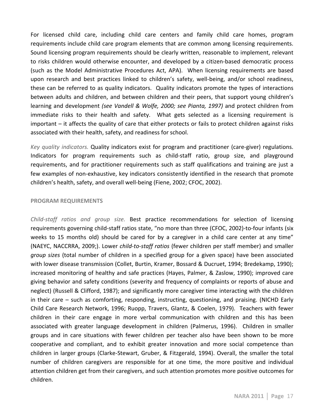For licensed child care, including child care centers and family child care homes, program requirements include child care program elements that are common among licensing requirements. Sound licensing program requirements should be clearly written, reasonable to implement, relevant to risks children would otherwise encounter, and developed by a citizen-based democratic process (such as the Model Administrative Procedures Act, APA). When licensing requirements are based upon research and best practices linked to children's safety, well-being, and/or school readiness, these can be referred to as quality indicators. Quality indicators promote the types of interactions between adults and children, and between children and their peers, that support young children's learning and development *(see Vandell & Wolfe, 2000; see Pianta, 1997)* and protect children from immediate risks to their health and safety. What gets selected as a licensing requirement is important – it affects the quality of care that either protects or fails to protect children against risks associated with their health, safety, and readiness for school.

*Key quality indicators.* Quality indicators exist for program and practitioner (care-giver) regulations. Indicators for program requirements such as child-staff ratio, group size, and playground requirements, and for practitioner requirements such as staff qualifications and training are just a few examples of non-exhaustive, key indicators consistently identified in the research that promote children's health, safety, and overall well-being (Fiene, 2002; CFOC, 2002).

#### **PROGRAM REQUIREMENTS**

*Child-staff ratios and group size.* Best practice recommendations for selection of licensing requirements governing child-staff ratios state, "no more than three (CFOC, 2002)-to-four infants (six weeks to 15 months old) should be cared for by a caregiver in a child care center at any time" (NAEYC, NACCRRA, 2009;). Lower *child-to-staff ratios* (fewer children per staff member) and smaller *group sizes* (total number of children in a specified group for a given space) have been associated with lower disease transmission (Collet, Burtin, Kramer, Bossard & Ducruet, 1994; Bredekamp, 1990); increased monitoring of healthy and safe practices (Hayes, Palmer, & Zaslow, 1990); improved care giving behavior and safety conditions (severity and frequency of complaints or reports of abuse and neglect) (Russell & Clifford, 1987); and significantly more caregiver time interacting with the children in their care – such as comforting, responding, instructing, questioning, and praising. (NICHD Early Child Care Research Network, 1996; Ruopp, Travers, Glantz, & Coelen, 1979). Teachers with fewer children in their care engage in more verbal communication with children and this has been associated with greater language development in children (Palmerus, 1996). Children in smaller groups and in care situations with fewer children per teacher also have been shown to be more cooperative and compliant, and to exhibit greater innovation and more social competence than children in larger groups (Clarke-Stewart, Gruber, & Fitzgerald, 1994). Overall, the smaller the total number of children caregivers are responsible for at one time, the more positive and individual attention children get from their caregivers, and such attention promotes more positive outcomes for children.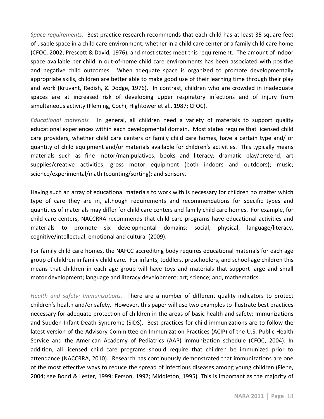Space requirements. Best practice research recommends that each child has at least 35 square feet of usable space in a child care environment, whether in a child care center or a family child care home (CFOC, 2002; Prescott & David, 1976), and most states meet this requirement. The amount of indoor space available per child in out-of-home child care environments has been associated with positive and negative child outcomes. When adequate space is organized to promote developmentally appropriate skills, children are better able to make good use of their learning time through their play and work (Kruvant, Redish, & Dodge, 1976). In contrast, children who are crowded in inadequate spaces are at increased risk of developing upper respiratory infections and of injury from simultaneous activity (Fleming, Cochi, Hightower et al., 1987; CFOC).

*Educational materials.* In general, all children need a variety of materials to support quality educational experiences within each developmental domain. Most states require that licensed child care providers, whether child care centers or family child care homes, have a certain type and/ or quantity of child equipment and/or materials available for children's activities. This typically means materials such as fine motor/manipulatives; books and literacy; dramatic play/pretend; art supplies/creative activities; gross motor equipment (both indoors and outdoors); music; science/experimental/math (counting/sorting); and sensory.

Having such an array of educational materials to work with is necessary for children no matter which type of care they are in, although requirements and recommendations for specific types and quantities of materials may differ for child care centers and family child care homes. For example, for child care centers, NACCRRA recommends that child care programs have educational activities and materials to promote six developmental domains: social, physical, language/literacy, cognitive/intellectual, emotional and cultural (2009).

For family child care homes, the NAFCC accrediting body requires educational materials for each age group of children in family child care. For infants, toddlers, preschoolers, and school-age children this means that children in each age group will have toys and materials that support large and small motor development; language and literacy development; art; science; and, mathematics.

*Health and safety: Immunizations.* There are a number of different quality indicators to protect children's health and/or safety. However, this paper will use two examples to illustrate best practices necessary for adequate protection of children in the areas of basic health and safety: Immunizations and Sudden Infant Death Syndrome (SIDS). "Best practices for child immunizations are to follow the latest version of the Advisory Committee on Immunization Practices (ACIP) of the U.S. Public Health Service and the American Academy of Pediatrics (AAP) immunization schedule (CFOC, 2004). In addition, all licensed child care programs should require that children be immunized prior to attendance (NACCRRA, 2010). Research has continuously demonstrated that immunizations are one of the most effective ways to reduce the spread of infectious diseases among young children (Fiene, 2004; see Bond & Lester, 1999; Ferson, 1997; Middleton, 1995). This is important as the majority of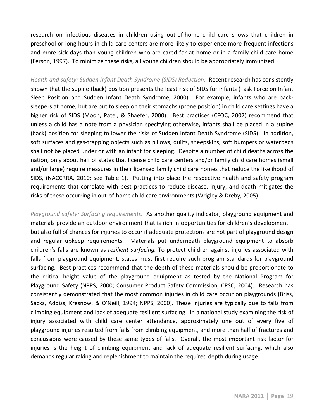research on infectious diseases in children using out-of-home child care shows that children in preschool or long hours in child care centers are more likely to experience more frequent infections and more sick days than young children who are cared for at home or in a family child care home (Ferson, 1997). To minimize these risks, all young children should be appropriately immunized.

*Health and safety: Sudden Infant Death Syndrome (SIDS) Reduction.* **Recent research has consistently** shown that the supine (back) position presents the least risk of SIDS for infants (Task Force on Infant Sleep Position and Sudden Infant Death Syndrome, 2000). For example, infants who are backsleepers at home, but are put to sleep on their stomachs (prone position) in child care settings have a higher risk of SIDS (Moon, Patel, & Shaefer, 2000). Best practices (CFOC, 2002) recommend that unless a child has a note from a physician specifying otherwise, infants shall be placed in a supine (back) position for sleeping to lower the risks of Sudden Infant Death Syndrome (SIDS). In addition, soft surfaces and gas-trapping objects such as pillows, quilts, sheepskins, soft bumpers or waterbeds shall not be placed under or with an infant for sleeping. Despite a number of child deaths across the nation, only about half of states that license child care centers and/or family child care homes (small and/or large) require measures in their licensed family child care homes that reduce the likelihood of SIDS, (NACCRRA, 2010; see Table 1). Putting into place the respective health and safety program requirements that correlate with best practices to reduce disease, injury, and death mitigates the risks of these occurring in out-of-home child care environments (Wrigley & Dreby, 2005).

Playground safety: Surfacing requirements. As another quality indicator, playground equipment and materials provide an outdoor environment that is rich in opportunities for children's development  $$ but also full of chances for injuries to occur if adequate protections are not part of playground design and regular upkeep requirements. Materials put underneath playground equipment to absorb children's falls are known as *resilient surfacing*. To protect children against injuries associated with falls from playground equipment, states must first require such program standards for playground surfacing. Best practices recommend that the depth of these materials should be proportionate to the critical height value of the playground equipment as tested by the National Program for Playground Safety (NPPS, 2000; Consumer Product Safety Commission, CPSC, 2004). Research has consistently demonstrated that the most common injuries in child care occur on playgrounds (Briss, Sacks, Addiss, Kresnow, & O'Neill, 1994; NPPS, 2000). These injuries are typically due to falls from climbing equipment and lack of adequate resilient surfacing. In a national study examining the risk of injury associated with child care center attendance, approximately one out of every five of playground injuries resulted from falls from climbing equipment, and more than half of fractures and concussions were caused by these same types of falls. Overall, the most important risk factor for injuries is the height of climbing equipment and lack of adequate resilient surfacing, which also demands regular raking and replenishment to maintain the required depth during usage.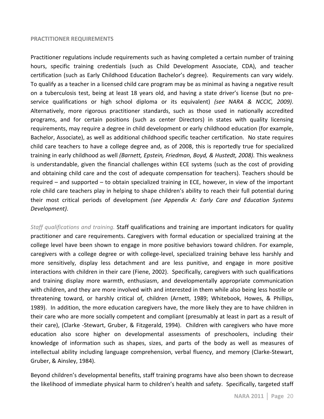#### **PRACTITIONER REQUIREMENTS**

Practitioner regulations include requirements such as having completed a certain number of training hours, specific training credentials (such as Child Development Associate, CDA), and teacher certification (such as Early Childhood Education Bachelor's degree). Requirements can vary widely. To qualify as a teacher in a licensed child care program may be as minimal as having a negative result on a tuberculosis test, being at least 18 years old, and having a state driver's license (but no preservice qualifications or high school diploma or its equivalent) *(see NARA & NCCIC, 2009)*. Alternatively, more rigorous practitioner standards, such as those used in nationally accredited programs, and for certain positions (such as center Directors) in states with quality licensing requirements, may require a degree in child development or early childhood education (for example, Bachelor, Associate), as well as additional childhood specific teacher certification. No state requires child care teachers to have a college degree and, as of 2008, this is reportedly true for specialized training in early childhood as well *(Barnett, Epstein, Friedman, Boyd, & Hustedt, 2008)*. This weakness is understandable, given the financial challenges within ECE systems (such as the cost of providing and obtaining child care and the cost of adequate compensation for teachers). Teachers should be required – and supported – to obtain specialized training in ECE, however, in view of the important role child care teachers play in helping to shape children's ability to reach their full potential during their most critical periods of development *(see Appendix A: Early Care and Education Systems* Development).

*Staff qualifications and training.* Staff qualifications and training are important indicators for quality practitioner and care requirements. Caregivers with formal education or specialized training at the college level have been shown to engage in more positive behaviors toward children. For example, caregivers with a college degree or with college-level, specialized training behave less harshly and more sensitively, display less detachment and are less punitive, and engage in more positive interactions with children in their care (Fiene, 2002). Specifically, caregivers with such qualifications and training display more warmth, enthusiasm, and developmentally appropriate communication with children, and they are more involved with and interested in them while also being less hostile or threatening toward, or harshly critical of, children (Arnett, 1989; Whitebook, Howes, & Phillips, 1989). In addition, the more education caregivers have, the more likely they are to have children in their care who are more socially competent and compliant (presumably at least in part as a result of their care), (Clarke -Stewart, Gruber, & Fitzgerald, 1994). Children with caregivers who have more education also score higher on developmental assessments of preschoolers, including their knowledge of information such as shapes, sizes, and parts of the body as well as measures of intellectual ability including language comprehension, verbal fluency, and memory (Clarke-Stewart, Gruber, & Ainsley, 1984).

Beyond children's developmental benefits, staff training programs have also been shown to decrease the likelihood of immediate physical harm to children's health and safety. Specifically, targeted staff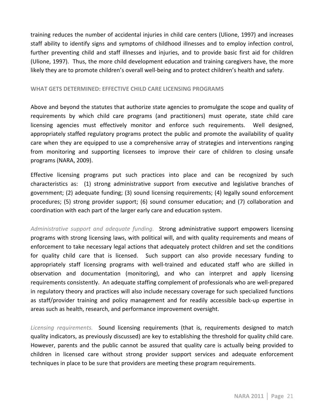training reduces the number of accidental injuries in child care centers (Ulione, 1997) and increases staff ability to identify signs and symptoms of childhood illnesses and to employ infection control, further preventing child and staff illnesses and injuries, and to provide basic first aid for children (Ulione, 1997). Thus, the more child development education and training caregivers have, the more likely they are to promote children's overall well-being and to protect children's health and safety.

#### WHAT GETS DETERMINED: EFFECTIVE CHILD CARE LICENSING PROGRAMS

Above and beyond the statutes that authorize state agencies to promulgate the scope and quality of requirements by which child care programs (and practitioners) must operate, state child care licensing agencies must effectively monitor and enforce such requirements. Well designed, appropriately staffed regulatory programs protect the public and promote the availability of quality care when they are equipped to use a comprehensive array of strategies and interventions ranging from monitoring and supporting licensees to improve their care of children to closing unsafe programs (NARA, 2009).

Effective licensing programs put such practices into place and can be recognized by such characteristics as: (1) strong administrative support from executive and legislative branches of government; (2) adequate funding; (3) sound licensing requirements; (4) legally sound enforcement procedures; (5) strong provider support; (6) sound consumer education; and (7) collaboration and coordination with each part of the larger early care and education system.

Administrative support and adequate funding. Strong administrative support empowers licensing programs with strong licensing laws, with political will, and with quality requirements and means of enforcement to take necessary legal actions that adequately protect children and set the conditions for quality child care that is licensed. Such support can also provide necessary funding to appropriately staff licensing programs with well-trained and educated staff who are skilled in observation and documentation (monitoring), and who can interpret and apply licensing requirements consistently. An adequate staffing complement of professionals who are well-prepared in regulatory theory and practices will also include necessary coverage for such specialized functions as staff/provider training and policy management and for readily accessible back-up expertise in areas such as health, research, and performance improvement oversight.

*Licensing requirements.* Sound licensing requirements (that is, requirements designed to match quality indicators, as previously discussed) are key to establishing the threshold for quality child care. However, parents and the public cannot be assured that quality care is actually being provided to children in licensed care without strong provider support services and adequate enforcement techniques in place to be sure that providers are meeting these program requirements.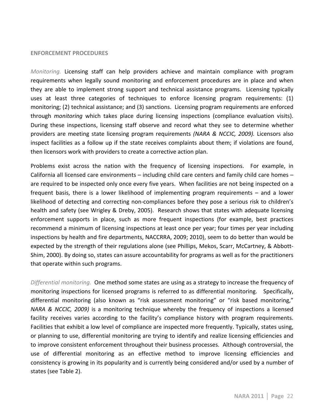#### **ENFORCEMENT PROCEDURES**

*Monitoring.* Licensing staff can help providers achieve and maintain compliance with program requirements when legally sound monitoring and enforcement procedures are in place and when they are able to implement strong support and technical assistance programs. Licensing typically uses at least three categories of techniques to enforce licensing program requirements: (1) monitoring; (2) technical assistance; and (3) sanctions. Licensing program requirements are enforced through *monitoring* which takes place during licensing inspections (compliance evaluation visits). During these inspections, licensing staff observe and record what they see to determine whether providers are meeting state licensing program requirements (NARA & NCCIC, 2009). Licensors also inspect facilities as a follow up if the state receives complaints about them; if violations are found, then licensors work with providers to create a corrective action plan.

Problems exist across the nation with the frequency of licensing inspections. For example, in California all licensed care environments – including child care centers and family child care homes – are required to be inspected only once every five years. When facilities are not being inspected on a frequent basis, there is a lower likelihood of implementing program requirements – and a lower likelihood of detecting and correcting non-compliances before they pose a serious risk to children's health and safety (see Wrigley & Dreby, 2005). Research shows that states with adequate licensing enforcement supports in place, such as more frequent inspections (for example, best practices recommend a minimum of licensing inspections at least once per year; four times per year including inspections by health and fire departments, NACCRRA, 2009; 2010), seem to do better than would be expected by the strength of their regulations alone (see Phillips, Mekos, Scarr, McCartney, & Abbott-Shim, 2000). By doing so, states can assure accountability for programs as well as for the practitioners that operate within such programs.

*Differential monitoring.* One method some states are using as a strategy to increase the frequency of monitoring inspections for licensed programs is referred to as differential monitoring. Specifically, differential monitoring (also known as "risk assessment monitoring" or "risk based monitoring," *NARA & NCCIC, 2009)* is a monitoring technique whereby the frequency of inspections a licensed facility receives varies according to the facility's compliance history with program requirements. Facilities that exhibit a low level of compliance are inspected more frequently. Typically, states using, or planning to use, differential monitoring are trying to identify and realize licensing efficiencies and to improve consistent enforcement throughout their business processes. Although controversial, the use of differential monitoring as an effective method to improve licensing efficiencies and consistency is growing in its popularity and is currently being considered and/or used by a number of states (see Table 2).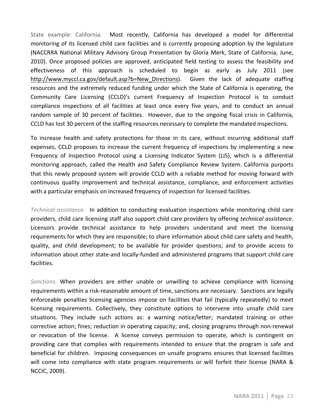State example: California. Most recently, California has developed a model for differential monitoring of its licensed child care facilities and is currently proposing adoption by the legislature (NACCRRA National Military Advisory Group Presentation by Gloria Merk, State of California, June, 2010). Once proposed policies are approved, anticipated field testing to assess the feasibility and effectiveness of this approach is scheduled to begin as early as July 2011 (see http://www.myccl.ca.gov/default.asp?b=New Directions). Given the lack of adequate staffing resources and the extremely reduced funding under which the State of California is operating, the Community Care Licensing (CCLD)'s current Frequency of Inspection Protocol is to conduct compliance inspections of all facilities at least once every five years, and to conduct an annual random sample of 30 percent of facilities. However, due to the ongoing fiscal crisis in California, CCLD has lost 30 percent of the staffing resources necessary to complete the mandated inspections.

To increase health and safety protections for those in its care, without incurring additional staff expenses, CCLD proposes to increase the current frequency of inspections by implementing a new Frequency of Inspection Protocol using a Licensing Indicator System (LIS), which is a differential monitoring approach, called the Health and Safety Compliance Review System. California purports that this newly proposed system will provide CCLD with a reliable method for moving forward with continuous quality improvement and technical assistance, compliance, and enforcement activities with a particular emphasis on increased frequency of inspection for licensed facilities.

*Technical assistance.* In addition to conducting evaluation inspections while monitoring child care providers, child care licensing staff also support child care providers by offering *technical assistance*. Licensors provide technical assistance to help providers understand and meet the licensing requirements for which they are responsible; to share information about child care safety and health, quality, and child development; to be available for provider questions; and to provide access to information about other state-and locally-funded and administered programs that support child care facilities.

*Sanctions.* When providers are either unable or unwilling to achieve compliance with licensing requirements within a risk-reasonable amount of time, sanctions are necessary. Sanctions are legally enforceable penalties licensing agencies impose on facilities that fail (typically repeatedly) to meet licensing requirements. Collectively, they constitute options to intervene into unsafe child care situations. They include such actions as: a warning notice/letter; mandated training or other corrective action; fines; reduction in operating capacity; and, closing programs through non-renewal or revocation of the license. A license conveys permission to operate, which is contingent on providing care that complies with requirements intended to ensure that the program is safe and beneficial for children. Imposing consequences on unsafe programs ensures that licensed facilities will come into compliance with state program requirements or will forfeit their license (NARA & NCCIC, 2009).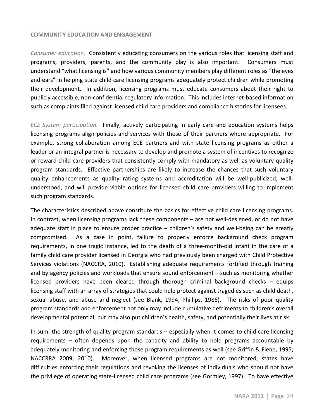#### **COMMUNITY!EDUCATION!AND!ENGAGEMENT**

Consumer education. **Consistently educating consumers on the various roles that licensing staff and** programs, providers, parents, and the community play is also important. Consumers must understand "what licensing is" and how various community members play different roles as "the eyes" and ears" in helping state child care licensing programs adequately protect children while promoting their development. In addition, licensing programs must educate consumers about their right to publicly accessible, non-confidential regulatory information. This includes internet-based information such as complaints filed against licensed child care providers and compliance histories for licensees.

*ECE System participation.* Finally, actively participating in early care and education systems helps licensing programs align policies and services with those of their partners where appropriate. For example, strong collaboration among ECE partners and with state licensing programs as either a leader or an integral partner is necessary to develop and promote a system of incentives to recognize or reward child care providers that consistently comply with mandatory as well as voluntary quality program standards. Effective partnerships are likely to increase the chances that such voluntary quality enhancements as quality rating systems and accreditation will be well-publicized, wellunderstood, and will provide viable options for licensed child care providers willing to implement such program standards.

The characteristics described above constitute the basics for effective child care licensing programs. In contrast, when licensing programs lack these components  $-$  are not well-designed, or do not have adequate staff in place to ensure proper practice  $-$  children's safety and well-being can be greatly compromised. " As a case in point, failure to properly enforce background check program requirements, in one tragic instance, led to the death of a three-month-old infant in the care of a family child care provider licensed in Georgia who had previously been charged with Child Protective Services violations (NACCRA, 2010). Establishing adequate requirements fortified through training and by agency policies and workloads that ensure sound enforcement – such as monitoring whether licensed providers have been cleared through thorough criminal background checks – equips licensing staff with an array of strategies that could help protect against tragedies such as child death, sexual abuse, and abuse and neglect (see Blank, 1994; Phillips, 1986). The risks of poor quality program standards and enforcement not only may include cumulative detriments to children's overall developmental potential, but may also put children's health, safety, and potentially their lives at risk.

In sum, the strength of quality program standards – especially when it comes to child care licensing requirements  $-$  often depends upon the capacity and ability to hold programs accountable by adequately monitoring and enforcing those program requirements as well (see Griffin & Fiene, 1995; NACCRRA 2009; 2010). Moreover, when licensed programs are not monitored, states have difficulties enforcing their regulations and revoking the licenses of individuals who should not have the privilege of operating state-licensed child care programs (see Gormley, 1997). To have effective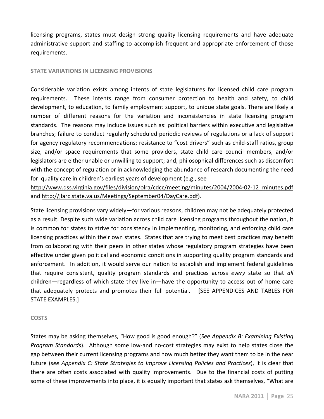licensing programs, states must design strong quality licensing requirements and have adequate administrative support and staffing to accomplish frequent and appropriate enforcement of those requirements.

### **STATE VARIATIONS IN LICENSING PROVISIONS**

Considerable variation exists among intents of state legislatures for licensed child care program requirements. These intents range from consumer protection to health and safety, to child development, to education, to family employment support, to unique state goals. There are likely a number of different reasons for the variation and inconsistencies in state licensing program standards. The reasons may include issues such as: political barriers within executive and legislative branches; failure to conduct regularly scheduled periodic reviews of regulations or a lack of support for agency regulatory recommendations; resistance to "cost drivers" such as child-staff ratios, group size, and/or space requirements that some providers, state child care council members, and/or legislators are either unable or unwilling to support; and, philosophical differences such as discomfort with the concept of regulation or in acknowledging the abundance of research documenting the need for quality care in children's earliest years of development (e.g., see")

http://www.dss.virginia.gov/files/division/olra/cdcc/meeting/minutes/2004/2004-02-12 minutes.pdf and http://jlarc.state.va.us/Meetings/September04/DayCare.pdf).

State licensing provisions vary widely—for various reasons, children may not be adequately protected as a result. Despite such wide variation across child care licensing programs throughout the nation, it is common for states to strive for consistency in implementing, monitoring, and enforcing child care licensing practices within their own states. States that are trying to meet best practices may benefit from collaborating with their peers in other states whose regulatory program strategies have been effective under given political and economic conditions in supporting quality program standards and enforcement. In addition, it would serve our nation to establish and implement federal guidelines that require consistent, quality program standards and practices across *every* state so that *all* children—regardless of which state they live in—have the opportunity to access out of home care that adequately protects and promotes their full potential. [SEE APPENDICES AND TABLES FOR STATE EXAMPLES.]

#### **COSTS**

States may be asking themselves, "How good is good enough?" (*See Appendix B: Examining Existing Program Standards*). " Although some low-and no-cost strategies may exist to help states close the gap between their current licensing programs and how much better they want them to be in the near future (see Appendix C: State Strategies to Improve Licensing Policies and Practices), it is clear that there are often costs associated with quality improvements. Due to the financial costs of putting some of these improvements into place, it is equally important that states ask themselves, "What are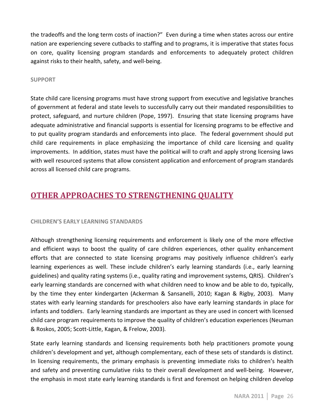the tradeoffs and the long term costs of inaction?" Even during a time when states across our entire nation are experiencing severe cutbacks to staffing and to programs, it is imperative that states focus on core, quality licensing program standards and enforcements to adequately protect children against risks to their health, safety, and well-being.

### **SUPPORT**

State child care licensing programs must have strong support from executive and legislative branches of government at federal and state levels to successfully carry out their mandated responsibilities to protect, safeguard, and nurture children (Pope, 1997). Ensuring that state licensing programs have adequate administrative and financial supports is essential for licensing programs to be effective and to put quality program standards and enforcements into place. The federal government should put child care requirements in place emphasizing the importance of child care licensing and quality improvements. In addition, states must have the political will to craft and apply strong licensing laws with well resourced systems that allow consistent application and enforcement of program standards across all licensed child care programs.

# **OTHER APPROACHES TO STRENGTHENING QUALITY**

# **CHILDREN'S EARLY LEARNING STANDARDS**

Although strengthening licensing requirements and enforcement is likely one of the more effective and efficient ways to boost the quality of care children experiences, other quality enhancement efforts that are connected to state licensing programs may positively influence children's early learning experiences as well. These include children's early learning standards (i.e., early learning guidelines) and quality rating systems (i.e., quality rating and improvement systems, QRIS). Children's early learning standards are concerned with what children need to know and be able to do, typically, by the time they enter kindergarten (Ackerman & Sansanelli, 2010; Kagan & Rigby, 2003). Many states with early learning standards for preschoolers also have early learning standards in place for infants and toddlers. Early learning standards are important as they are used in concert with licensed child care program requirements to improve the quality of children's education experiences (Neuman  $\&$  Roskos, 2005; Scott-Little, Kagan,  $\&$  Frelow, 2003).

State early learning standards and licensing requirements both help practitioners promote young children's development and yet, although complementary, each of these sets of standards is distinct. In licensing requirements, the primary emphasis is preventing immediate risks to children's health and safety and preventing cumulative risks to their overall development and well-being. However, the emphasis in most state early learning standards is first and foremost on helping children develop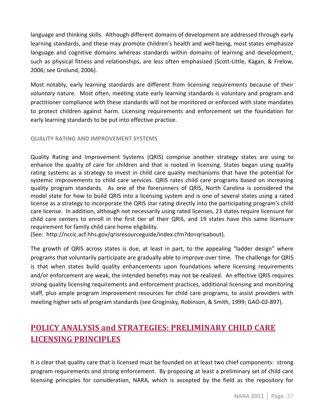language and thinking skills. Although different domains of development are addressed through early learning standards, and these may promote children's health and well-being, most states emphasize language and cognitive domains whereas standards within domains of learning and development, such as physical fitness and relationships, are less often emphasized (Scott-Little, Kagan, & Frelow, 2006; see Grolund, 2006).

Most notably, early learning standards are different from licensing requirements because of their voluntary nature. Most often, meeting state early learning standards is voluntary and program and practitioner compliance with these standards will not be monitored or enforced with state mandates to protect children against harm. Licensing requirements and enforcement set the foundation for early learning standards to be put into effective practice.

### **QUALITY!RATING!AND!IMPROVEMENT!SYSTEMS**

Quality Rating and Improvement Systems (QRIS) comprise another strategy states are using to enhance the quality of care for children and that is rooted in licensing. States began using quality rating systems as a strategy to invest in child care quality mechanisms that have the potential for systemic improvements to child care services. QRIS rates child care programs based on increasing quality program standards. As one of the forerunners of QRIS, North Carolina is considered the model state for how to build QRIS into a licensing system and is one of several states using a rated license as a strategy to incorporate the QRIS star rating directly into the participating program's child care license. In addition, although not necessarily using rated licenses, 23 states require licensure for child care centers to enroll in the first tier of their QRIS, and 19 states have this same licensure requirement for family child care home eligibility.

(See:" http://nccic.acf.hhs.gov/qrisresourceguide/index.cfm?do=qrisabout).

The growth of QRIS across states is due, at least in part, to the appealing "ladder design" where programs that voluntarily participate are gradually able to improve over time. The challenge for QRIS is that when states build quality enhancements upon foundations where licensing requirements and/or enforcement are weak, the intended benefits may not be realized. An effective QRIS requires strong quality licensing requirements and enforcement practices, additional licensing and monitoring staff, plus ample program improvement resources for child care programs, to assist providers with meeting higher sets of program standards (see Groginsky, Robinson, & Smith, 1999; GAO-02-897).

# POLICY ANALYSIS and STRATEGIES: PRELIMINARY CHILD CARE **LICENSING!PRINCIPLES!**

It is clear that quality care that is licensed must be founded on at least two chief components: strong program requirements and strong enforcement. "By proposing at least a preliminary set of child care licensing principles for consideration, NARA, which is accepted by the field as the repository for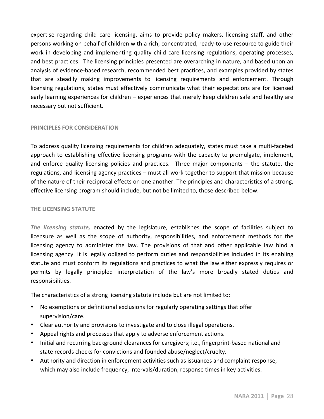expertise regarding child care licensing, aims to provide policy makers, licensing staff, and other persons working on behalf of children with a rich, concentrated, ready-to-use resource to guide their work in developing and implementing quality child care licensing regulations, operating processes, and best practices. The licensing principles presented are overarching in nature, and based upon an analysis of evidence-based research, recommended best practices, and examples provided by states that are steadily making improvements to licensing requirements and enforcement. Through licensing regulations, states must effectively communicate what their expectations are for licensed early learning experiences for children – experiences that merely keep children safe and healthy are necessary but not sufficient.

# **PRINCIPLES FOR CONSIDERATION**

To address quality licensing requirements for children adequately, states must take a multi-faceted approach to establishing effective licensing programs with the capacity to promulgate, implement, and enforce quality licensing policies and practices. Three major components  $-$  the statute, the regulations, and licensing agency practices – must all work together to support that mission because of the nature of their reciprocal effects on one another. The principles and characteristics of a strong, effective licensing program should include, but not be limited to, those described below.

#### **THE LICENSING STATUTE**

*The licensing statute,* enacted by the legislature, establishes the scope of facilities subject to licensure as well as the scope of authority, responsibilities, and enforcement methods for the licensing agency to administer the law. The provisions of that and other applicable law bind a licensing agency. It is legally obliged to perform duties and responsibilities included in its enabling statute and must conform its regulations and practices to what the law either expressly requires or permits by legally principled interpretation of the law's more broadly stated duties and responsibilities."

The characteristics of a strong licensing statute include but are not limited to:

- No exemptions or definitional exclusions for regularly operating settings that offer supervision/care.
- Clear authority and provisions to investigate and to close illegal operations.
- Appeal rights and processes that apply to adverse enforcement actions.
- Initial and recurring background clearances for caregivers; i.e., fingerprint-based national and state records checks for convictions and founded abuse/neglect/cruelty.
- Authority and direction in enforcement activities such as issuances and complaint response, which may also include frequency, intervals/duration, response times in key activities.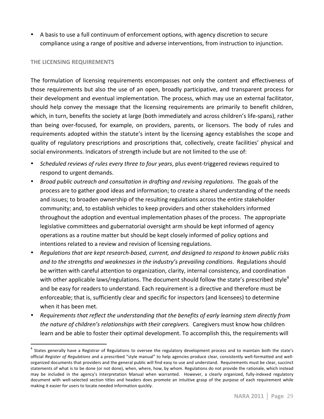• A basis to use a full continuum of enforcement options, with agency discretion to secure compliance using a range of positive and adverse interventions, from instruction to injunction.

#### **THE LICENSING REQUIREMENTS**

The formulation of licensing requirements encompasses not only the content and effectiveness of those requirements but also the use of an open, broadly participative, and transparent process for their development and eventual implementation. The process, which may use an external facilitator, should help convey the message that the licensing requirements are primarily to benefit children, which, in turn, benefits the society at large (both immediately and across children's life-spans), rather than being over-focused, for example, on providers, parents, or licensors. The body of rules and requirements adopted within the statute's intent by the licensing agency establishes the scope and quality of regulatory prescriptions and proscriptions that, collectively, create facilities' physical and social environments. Indicators of strength include but are not limited to the use of:

- *Scheduled reviews of rules every three to four years*, plus event-triggered reviews required to respond to urgent demands.
- *Broad public outreach and consultation in drafting and revising regulations*. The goals of the process are to gather good ideas and information; to create a shared understanding of the needs and issues; to broaden ownership of the resulting regulations across the entire stakeholder community; and, to establish vehicles to keep providers and other stakeholders informed throughout the adoption and eventual implementation phases of the process. The appropriate legislative committees and gubernatorial oversight arm should be kept informed of agency operations as a routine matter but should be kept closely informed of policy options and intentions related to a review and revision of licensing regulations.
- Regulations that are kept research-based, current, and designed to respond to known public risks and to the strengths and weaknesses in the industry's prevailing conditions. Regulations should be written with careful attention to organization, clarity, internal consistency, and coordination with other applicable laws/regulations. The document should follow the state's prescribed style<sup>4</sup> and be easy for readers to understand. Each requirement is a directive and therefore must be enforceable; that is, sufficiently clear and specific for inspectors (and licensees) to determine when it has been met.
- Requirements that reflect the understanding that the benefits of early learning stem directly from the nature of children's relationships with their caregivers. Caregivers must know how children learn and be able to foster their optimal development. To accomplish this, the requirements will

States generally have a Registrar of Regulations to oversee the regulatory development process and to maintain both the state's official Register of Regulations and a prescribed "style manual" to help agencies produce clear, consistently well-formatted and wellorganized documents that providers and the general public will find easy to use and understand. Requirements must be clear, succinct statements of what is to be done (or not done), when, where, how, by whom. Regulations do not provide the rationale, which instead may be included in the agency's Interpretation Manual when warranted. However, a clearly organized, fully-indexed regulatory document with well-selected section titles and headers does promote an intuitive grasp of the purpose of each requirement while making it easier for users to locate needed information quickly.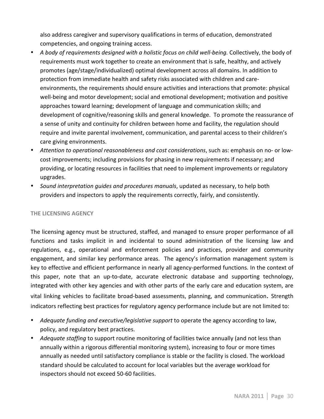also address caregiver and supervisory qualifications in terms of education, demonstrated competencies, and ongoing training access.

- A body of requirements designed with a holistic focus on child well-being. Collectively, the body of requirements must work together to create an environment that is safe, healthy, and actively promotes (age/stage/individualized) optimal development across all domains. In addition to protection from immediate health and safety risks associated with children and careenvironments, the requirements should ensure activities and interactions that promote: physical well-being and motor development; social and emotional development; motivation and positive approaches toward learning; development of language and communication skills; and development of cognitive/reasoning skills and general knowledge. To promote the reassurance of a sense of unity and continuity for children between home and facility, the regulation should require and invite parental involvement, communication, and parental access to their children's care giving environments.
- \* Attention to operational reasonableness and cost considerations, such as: emphasis on no- or lowcost improvements; including provisions for phasing in new requirements if necessary; and providing, or locating resources in facilities that need to implement improvements or regulatory upgrades.
- Sound interpretation guides and procedures manuals, updated as necessary, to help both providers and inspectors to apply the requirements correctly, fairly, and consistently.

# **THE LICENSING AGENCY**

The licensing agency must be structured, staffed, and managed to ensure proper performance of all functions and tasks implicit in and incidental to sound administration of the licensing law and regulations, e.g., operational and enforcement policies and practices, provider and community engagement, and similar key performance areas. The agency's information management system is key to effective and efficient performance in nearly all agency-performed functions. In the context of this paper, note that an up-to-date, accurate electronic database and supporting technology, integrated with other key agencies and with other parts of the early care and education system, are vital linking vehicles to facilitate broad-based assessments, planning, and communication. Strength indicators reflecting best practices for regulatory agency performance include but are not limited to:

- Adequate funding and executive/legislative support to operate the agency according to law, policy, and regulatory best practices.
- *Adequate staffing* to support routine monitoring of facilities twice annually (and not less than annually within a rigorous differential monitoring system), increasing to four or more times annually as needed until satisfactory compliance is stable or the facility is closed. The workload standard should be calculated to account for local variables but the average workload for inspectors should not exceed 50-60 facilities.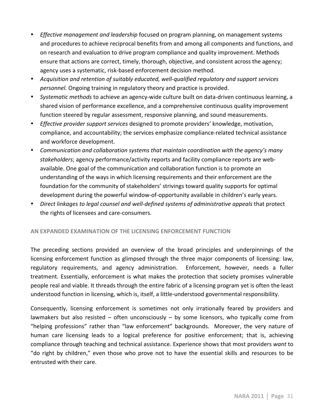- *Effective management and leadership* focused on program planning, on management systems and procedures to achieve reciprocal benefits from and among all components and functions, and on research and evaluation to drive program compliance and quality improvement. Methods ensure that actions are correct, timely, thorough, objective, and consistent across the agency; agency uses a systematic, risk-based enforcement decision method.
- Acquisition and retention of suitably educated, well-qualified regulatory and support services *personnel*. Ongoing training in regulatory theory and practice is provided.
- *Systematic methods* to achieve an agency-wide culture built on data-driven continuous learning, a shared vision of performance excellence, and a comprehensive continuous quality improvement function steered by regular assessment, responsive planning, and sound measurements.
- *Effective provider support services* designed to promote providers' knowledge, motivation, compliance, and accountability; the services emphasize compliance-related technical assistance and workforce development.
- Communication and collaboration systems that maintain coordination with the agency's many stakeholders; agency performance/activity reports and facility compliance reports are webavailable. One goal of the communication and collaboration function is to promote an understanding of the ways in which licensing requirements and their enforcement are the foundation for the community of stakeholders' strivings toward quality supports for optimal development during the powerful window-of-opportunity available in children's early years.
- Direct linkages to legal counsel and well-defined systems of administrative appeals that protect the rights of licensees and care-consumers.

# **AN EXPANDED EXAMINATION OF THE LICENSING ENFORCEMENT FUNCTION**

The preceding sections provided an overview of the broad principles and underpinnings of the licensing enforcement function as glimpsed through the three major components of licensing: law, regulatory requirements, and agency administration. Enforcement, however, needs a fuller treatment. Essentially, enforcement is what makes the protection that society promises vulnerable people real and viable. It threads through the entire fabric of a licensing program yet is often the least understood function in licensing, which is, itself, a little-understood governmental responsibility.

Consequently, licensing enforcement is sometimes not only irrationally feared by providers and lawmakers but also resisted – often unconsciously – by some licensors, who typically come from "helping professions" rather than "law enforcement" backgrounds. Moreover, the very nature of human care licensing leads to a logical preference for positive enforcement; that is, achieving compliance through teaching and technical assistance. Experience shows that most providers want to " do right by children," even those who prove not to have the essential skills and resources to be" entrusted with their care.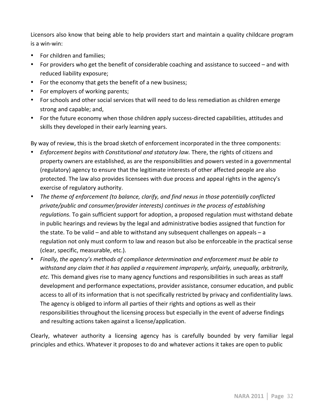Licensors also know that being able to help providers start and maintain a quality childcare program  $is a win-win:$ 

- For children and families;
- For providers who get the benefit of considerable coaching and assistance to succeed and with reduced liability exposure;
- For the economy that gets the benefit of a new business;
- For employers of working parents;
- For schools and other social services that will need to do less remediation as children emerge strong and capable; and,
- For the future economy when those children apply success-directed capabilities, attitudes and skills they developed in their early learning years.

By way of review, this is the broad sketch of enforcement incorporated in the three components:

- *Enforcement begins with Constitutional and statutory law.* There, the rights of citizens and property owners are established, as are the responsibilities and powers vested in a governmental (regulatory) agency to ensure that the legitimate interests of other affected people are also protected. The law also provides licensees with due process and appeal rights in the agency's exercise of regulatory authority.
- The theme of enforcement (to balance, clarify, and find nexus in those potentially conflicted private/public and consumer/provider interests) continues in the process of establishing regulations. To gain sufficient support for adoption, a proposed regulation must withstand debate in public hearings and reviews by the legal and administrative bodies assigned that function for the state. To be valid – and able to withstand any subsequent challenges on appeals – a regulation not only must conform to law and reason but also be enforceable in the practical sense (clear, specific, measurable, etc.).
- Finally, the agency's methods of compliance determination and enforcement must be able to withstand any claim that it has applied a requirement improperly, unfairly, unequally, arbitrarily, *etc.* This demand gives rise to many agency functions and responsibilities in such areas as staff development and performance expectations, provider assistance, consumer education, and public access to all of its information that is not specifically restricted by privacy and confidentiality laws. The agency is obliged to inform all parties of their rights and options as well as their responsibilities throughout the licensing process but especially in the event of adverse findings and resulting actions taken against a license/application.

Clearly, whatever authority a licensing agency has is carefully bounded by very familiar legal principles and ethics. Whatever it proposes to do and whatever actions it takes are open to public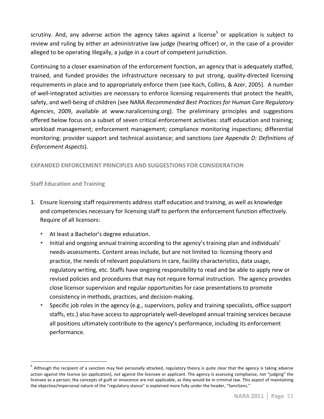scrutiny. And, any adverse action the agency takes against a license<sup>5</sup> or application is subject to review and ruling by either an administrative law judge (hearing officer) or, in the case of a provider alleged to be operating illegally, a judge in a court of competent jurisdiction.

Continuing to a closer examination of the enforcement function, an agency that is adequately staffed, trained, and funded provides the infrastructure necessary to put strong, quality-directed licensing requirements in place and to appropriately enforce them (see Koch, Collins, & Azer, 2005). A number of well-integrated activities are necessary to enforce licensing requirements that protect the health, safety, and well-being of children (see NARA Recommended Best Practices for Human Care Regulatory Agencies, 2009, available at www.naralicensing.org). The preliminary principles and suggestions offered below focus on a subset of seven critical enforcement activities: staff education and training; workload management; enforcement management; compliance monitoring inspections; differential monitoring; provider support and technical assistance; and sanctions (*see Appendix D: Definitions of Enforcement Aspects*).

# **EXPANDED ENFORCEMENT PRINCIPLES AND SUGGESTIONS FOR CONSIDERATION**

# **Staff Education and Training**

- 1. Ensure licensing staff requirements address staff education and training, as well as knowledge and competencies necessary for licensing staff to perform the enforcement function effectively. Require of all licensors:
	- At least a Bachelor's degree education.
	- Initial and ongoing annual training according to the agency's training plan and individuals' needs-assessments. Content areas include, but are not limited to: licensing theory and practice, the needs of relevant populations in care, facility characteristics, data usage, regulatory writing, etc. Staffs have ongoing responsibility to read and be able to apply new or revised policies and procedures that may not require formal instruction. The agency provides close licensor supervision and regular opportunities for case presentations to promote consistency in methods, practices, and decision-making.
	- Specific job roles in the agency (e.g., supervisors, policy and training specialists, office support staffs, etc.) also have access to appropriately well-developed annual training services because all positions ultimately contribute to the agency's performance, including its enforcement performance.

<sup>&</sup>lt;sup>"</sup> Although the recipient of a sanction may feel personally attacked, regulatory theory is quite clear that the agency is taking adverse action against the license (or application), *not* against the licensee or applicant. The agency is assessing compliance, not "judging" the licensee as a person; the concepts of guilt or innocence are not applicable, as they would be in criminal law. This aspect of maintaining the objective/impersonal nature of the "regulatory stance" is explained more fully under the header, "Sanctions."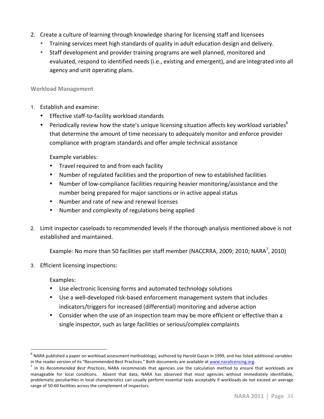- 2. Create a culture of learning through knowledge sharing for licensing staff and licensees
	- Training services meet high standards of quality in adult education design and delivery.
	- Staff development and provider training programs are well planned, monitored and evaluated, respond to identified needs (i.e., existing and emergent), and are integrated into all agency and unit operating plans.

# **Workload!Management**

- 1. Establish and examine:
	- Effective staff-to-facility workload standards
	- Periodically review how the state's unique licensing situation affects key workload variables<sup>6</sup> that determine the amount of time necessary to adequately monitor and enforce provider compliance with program standards and offer ample technical assistance

Example variables:

- Travel required to and from each facility
- Number of regulated facilities and the proportion of new to established facilities
- Number of low-compliance facilities requiring heavier monitoring/assistance and the number being prepared for major sanctions or in active appeal status
- Number and rate of new and renewal licenses
- Number and complexity of regulations being applied
- 2. Limit inspector caseloads to recommended levels if the thorough analysis mentioned above is not established and maintained.

Example: No more than 50 facilities per staff member (NACCRRA, 2009; 2010; NARA<sup>7</sup>, 2010)

3. Efficient licensing inspections:

Examples:

- Use electronic licensing forms and automated technology solutions
- Use a well-developed risk-based enforcement management system that includes indicators/triggers for increased (differential) monitoring and adverse action
- Consider when the use of an inspection team may be more efficient or effective than a single inspector, such as large facilities or serious/complex complaints

 $<sup>6</sup>$  NARA published a paper on workload assessment methodology, authored by Harold Gazan in 1999, and has listed additional variables</sup> in the reader version of its "Recommended Best Practices." Both documents are available at www.naralicensing.org.<br><sup>7</sup> In its *Recommended Best Practices*, NARA recommends that agencies use the calculation method to ensure

manageable for local conditions. Absent that data, NARA has observed that most agencies without immediately identifiable, problematic peculiarities in local characteristics can usually perform essential tasks acceptably if workloads do not exceed an average range of 50-60 facilities across the complement of inspectors.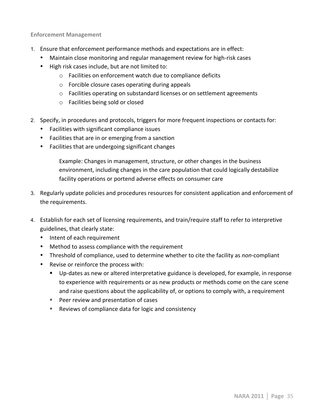**Enforcement Management** 

- 1. Ensure that enforcement performance methods and expectations are in effect:
	- Maintain close monitoring and regular management review for high-risk cases
	- High risk cases include, but are not limited to:
		- $\circ$  Facilities on enforcement watch due to compliance deficits
		- $\circ$  Forcible closure cases operating during appeals
		- $\circ$  Facilities operating on substandard licenses or on settlement agreements
		- $\circ$  Facilities being sold or closed
- 2. Specify, in procedures and protocols, triggers for more frequent inspections or contacts for:
	- Facilities with significant compliance issues
	- Facilities that are in or emerging from a sanction
	- Facilities that are undergoing significant changes

Example: Changes in management, structure, or other changes in the business environment, including changes in the care population that could logically destabilize facility operations or portend adverse effects on consumer care

- 3. Regularly update policies and procedures resources for consistent application and enforcement of the requirements.
- 4. Establish for each set of licensing requirements, and train/require staff to refer to interpretive guidelines, that clearly state:
	- Intent of each requirement
	- Method to assess compliance with the requirement
	- Threshold of compliance, used to determine whether to cite the facility as *non*-compliant
	- Revise or reinforce the process with:
		- " Up-dates as new or altered interpretative guidance is developed, for example, in response to experience with requirements or as new products or methods come on the care scene and raise questions about the applicability of, or options to comply with, a requirement
		- Peer review and presentation of cases
		- Reviews of compliance data for logic and consistency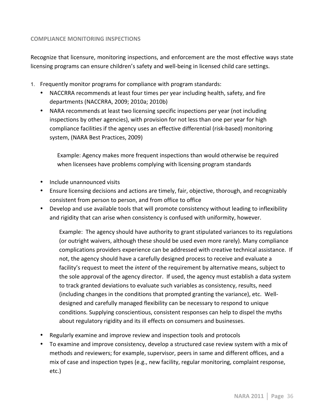### **COMPLIANCE MONITORING INSPECTIONS**

Recognize that licensure, monitoring inspections, and enforcement are the most effective ways state licensing programs can ensure children's safety and well-being in licensed child care settings.

- 1. Frequently monitor programs for compliance with program standards:
	- NACCRRA recommends at least four times per year including health, safety, and fire departments (NACCRRA, 2009; 2010a; 2010b)
	- NARA recommends at least two licensing specific inspections per year (not including inspections by other agencies), with provision for not less than one per year for high compliance facilities if the agency uses an effective differential (risk-based) monitoring system, (NARA Best Practices, 2009)

Example: Agency makes more frequent inspections than would otherwise be required when licensees have problems complying with licensing program standards

- Include unannounced visits
- Ensure licensing decisions and actions are timely, fair, objective, thorough, and recognizably consistent from person to person, and from office to office
- Develop and use available tools that will promote consistency without leading to inflexibility and rigidity that can arise when consistency is confused with uniformity, however.

Example: The agency should have authority to grant stipulated variances to its regulations (or outright waivers, although these should be used even more rarely). Many compliance complications providers experience can be addressed with creative technical assistance. If not, the agency should have a carefully designed process to receive and evaluate a facility's request to meet the *intent* of the requirement by alternative means, subject to the sole approval of the agency director. If used, the agency must establish a data system to track granted deviations to evaluate such variables as consistency, results, need (including changes in the conditions that prompted granting the variance), etc. Welldesigned and carefully managed flexibility can be necessary to respond to unique conditions. Supplying conscientious, consistent responses can help to dispel the myths about regulatory rigidity and its ill effects on consumers and businesses.

- Regularly examine and improve review and inspection tools and protocols
- To examine and improve consistency, develop a structured case review system with a mix of methods and reviewers; for example, supervisor, peers in same and different offices, and a mix of case and inspection types (e.g., new facility, regular monitoring, complaint response, etc.)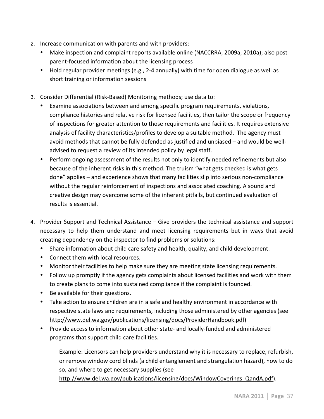- 2. Increase communication with parents and with providers:
	- Make inspection and complaint reports available online (NACCRRA, 2009a; 2010a); also post parent-focused information about the licensing process
	- Hold regular provider meetings (e.g., 2-4 annually) with time for open dialogue as well as short training or information sessions
- 3. Consider Differential (Risk-Based) Monitoring methods; use data to:
	- Examine associations between and among specific program requirements, violations, compliance histories and relative risk for licensed facilities, then tailor the scope or frequency of inspections for greater attention to those requirements and facilities. It requires extensive analysis of facility characteristics/profiles to develop a suitable method. The agency must avoid methods that cannot be fully defended as justified and unbiased – and would be welladvised to request a review of its intended policy by legal staff.
	- Perform ongoing assessment of the results not only to identify needed refinements but also because of the inherent risks in this method. The truism "what gets checked is what gets done" applies – and experience shows that many facilities slip into serious non-compliance without the regular reinforcement of inspections and associated coaching. A sound and creative design may overcome some of the inherent pitfalls, but continued evaluation of results is essential.
- 4. Provider Support and Technical Assistance Give providers the technical assistance and support necessary to help them understand and meet licensing requirements but in ways that avoid creating dependency on the inspector to find problems or solutions:
	- Share information about child care safety and health, quality, and child development.
	- Connect them with local resources.
	- Monitor their facilities to help make sure they are meeting state licensing requirements.
	- Follow up promptly if the agency gets complaints about licensed facilities and work with them to create plans to come into sustained compliance if the complaint is founded.
	- Be available for their questions.
	- Take action to ensure children are in a safe and healthy environment in accordance with respective state laws and requirements, including those administered by other agencies (see http://www.del.wa.gov/publications/licensing/docs/ProviderHandbook.pdf)
	- Provide access to information about other state- and locally-funded and administered programs that support child care facilities.

Example: Licensors can help providers understand why it is necessary to replace, refurbish, or remove window cord blinds (a child entanglement and strangulation hazard), how to do so, and where to get necessary supplies (see

http://www.del.wa.gov/publications/licensing/docs/WindowCoverings\_QandA.pdf).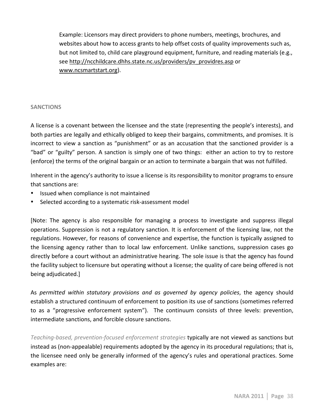Example: Licensors may direct providers to phone numbers, meetings, brochures, and websites about how to access grants to help offset costs of quality improvements such as, but not limited to, child care playground equipment, furniture, and reading materials (e.g., see http://ncchildcare.dhhs.state.nc.us/providers/pv\_providres.asp or www.ncsmartstart.org).

### **SANCTIONS**

A license is a covenant between the licensee and the state (representing the people's interests), and both parties are legally and ethically obliged to keep their bargains, commitments, and promises. It is incorrect to view a sanction as "punishment" or as an accusation that the sanctioned provider is a "bad" or "guilty" person. A sanction is simply one of two things: either an action to try to restore (enforce) the terms of the original bargain or an action to terminate a bargain that was not fulfilled.

Inherent in the agency's authority to issue a license is its responsibility to monitor programs to ensure that sanctions are:

- Issued when compliance is not maintained
- Selected according to a systematic risk-assessment model

[Note: The agency is also responsible for managing a process to investigate and suppress illegal operations. Suppression is not a regulatory sanction. It is enforcement of the licensing law, not the regulations. However, for reasons of convenience and expertise, the function is typically assigned to the licensing agency rather than to local law enforcement. Unlike sanctions, suppression cases go" directly before a court without an administrative hearing. The sole issue is that the agency has found the facility subject to licensure but operating without a license; the quality of care being offered is not being adjudicated.]

As *permitted within statutory provisions and as governed by agency policies*, the agency should establish a structured continuum of enforcement to position its use of sanctions (sometimes referred to as a "progressive enforcement system"). The continuum consists of three levels: prevention, intermediate sanctions, and forcible closure sanctions.

Teaching-based, prevention-focused enforcement strategies typically are not viewed as sanctions but instead as (non-appealable) requirements adopted by the agency in its procedural regulations; that is, the licensee need only be generally informed of the agency's rules and operational practices. Some examples are: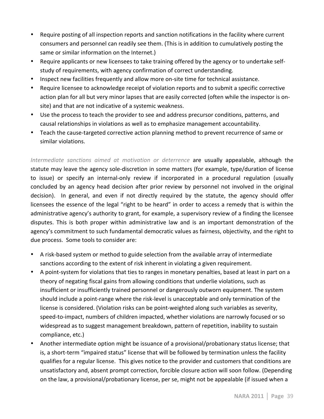- Require posting of all inspection reports and sanction notifications in the facility where current consumers and personnel can readily see them. (This is in addition to cumulatively posting the same or similar information on the Internet.)
- Require applicants or new licensees to take training offered by the agency or to undertake selfstudy of requirements, with agency confirmation of correct understanding.
- Inspect new facilities frequently and allow more on-site time for technical assistance.
- Require licensee to acknowledge receipt of violation reports and to submit a specific corrective action plan for all but very minor lapses that are easily corrected (often while the inspector is onsite) and that are not indicative of a systemic weakness.
- Use the process to teach the provider to see and address precursor conditions, patterns, and causal relationships in violations as well as to emphasize management accountability.
- Teach the cause-targeted corrective action planning method to prevent recurrence of same or similar violations.

Intermediate sanctions aimed at motivation or deterrence are usually appealable, although the statute may leave the agency sole-discretion in some matters (for example, type/duration of license to issue) or specify an internal-only review if incorporated in a procedural regulation (usually concluded by an agency head decision after prior review by personnel not involved in the original decision). In general, and even if not directly required by the statute, the agency should offer licensees the essence of the legal "right to be heard" in order to access a remedy that is within the administrative agency's authority to grant, for example, a supervisory review of a finding the licensee disputes. This is both proper within administrative law and is an important demonstration of the agency's commitment to such fundamental democratic values as fairness, objectivity, and the right to due process. Some tools to consider are:

- A risk-based system or method to guide selection from the available array of intermediate sanctions according to the extent of risk inherent in violating a given requirement.
- A point-system for violations that ties to ranges in monetary penalties, based at least in part on a theory of negating fiscal gains from allowing conditions that underlie violations, such as insufficient or insufficiently trained personnel or dangerously outworn equipment. The system should include a point-range where the risk-level is unacceptable and only termination of the license is considered. (Violation risks can be point-weighted along such variables as severity, speed-to-impact, numbers of children impacted, whether violations are narrowly focused or so widespread as to suggest management breakdown, pattern of repetition, inability to sustain compliance, etc.)
- Another intermediate option might be issuance of a provisional/probationary status license; that is, a short-term "impaired status" license that will be followed by termination unless the facility qualifies for a regular license. This gives notice to the provider and customers that conditions are unsatisfactory and, absent prompt correction, forcible closure action will soon follow. (Depending on the law, a provisional/probationary license, per se, might not be appealable (if issued when a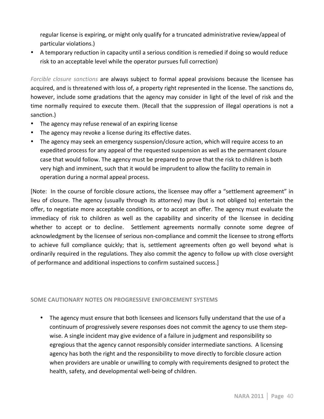regular license is expiring, or might only qualify for a truncated administrative review/appeal of particular violations.)

• A temporary reduction in capacity until a serious condition is remedied if doing so would reduce risk to an acceptable level while the operator pursues full correction)

*Forcible closure sanctions* are always subject to formal appeal provisions because the licensee has acquired, and is threatened with loss of, a property right represented in the license. The sanctions do, however, include some gradations that the agency may consider in light of the level of risk and the time normally required to execute them. (Recall that the suppression of illegal operations is not a sanction.)

- The agency may refuse renewal of an expiring license
- The agency may revoke a license during its effective dates.
- The agency may seek an emergency suspension/closure action, which will require access to an expedited process for any appeal of the requested suspension as well as the permanent closure case that would follow. The agency must be prepared to prove that the risk to children is both very high and imminent, such that it would be imprudent to allow the facility to remain in operation during a normal appeal process.

[Note: In the course of forcible closure actions, the licensee may offer a "settlement agreement" in lieu of closure. The agency (usually through its attorney) may (but is not obliged to) entertain the offer, to negotiate more acceptable conditions, or to accept an offer. The agency must evaluate the immediacy of risk to children as well as the capability and sincerity of the licensee in deciding whether to accept or to decline. Settlement agreements normally connote some degree of acknowledgment by the licensee of serious non-compliance and commit the licensee to strong efforts to achieve full compliance quickly; that is, settlement agreements often go well beyond what is ordinarily required in the regulations. They also commit the agency to follow up with close oversight of performance and additional inspections to confirm sustained success.]

## SOME CAUTIONARY NOTES ON PROGRESSIVE ENFORCEMENT SYSTEMS

• The agency must ensure that both licensees and licensors fully understand that the use of a continuum of progressively severe responses does not commit the agency to use them stepwise. A single incident may give evidence of a failure in judgment and responsibility so egregious that the agency cannot responsibly consider intermediate sanctions. A licensing agency has both the right and the responsibility to move directly to forcible closure action when providers are unable or unwilling to comply with requirements designed to protect the health, safety, and developmental well-being of children.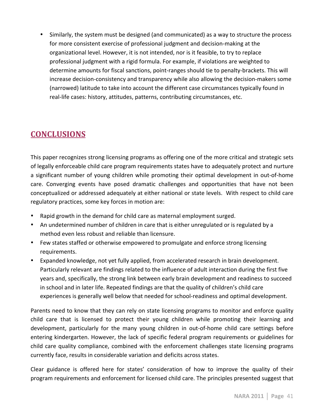• Similarly, the system must be designed (and communicated) as a way to structure the process for more consistent exercise of professional judgment and decision-making at the organizational level. However, it is not intended, nor is it feasible, to try to replace professional judgment with a rigid formula. For example, if violations are weighted to determine amounts for fiscal sanctions, point-ranges should tie to penalty-brackets. This will increase decision-consistency and transparency while also allowing the decision-makers some (narrowed) latitude to take into account the different case circumstances typically found in real-life cases: history, attitudes, patterns, contributing circumstances, etc.

# **CONCLUSIONS!**

This paper recognizes strong licensing programs as offering one of the more critical and strategic sets of legally enforceable child care program requirements states have to adequately protect and nurture a significant number of young children while promoting their optimal development in out-of-home care. Converging events have posed dramatic challenges and opportunities that have not been conceptualized or addressed adequately at either national or state levels. With respect to child care regulatory practices, some key forces in motion are:

- Rapid growth in the demand for child care as maternal employment surged.
- An undetermined number of children in care that is either unregulated or is regulated by a method even less robust and reliable than licensure.
- Few states staffed or otherwise empowered to promulgate and enforce strong licensing requirements.
- Expanded knowledge, not yet fully applied, from accelerated research in brain development. Particularly relevant are findings related to the influence of adult interaction during the first five years and, specifically, the strong link between early brain development and readiness to succeed in school and in later life. Repeated findings are that the quality of children's child care experiences is generally well below that needed for school-readiness and optimal development.

Parents need to know that they can rely on state licensing programs to monitor and enforce quality child care that is licensed to protect their young children while promoting their learning and development, particularly for the many young children in out-of-home child care settings before entering kindergarten. However, the lack of specific federal program requirements or guidelines for child care quality compliance, combined with the enforcement challenges state licensing programs currently face, results in considerable variation and deficits across states.

Clear guidance is offered here for states' consideration of how to improve the quality of their program requirements and enforcement for licensed child care. The principles presented suggest that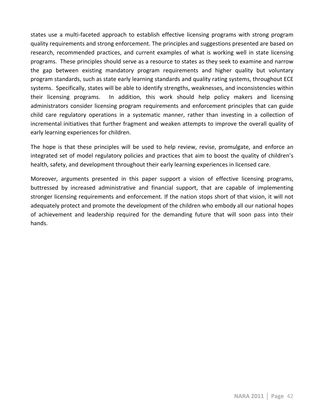states use a multi-faceted approach to establish effective licensing programs with strong program quality requirements and strong enforcement. The principles and suggestions presented are based on research, recommended practices, and current examples of what is working well in state licensing programs. These principles should serve as a resource to states as they seek to examine and narrow the gap between existing mandatory program requirements and higher quality but voluntary program standards, such as state early learning standards and quality rating systems, throughout ECE systems. Specifically, states will be able to identify strengths, weaknesses, and inconsistencies within their licensing programs. In addition, this work should help policy makers and licensing administrators consider licensing program requirements and enforcement principles that can guide child care regulatory operations in a systematic manner, rather than investing in a collection of incremental initiatives that further fragment and weaken attempts to improve the overall quality of early learning experiences for children.

The hope is that these principles will be used to help review, revise, promulgate, and enforce an integrated set of model regulatory policies and practices that aim to boost the quality of children's health, safety, and development throughout their early learning experiences in licensed care.

Moreover, arguments presented in this paper support a vision of effective licensing programs, buttressed by increased administrative and financial support, that are capable of implementing stronger licensing requirements and enforcement. If the nation stops short of that vision, it will not adequately protect and promote the development of the children who embody all our national hopes of achievement and leadership required for the demanding future that will soon pass into their hands."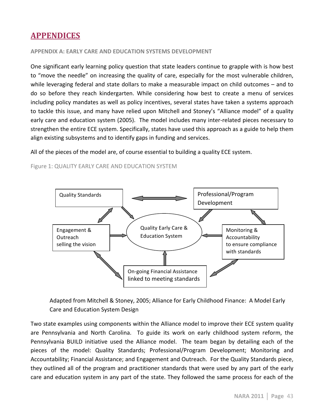# **APPENDICES**

### **APPENDIX A: EARLY CARE AND EDUCATION SYSTEMS DEVELOPMENT**

One significant early learning policy question that state leaders continue to grapple with is how best to "move the needle" on increasing the quality of care, especially for the most vulnerable children, while leveraging federal and state dollars to make a measurable impact on child outcomes – and to do so before they reach kindergarten. While considering how best to create a menu of services including policy mandates as well as policy incentives, several states have taken a systems approach to tackle this issue, and many have relied upon Mitchell and Stoney's "Alliance model" of a quality early care and education system (2005). The model includes many inter-related pieces necessary to strengthen the entire ECE system. Specifically, states have used this approach as a guide to help them align existing subsystems and to identify gaps in funding and services.

All of the pieces of the model are, of course essential to building a quality ECE system.

Figure 1: QUALITY EARLY CARE AND EDUCATION SYSTEM



Adapted from Mitchell & Stoney, 2005; Alliance for Early Childhood Finance: A Model Early Care and Education System Design

Two state examples using components within the Alliance model to improve their ECE system quality are Pennsylvania and North Carolina. To guide its work on early childhood system reform, the Pennsylvania BUILD initiative used the Alliance model. The team began by detailing each of the pieces of the model: Quality Standards; Professional/Program Development; Monitoring and Accountability; Financial Assistance; and Engagement and Outreach. For the Quality Standards piece, they outlined all of the program and practitioner standards that were used by any part of the early care and education system in any part of the state. They followed the same process for each of the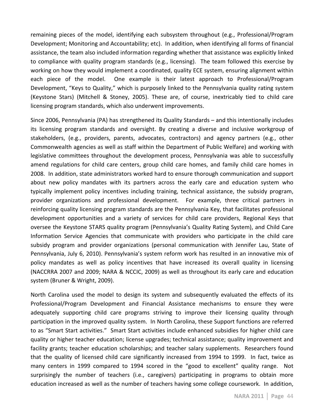remaining pieces of the model, identifying each subsystem throughout (e.g., Professional/Program Development; Monitoring and Accountability; etc). In addition, when identifying all forms of financial assistance, the team also included information regarding whether that assistance was explicitly linked to compliance with quality program standards (e.g., licensing). The team followed this exercise by working on how they would implement a coordinated, quality ECE system, ensuring alignment within each piece of the model. One example is their latest approach to Professional/Program Development, "Keys to Quality," which is purposely linked to the Pennsylvania quality rating system (Keystone Stars) (Mitchell & Stoney, 2005). These are, of course, inextricably tied to child care licensing program standards, which also underwent improvements.

Since 2006, Pennsylvania (PA) has strengthened its Quality Standards – and this intentionally includes its licensing program standards and oversight. By creating a diverse and inclusive workgroup of stakeholders, (e.g., providers, parents, advocates, contractors) and agency partners (e.g., other Commonwealth agencies as well as staff within the Department of Public Welfare) and working with legislative committees throughout the development process, Pennsylvania was able to successfully amend regulations for child care centers, group child care homes, and family child care homes in 2008. In addition, state administrators worked hard to ensure thorough communication and support about new policy mandates with its partners across the early care and education system who typically implement policy incentives including training, technical assistance, the subsidy program, provider organizations and professional development. For example, three critical partners in reinforcing quality licensing program standards are the Pennsylvania Key, that facilitates professional development opportunities and a variety of services for child care providers, Regional Keys that oversee the Keystone STARS quality program (Pennsylvania's Quality Rating System), and Child Care Information Service Agencies that communicate with providers who participate in the child care subsidy program and provider organizations (personal communication with Jennifer Lau, State of Pennsylvania, July 6, 2010). Pennsylvania's system reform work has resulted in an innovative mix of policy mandates as well as policy incentives that have increased its overall quality in licensing (NACCRRA 2007 and 2009; NARA & NCCIC, 2009) as well as throughout its early care and education system (Bruner & Wright, 2009).

North Carolina used the model to design its system and subsequently evaluated the effects of its Professional/Program Development and Financial Assistance mechanisms to ensure they were adequately supporting child care programs striving to improve their licensing quality through participation in the improved quality system. In North Carolina, these Support functions are referred to as "Smart Start activities." Smart Start activities include enhanced subsidies for higher child care quality or higher teacher education; license upgrades; technical assistance; quality improvement and facility grants; teacher education scholarships; and teacher salary supplements. Researchers found that the quality of licensed child care significantly increased from 1994 to 1999. In fact, twice as many centers in 1999 compared to 1994 scored in the "good to excellent" quality range. Not surprisingly the number of teachers (i.e., caregivers) participating in programs to obtain more education increased as well as the number of teachers having some college coursework. In addition,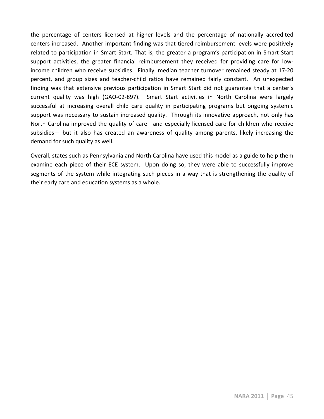the percentage of centers licensed at higher levels and the percentage of nationally accredited centers increased. Another important finding was that tiered reimbursement levels were positively related to participation in Smart Start. That is, the greater a program's participation in Smart Start support activities, the greater financial reimbursement they received for providing care for lowincome children who receive subsidies. Finally, median teacher turnover remained steady at 17-20 percent, and group sizes and teacher-child ratios have remained fairly constant. An unexpected finding was that extensive previous participation in Smart Start did not guarantee that a center's current quality was high (GAO-02-897). Smart Start activities in North Carolina were largely successful at increasing overall child care quality in participating programs but ongoing systemic support was necessary to sustain increased quality. Through its innovative approach, not only has North Carolina improved the quality of care—and especially licensed care for children who receive subsidies— but it also has created an awareness of quality among parents, likely increasing the demand for such quality as well.

Overall, states such as Pennsylvania and North Carolina have used this model as a guide to help them examine each piece of their ECE system. Upon doing so, they were able to successfully improve segments of the system while integrating such pieces in a way that is strengthening the quality of their early care and education systems as a whole.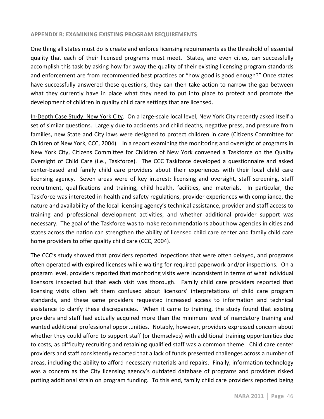#### **APPENDIX B: EXAMINING EXISTING PROGRAM REQUIREMENTS**

One thing all states must do is create and enforce licensing requirements as the threshold of essential quality that each of their licensed programs must meet. States, and even cities, can successfully accomplish this task by asking how far away the quality of their existing licensing program standards and enforcement are from recommended best practices or "how good is good enough?" Once states have successfully answered these questions, they can then take action to narrow the gap between what they currently have in place what they need to put into place to protect and promote the development of children in quality child care settings that are licensed.

In-Depth Case Study: New York City. On a large-scale local level, New York City recently asked itself a set of similar questions. Largely due to accidents and child deaths, negative press, and pressure from families, new State and City laws were designed to protect children in care (Citizens Committee for Children of New York, CCC, 2004). In a report examining the monitoring and oversight of programs in New York City, Citizens Committee for Children of New York convened a Taskforce on the Quality Oversight of Child Care (i.e., Taskforce). The CCC Taskforce developed a questionnaire and asked center-based and family child care providers about their experiences with their local child care licensing agency. Seven areas were of key interest: licensing and oversight, staff screening, staff recruitment, qualifications and training, child health, facilities, and materials. In particular, the Taskforce was interested in health and safety regulations, provider experiences with compliance, the nature and availability of the local licensing agency's technical assistance, provider and staff access to training and professional development activities, and whether additional provider support was necessary. The goal of the Taskforce was to make recommendations about how agencies in cities and states across the nation can strengthen the ability of licensed child care center and family child care home providers to offer quality child care (CCC, 2004).

The CCC's study showed that providers reported inspections that were often delayed, and programs often operated with expired licenses while waiting for required paperwork and/or inspections. On a program level, providers reported that monitoring visits were inconsistent in terms of what individual licensors inspected but that each visit was thorough. Family child care providers reported that licensing visits often left them confused about licensors' interpretations of child care program standards, and these same providers requested increased access to information and technical assistance to clarify these discrepancies. When it came to training, the study found that existing providers and staff had actually acquired more than the minimum level of mandatory training and wanted additional professional opportunities. Notably, however, providers expressed concern about whether they could afford to support staff (or themselves) with additional training opportunities due to costs, as difficulty recruiting and retaining qualified staff was a common theme. Child care center providers and staff consistently reported that a lack of funds presented challenges across a number of areas, including the ability to afford necessary materials and repairs. Finally, information technology was a concern as the City licensing agency's outdated database of programs and providers risked putting additional strain on program funding. To this end, family child care providers reported being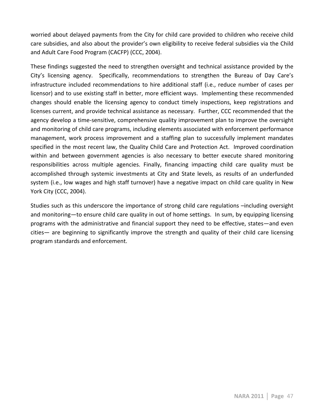worried about delayed payments from the City for child care provided to children who receive child care subsidies, and also about the provider's own eligibility to receive federal subsidies via the Child and Adult Care Food Program (CACFP) (CCC, 2004).

These findings suggested the need to strengthen oversight and technical assistance provided by the City's licensing agency. Specifically, recommendations to strengthen the Bureau of Day Care's infrastructure included recommendations to hire additional staff (i.e., reduce number of cases per licensor) and to use existing staff in better, more efficient ways. Implementing these recommended changes should enable the licensing agency to conduct timely inspections, keep registrations and licenses current, and provide technical assistance as necessary. Further, CCC recommended that the agency develop a time-sensitive, comprehensive quality improvement plan to improve the oversight and monitoring of child care programs, including elements associated with enforcement performance management, work process improvement and a staffing plan to successfully implement mandates specified in the most recent law, the Quality Child Care and Protection Act. Improved coordination within and between government agencies is also necessary to better execute shared monitoring responsibilities across multiple agencies. Finally, financing impacting child care quality must be accomplished through systemic investments at City and State levels, as results of an underfunded system (i.e., low wages and high staff turnover) have a negative impact on child care quality in New York City (CCC, 2004).

Studies such as this underscore the importance of strong child care regulations –including oversight and monitoring—to ensure child care quality in out of home settings. In sum, by equipping licensing programs with the administrative and financial support they need to be effective, states—and even cities— are beginning to significantly improve the strength and quality of their child care licensing program standards and enforcement.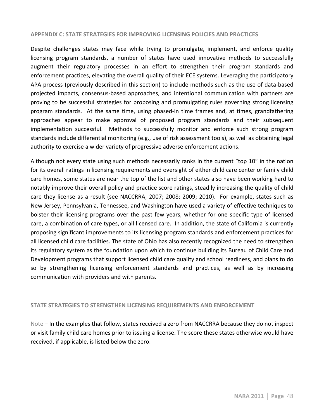#### **APPENDIX C: STATE STRATEGIES FOR IMPROVING LICENSING POLICIES AND PRACTICES**

Despite challenges states may face while trying to promulgate, implement, and enforce quality licensing program standards, a number of states have used innovative methods to successfully augment their regulatory processes in an effort to strengthen their program standards and enforcement practices, elevating the overall quality of their ECE systems. Leveraging the participatory APA process (previously described in this section) to include methods such as the use of data-based projected impacts, consensus-based approaches, and intentional communication with partners are proving to be successful strategies for proposing and promulgating rules governing strong licensing program standards. At the same time, using phased-in time frames and, at times, grandfathering approaches appear to make approval of proposed program standards and their subsequent implementation successful. Methods to successfully monitor and enforce such strong program standards include differential monitoring (e.g., use of risk assessment tools), as well as obtaining legal authority to exercise a wider variety of progressive adverse enforcement actions.

Although not every state using such methods necessarily ranks in the current "top 10" in the nation for its overall ratings in licensing requirements and oversight of either child care center or family child care homes, some states are near the top of the list and other states also have been working hard to notably improve their overall policy and practice score ratings, steadily increasing the quality of child care they license as a result (see NACCRRA, 2007; 2008; 2009; 2010). For example, states such as New Jersey, Pennsylvania, Tennessee, and Washington have used a variety of effective techniques to bolster their licensing programs over the past few years, whether for one specific type of licensed care, a combination of care types, or all licensed care. In addition, the state of California is currently proposing significant improvements to its licensing program standards and enforcement practices for all licensed child care facilities. The state of Ohio has also recently recognized the need to strengthen its regulatory system as the foundation upon which to continue building its Bureau of Child Care and Development programs that support licensed child care quality and school readiness, and plans to do so by strengthening licensing enforcement standards and practices, as well as by increasing communication with providers and with parents.

#### **STATE STRATEGIES TO STRENGTHEN LICENSING REQUIREMENTS AND ENFORCEMENT**

Note – In the examples that follow, states received a zero from NACCRRA because they do not inspect or visit family child care homes prior to issuing a license. The score these states otherwise would have received, if applicable, is listed below the zero.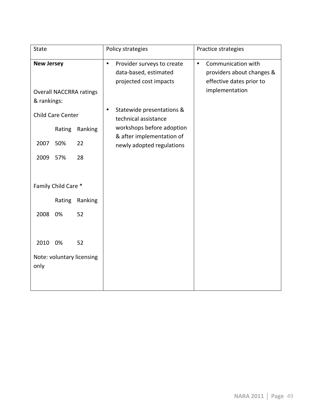| <b>State</b>      |                          |                                |           | Policy strategies                                                             |           | Practice strategies                                                         |
|-------------------|--------------------------|--------------------------------|-----------|-------------------------------------------------------------------------------|-----------|-----------------------------------------------------------------------------|
| <b>New Jersey</b> |                          |                                | $\bullet$ | Provider surveys to create<br>data-based, estimated<br>projected cost impacts | $\bullet$ | Communication with<br>providers about changes &<br>effective dates prior to |
| & rankings:       |                          | <b>Overall NACCRRA ratings</b> |           |                                                                               |           | implementation                                                              |
|                   | <b>Child Care Center</b> |                                | $\bullet$ | Statewide presentations &<br>technical assistance                             |           |                                                                             |
|                   | Rating                   | Ranking                        |           | workshops before adoption<br>& after implementation of                        |           |                                                                             |
| 2007              | 50%                      | 22                             |           | newly adopted regulations                                                     |           |                                                                             |
| 2009              | 57%                      | 28                             |           |                                                                               |           |                                                                             |
|                   |                          |                                |           |                                                                               |           |                                                                             |
|                   | Family Child Care *      |                                |           |                                                                               |           |                                                                             |
|                   | Rating                   | Ranking                        |           |                                                                               |           |                                                                             |
| 2008              | 0%                       | 52                             |           |                                                                               |           |                                                                             |
|                   |                          |                                |           |                                                                               |           |                                                                             |
| 2010              | 0%                       | 52                             |           |                                                                               |           |                                                                             |
| only              |                          | Note: voluntary licensing      |           |                                                                               |           |                                                                             |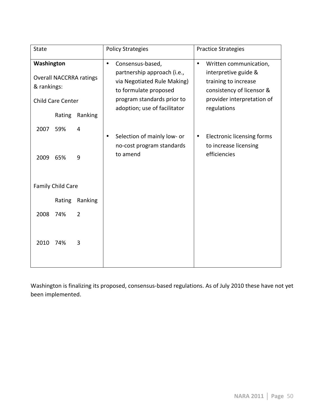| <b>State</b>              |                             |                                           |           | <b>Policy Strategies</b>                                                                                                                                              | <b>Practice Strategies</b> |                                                                                                                                                  |  |
|---------------------------|-----------------------------|-------------------------------------------|-----------|-----------------------------------------------------------------------------------------------------------------------------------------------------------------------|----------------------------|--------------------------------------------------------------------------------------------------------------------------------------------------|--|
| Washington<br>& rankings: | Child Care Center<br>Rating | <b>Overall NACCRRA ratings</b><br>Ranking | $\bullet$ | Consensus-based,<br>partnership approach (i.e.,<br>via Negotiated Rule Making)<br>to formulate proposed<br>program standards prior to<br>adoption; use of facilitator | $\bullet$                  | Written communication,<br>interpretive guide &<br>training to increase<br>consistency of licensor &<br>provider interpretation of<br>regulations |  |
| 2007<br>2009              | 59%<br>65%                  | 4<br>9                                    |           | Selection of mainly low- or<br>no-cost program standards<br>to amend                                                                                                  |                            | <b>Electronic licensing forms</b><br>to increase licensing<br>efficiencies                                                                       |  |
|                           | Family Child Care           |                                           |           |                                                                                                                                                                       |                            |                                                                                                                                                  |  |
|                           | Rating                      | Ranking                                   |           |                                                                                                                                                                       |                            |                                                                                                                                                  |  |
| 2008                      | 74%                         | $\overline{2}$                            |           |                                                                                                                                                                       |                            |                                                                                                                                                  |  |
| 2010                      | 74%                         | 3                                         |           |                                                                                                                                                                       |                            |                                                                                                                                                  |  |

Washington is finalizing its proposed, consensus-based regulations. As of July 2010 these have not yet been implemented.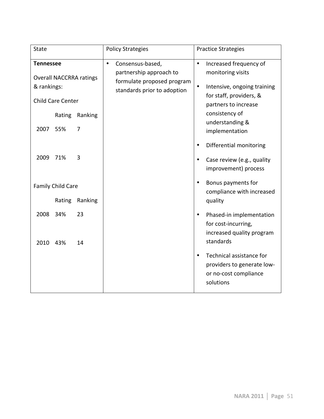| <b>State</b>                                                                                  |                          |          | <b>Policy Strategies</b>                                                                                              | <b>Practice Strategies</b>                                                                                                                              |
|-----------------------------------------------------------------------------------------------|--------------------------|----------|-----------------------------------------------------------------------------------------------------------------------|---------------------------------------------------------------------------------------------------------------------------------------------------------|
| <b>Tennessee</b><br><b>Overall NACCRRA ratings</b><br>& rankings:<br><b>Child Care Center</b> |                          |          | Consensus-based,<br>$\bullet$<br>partnership approach to<br>formulate proposed program<br>standards prior to adoption | Increased frequency of<br>$\bullet$<br>monitoring visits<br>$\bullet$<br>Intensive, ongoing training<br>for staff, providers, &<br>partners to increase |
|                                                                                               | Rating                   | Ranking  |                                                                                                                       | consistency of                                                                                                                                          |
| 2007                                                                                          | 55%                      | 7        |                                                                                                                       | understanding &<br>implementation                                                                                                                       |
| 2009                                                                                          | 71%                      | 3        |                                                                                                                       | Differential monitoring<br>٠<br>Case review (e.g., quality<br>improvement) process                                                                      |
|                                                                                               | <b>Family Child Care</b> |          |                                                                                                                       | Bonus payments for<br>$\bullet$<br>compliance with increased                                                                                            |
|                                                                                               | Rating                   | Ranking  |                                                                                                                       | quality                                                                                                                                                 |
| 2008<br>2010                                                                                  | 34%<br>43%               | 23<br>14 |                                                                                                                       | Phased-in implementation<br>$\bullet$<br>for cost-incurring,<br>increased quality program<br>standards                                                  |
|                                                                                               |                          |          |                                                                                                                       | Technical assistance for<br>$\bullet$<br>providers to generate low-<br>or no-cost compliance<br>solutions                                               |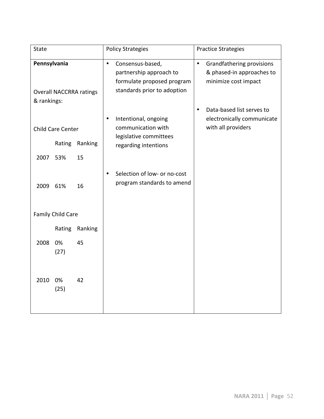| <b>State</b>                                                  |                          |         |           | <b>Policy Strategies</b>                                                                                 |           | <b>Practice Strategies</b>                                                     |
|---------------------------------------------------------------|--------------------------|---------|-----------|----------------------------------------------------------------------------------------------------------|-----------|--------------------------------------------------------------------------------|
| Pennsylvania<br><b>Overall NACCRRA ratings</b><br>& rankings: |                          |         | $\bullet$ | Consensus-based,<br>partnership approach to<br>formulate proposed program<br>standards prior to adoption | $\bullet$ | Grandfathering provisions<br>& phased-in approaches to<br>minimize cost impact |
|                                                               | <b>Child Care Center</b> |         |           | Intentional, ongoing<br>communication with                                                               | $\bullet$ | Data-based list serves to<br>electronically communicate<br>with all providers  |
|                                                               | Rating                   | Ranking |           | legislative committees<br>regarding intentions                                                           |           |                                                                                |
| 2007                                                          | 53%                      | 15      |           |                                                                                                          |           |                                                                                |
| 2009                                                          | 61%                      | 16      |           | Selection of low- or no-cost<br>program standards to amend                                               |           |                                                                                |
|                                                               | <b>Family Child Care</b> |         |           |                                                                                                          |           |                                                                                |
|                                                               | Rating                   | Ranking |           |                                                                                                          |           |                                                                                |
| 2008                                                          | 0%<br>(27)               | 45      |           |                                                                                                          |           |                                                                                |
| 2010                                                          | 0%<br>(25)               | 42      |           |                                                                                                          |           |                                                                                |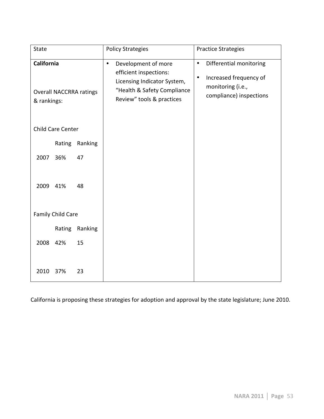| State                     |                          |                                |           | <b>Policy Strategies</b>                                                                                                                 |                        | <b>Practice Strategies</b>                                                                        |
|---------------------------|--------------------------|--------------------------------|-----------|------------------------------------------------------------------------------------------------------------------------------------------|------------------------|---------------------------------------------------------------------------------------------------|
| California<br>& rankings: |                          | <b>Overall NACCRRA ratings</b> | $\bullet$ | Development of more<br>efficient inspections:<br>Licensing Indicator System,<br>"Health & Safety Compliance<br>Review" tools & practices | $\bullet$<br>$\bullet$ | Differential monitoring<br>Increased frequency of<br>monitoring (i.e.,<br>compliance) inspections |
|                           | Child Care Center        |                                |           |                                                                                                                                          |                        |                                                                                                   |
|                           | Rating                   | Ranking                        |           |                                                                                                                                          |                        |                                                                                                   |
| 2007                      | 36%                      | 47                             |           |                                                                                                                                          |                        |                                                                                                   |
| 2009                      | 41%                      | 48                             |           |                                                                                                                                          |                        |                                                                                                   |
|                           | <b>Family Child Care</b> |                                |           |                                                                                                                                          |                        |                                                                                                   |
|                           | Rating                   | Ranking                        |           |                                                                                                                                          |                        |                                                                                                   |
| 2008                      | 42%                      | 15                             |           |                                                                                                                                          |                        |                                                                                                   |
| 2010                      | 37%                      | 23                             |           |                                                                                                                                          |                        |                                                                                                   |

California is proposing these strategies for adoption and approval by the state legislature; June 2010.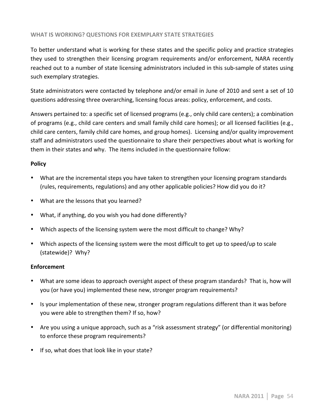## WHAT IS WORKING? QUESTIONS FOR EXEMPLARY STATE STRATEGIES

To better understand what is working for these states and the specific policy and practice strategies they used to strengthen their licensing program requirements and/or enforcement, NARA recently reached out to a number of state licensing administrators included in this sub-sample of states using such exemplary strategies.

State administrators were contacted by telephone and/or email in June of 2010 and sent a set of 10 questions addressing three overarching, licensing focus areas: policy, enforcement, and costs.

Answers pertained to: a specific set of licensed programs (e.g., only child care centers); a combination of programs (e.g., child care centers and small family child care homes); or all licensed facilities (e.g., child care centers, family child care homes, and group homes). Licensing and/or quality improvement staff and administrators used the questionnaire to share their perspectives about what is working for them in their states and why. The items included in the questionnaire follow:

## **Policy**

- What are the incremental steps you have taken to strengthen your licensing program standards (rules, requirements, regulations) and any other applicable policies? How did you do it?
- What are the lessons that you learned?
- What, if anything, do you wish you had done differently?
- Which aspects of the licensing system were the most difficult to change? Why?
- Which aspects of the licensing system were the most difficult to get up to speed/up to scale (statewide)? Why?

## **Enforcement**

- What are some ideas to approach oversight aspect of these program standards? That is, how will you (or have you) implemented these new, stronger program requirements?
- Is your implementation of these new, stronger program regulations different than it was before you were able to strengthen them? If so, how?
- Are you using a unique approach, such as a "risk assessment strategy" (or differential monitoring) to enforce these program requirements?
- If so, what does that look like in your state?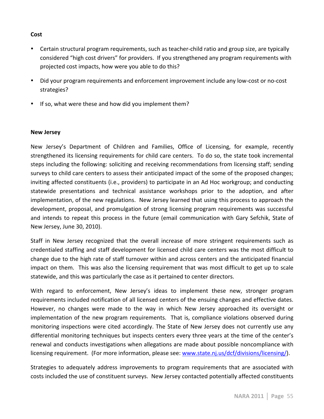## **Cost!**

- Certain structural program requirements, such as teacher-child ratio and group size, are typically considered "high cost drivers" for providers. If you strengthened any program requirements with projected cost impacts, how were you able to do this?
- Did your program requirements and enforcement improvement include any low-cost or no-cost strategies?
- If so, what were these and how did you implement them?

## **New!Jersey**

New Jersey's Department of Children and Families, Office of Licensing, for example, recently strengthened its licensing requirements for child care centers. To do so, the state took incremental steps including the following: soliciting and receiving recommendations from licensing staff; sending surveys to child care centers to assess their anticipated impact of the some of the proposed changes; inviting affected constituents (i.e., providers) to participate in an Ad Hoc workgroup; and conducting statewide presentations and technical assistance workshops prior to the adoption, and after implementation, of the new regulations. New Jersey learned that using this process to approach the development, proposal, and promulgation of strong licensing program requirements was successful and intends to repeat this process in the future (email communication with Gary Sefchik, State of New Jersey, June 30, 2010).

Staff in New Jersey recognized that the overall increase of more stringent requirements such as credentialed staffing and staff development for licensed child care centers was the most difficult to change due to the high rate of staff turnover within and across centers and the anticipated financial impact on them. This was also the licensing requirement that was most difficult to get up to scale statewide, and this was particularly the case as it pertained to center directors.

With regard to enforcement, New Jersey's ideas to implement these new, stronger program requirements included notification of all licensed centers of the ensuing changes and effective dates. However, no changes were made to the way in which New Jersey approached its oversight or implementation of the new program requirements. That is, compliance violations observed during monitoring inspections were cited accordingly. The State of New Jersey does not currently use any differential monitoring techniques but inspects centers every three years at the time of the center's renewal and conducts investigations when allegations are made about possible noncompliance with licensing requirement. (For more information, please see: www.state.nj.us/dcf/divisions/licensing/).

Strategies to adequately address improvements to program requirements that are associated with costs included the use of constituent surveys. New Jersey contacted potentially affected constituents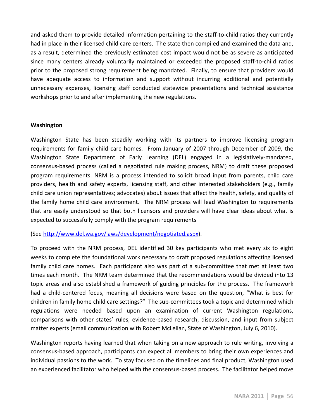and asked them to provide detailed information pertaining to the staff-to-child ratios they currently had in place in their licensed child care centers. The state then compiled and examined the data and, as a result, determined the previously estimated cost impact would not be as severe as anticipated since many centers already voluntarily maintained or exceeded the proposed staff-to-child ratios prior to the proposed strong requirement being mandated. Finally, to ensure that providers would have adequate access to information and support without incurring additional and potentially unnecessary expenses, licensing staff conducted statewide presentations and technical assistance workshops prior to and after implementing the new regulations.

## **Washington**

Washington State has been steadily working with its partners to improve licensing program requirements for family child care homes. From January of 2007 through December of 2009, the Washington State Department of Early Learning (DEL) engaged in a legislatively-mandated, consensus-based process (called a negotiated rule making process, NRM) to draft these proposed program requirements. NRM is a process intended to solicit broad input from parents, child care providers, health and safety experts, licensing staff, and other interested stakeholders (e.g., family child care union representatives; advocates) about issues that affect the health, safety, and quality of the family home child care environment. The NRM process will lead Washington to requirements that are easily understood so that both licensors and providers will have clear ideas about what is expected to successfully comply with the program requirements

(See http://www.del.wa.gov/laws/development/negotiated.aspx).

To proceed with the NRM process, DEL identified 30 key participants who met every six to eight weeks to complete the foundational work necessary to draft proposed regulations affecting licensed family child care homes. Each participant also was part of a sub-committee that met at least two times each month. The NRM team determined that the recommendations would be divided into 13 topic areas and also established a framework of guiding principles for the process. The framework had a child-centered focus, meaning all decisions were based on the question, "What is best for children in family home child care settings?" The sub-committees took a topic and determined which regulations were needed based upon an examination of current Washington regulations, comparisons with other states' rules, evidence-based research, discussion, and input from subject matter experts (email communication with Robert McLellan, State of Washington, July 6, 2010).

Washington reports having learned that when taking on a new approach to rule writing, involving a consensus-based approach, participants can expect all members to bring their own experiences and individual passions to the work. To stay focused on the timelines and final product, Washington used an experienced facilitator who helped with the consensus-based process. The facilitator helped move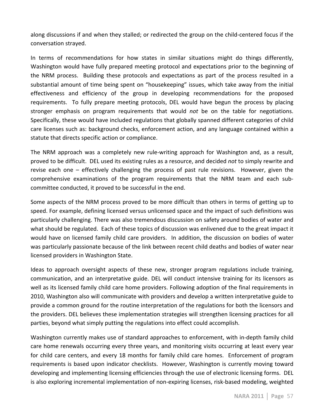along discussions if and when they stalled; or redirected the group on the child-centered focus if the conversation strayed.

In terms of recommendations for how states in similar situations might do things differently, Washington would have fully prepared meeting protocol and expectations prior to the beginning of the NRM process. Building these protocols and expectations as part of the process resulted in a substantial amount of time being spent on "housekeeping" issues, which take away from the initial effectiveness and efficiency of the group in developing recommendations for the proposed requirements. To fully prepare meeting protocols, DEL would have begun the process by placing stronger emphasis on program requirements that would *not* be on the table for negotiations. Specifically, these would have included regulations that globally spanned different categories of child care licenses such as: background checks, enforcement action, and any language contained within a statute that directs specific action or compliance.

The NRM approach was a completely new rule-writing approach for Washington and, as a result, proved to be difficult." DEL used its existing rules as a resource, and decided *not* to simply rewrite and revise each one – effectively challenging the process of past rule revisions. However, given the comprehensive examinations of the program requirements that the NRM team and each subcommittee conducted, it proved to be successful in the end.

Some aspects of the NRM process proved to be more difficult than others in terms of getting up to speed. For example, defining licensed versus unlicensed space and the impact of such definitions was particularly challenging. There was also tremendous discussion on safety around bodies of water and what should be regulated. Each of these topics of discussion was enlivened due to the great impact it would have on licensed family child care providers. In addition, the discussion on bodies of water was particularly passionate because of the link between recent child deaths and bodies of water near licensed providers in Washington State.

Ideas to approach oversight aspects of these new, stronger program regulations include training, communication, and an interpretative guide. DEL will conduct intensive training for its licensors as well as its licensed family child care home providers. Following adoption of the final requirements in 2010, Washington also will communicate with providers and develop a written interpretative guide to provide a common ground for the routine interpretation of the regulations for both the licensors and the providers. DEL believes these implementation strategies will strengthen licensing practices for all parties, beyond what simply putting the regulations into effect could accomplish.

Washington currently makes use of standard approaches to enforcement, with in-depth family child care home renewals occurring every three years, and monitoring visits occurring at least every year for child care centers, and every 18 months for family child care homes. Enforcement of program requirements is based upon indicator checklists. However, Washington is currently moving toward developing and implementing licensing efficiencies through the use of electronic licensing forms. DEL is also exploring incremental implementation of non-expiring licenses, risk-based modeling, weighted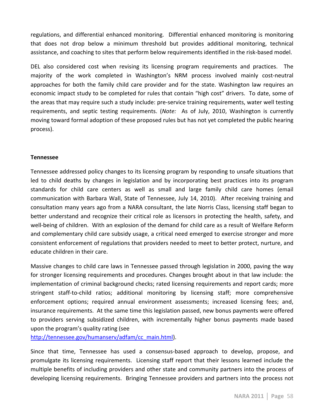regulations, and differential enhanced monitoring. Differential enhanced monitoring is monitoring that does not drop below a minimum threshold but provides additional monitoring, technical assistance, and coaching to sites that perform below requirements identified in the risk-based model.

DEL also considered cost when revising its licensing program requirements and practices. The majority of the work completed in Washington's NRM process involved mainly cost-neutral approaches for both the family child care provider and for the state. Washington law requires an economic impact study to be completed for rules that contain "high cost" drivers. To date, some of the areas that may require such a study include: pre-service training requirements, water well testing requirements, and septic testing requirements. (*Note:* As of July, 2010, Washington is currently moving toward formal adoption of these proposed rules but has not yet completed the public hearing process).

## **Tennessee**

Tennessee addressed policy changes to its licensing program by responding to unsafe situations that led to child deaths by changes in legislation and by incorporating best practices into its program standards for child care centers as well as small and large family child care homes (email communication with Barbara Wall, State of Tennessee, July 14, 2010). After receiving training and consultation many years ago from a NARA consultant, the late Norris Class, licensing staff began to better understand and recognize their critical role as licensors in protecting the health, safety, and well-being of children. With an explosion of the demand for child care as a result of Welfare Reform and complementary child care subsidy usage, a critical need emerged to exercise stronger and more consistent enforcement of regulations that providers needed to meet to better protect, nurture, and educate children in their care.

Massive changes to child care laws in Tennessee passed through legislation in 2000, paving the way for stronger licensing requirements and procedures. Changes brought about in that law include: the implementation of criminal background checks; rated licensing requirements and report cards; more stringent staff-to-child ratios; additional monitoring by licensing staff; more comprehensive enforcement options; required annual environment assessments; increased licensing fees; and, insurance requirements. At the same time this legislation passed, new bonus payments were offered to providers serving subsidized children, with incrementally higher bonus payments made based upon the program's quality rating (see

http://tennessee.gov/humanserv/adfam/cc\_main.html).

Since that time, Tennessee has used a consensus-based approach to develop, propose, and promulgate its licensing requirements. Licensing staff report that their lessons learned include the multiple benefits of including providers and other state and community partners into the process of developing licensing requirements. "Bringing Tennessee providers and partners into the process not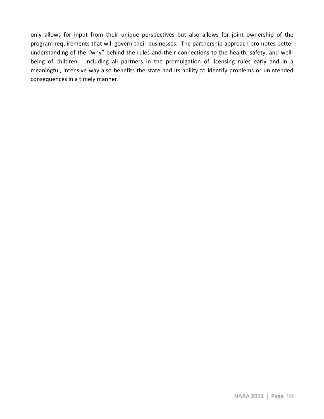only allows for input from their unique perspectives but also allows for joint ownership of the program requirements that will govern their businesses. The partnership approach promotes better understanding of the "why" behind the rules and their connections to the health, safety, and wellbeing of children. Including all partners in the promulgation of licensing rules early and in a meaningful, intensive way also benefits the state and its ability to identify problems or unintended consequences in a timely manner.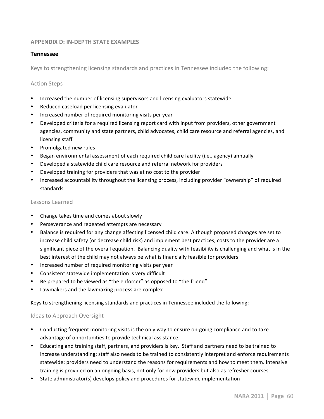## **APPENDIX D: IN-DEPTH STATE EXAMPLES**

### **Tennessee**

Keys to strengthening licensing standards and practices in Tennessee included the following:

#### **Action Steps**

- Increased the number of licensing supervisors and licensing evaluators statewide
- Reduced caseload per licensing evaluator
- Increased number of required monitoring visits per year
- Developed criteria for a required licensing report card with input from providers, other government agencies, community and state partners, child advocates, child care resource and referral agencies, and licensing staff
- Promulgated new rules
- Began environmental assessment of each required child care facility (i.e., agency) annually
- Developed a statewide child care resource and referral network for providers
- Developed training for providers that was at no cost to the provider
- Increased accountability throughout the licensing process, including provider "ownership" of required standards

#### Lessons Learned

- Change takes time and comes about slowly
- Perseverance and repeated attempts are necessary
- Balance is required for any change affecting licensed child care. Although proposed changes are set to increase child safety (or decrease child risk) and implement best practices, costs to the provider are a significant piece of the overall equation. Balancing quality with feasibility is challenging and what is in the best interest of the child may not always be what is financially feasible for providers
- Increased number of required monitoring visits per year
- Consistent statewide implementation is very difficult
- Be prepared to be viewed as "the enforcer" as opposed to "the friend"
- Lawmakers and the lawmaking process are complex

Keys to strengthening licensing standards and practices in Tennessee included the following:

#### Ideas to Approach Oversight

- Conducting frequent monitoring visits is the only way to ensure on-going compliance and to take advantage of opportunities to provide technical assistance.
- Educating and training staff, partners, and providers is key. Staff and partners need to be trained to increase understanding; staff also needs to be trained to consistently interpret and enforce requirements statewide; providers need to understand the reasons for requirements and how to meet them. Intensive training is provided on an ongoing basis, not only for new providers but also as refresher courses.
- State administrator(s) develops policy and procedures for statewide implementation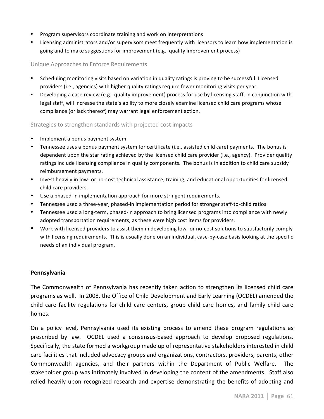- Program supervisors coordinate training and work on interpretations
- Licensing administrators and/or supervisors meet frequently with licensors to learn how implementation is going and to make suggestions for improvement (e.g., quality improvement process)

## Unique Approaches to Enforce Requirements

- Scheduling monitoring visits based on variation in quality ratings is proving to be successful. Licensed providers (i.e., agencies) with higher quality ratings require fewer monitoring visits per year.
- Developing a case review (e.g., quality improvement) process for use by licensing staff, in conjunction with legal staff, will increase the state's ability to more closely examine licensed child care programs whose compliance (or lack thereof) may warrant legal enforcement action.

#### Strategies to strengthen standards with projected cost impacts

- Implement a bonus payment system.
- Tennessee uses a bonus payment system for certificate (i.e., assisted child care) payments. The bonus is dependent upon the star rating achieved by the licensed child care provider (i.e., agency). Provider quality ratings include licensing compliance in quality components. The bonus is in addition to child care subsidy reimbursement payments.
- Invest heavily in low- or no-cost technical assistance, training, and educational opportunities for licensed child care providers.
- Use a phased-in implementation approach for more stringent requirements.
- Tennessee used a three-year, phased-in implementation period for stronger staff-to-child ratios
- Tennessee used a long-term, phased-in approach to bring licensed programs into compliance with newly adopted transportation requirements, as these were high cost items for providers.
- Work with licensed providers to assist them in developing low- or no-cost solutions to satisfactorily comply with licensing requirements. This is usually done on an individual, case-by-case basis looking at the specific needs of an individual program.

#### **Pennsylvania**

The Commonwealth of Pennsylvania has recently taken action to strengthen its licensed child care programs as well. In 2008, the Office of Child Development and Early Learning (OCDEL) amended the child care facility regulations for child care centers, group child care homes, and family child care homes.

On a policy level, Pennsylvania used its existing process to amend these program regulations as prescribed by law. " OCDEL used a consensus-based approach to develop proposed regulations. Specifically, the state formed a workgroup made up of representative stakeholders interested in child care facilities that included advocacy groups and organizations, contractors, providers, parents, other Commonwealth agencies, and their partners within the Department of Public Welfare. The stakeholder group was intimately involved in developing the content of the amendments. Staff also relied heavily upon recognized research and expertise demonstrating the benefits of adopting and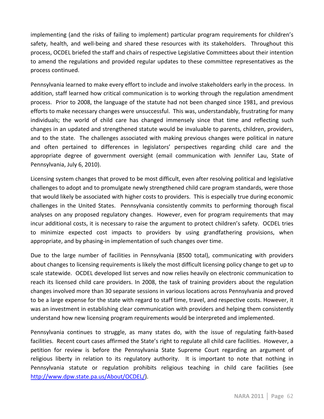implementing (and the risks of failing to implement) particular program requirements for children's safety, health, and well-being and shared these resources with its stakeholders. Throughout this process, OCDEL briefed the staff and chairs of respective Legislative Committees about their intention to amend the regulations and provided regular updates to these committee representatives as the process continued.

Pennsylvania learned to make every effort to include and involve stakeholders early in the process. In addition, staff learned how critical communication is to working through the regulation amendment process. Prior to 2008, the language of the statute had not been changed since 1981, and previous efforts to make necessary changes were unsuccessful. This was, understandably, frustrating for many individuals; the world of child care has changed immensely since that time and reflecting such changes in an updated and strengthened statute would be invaluable to parents, children, providers, and to the state. The challenges associated with making previous changes were political in nature and often pertained to differences in legislators' perspectives regarding child care and the appropriate degree of government oversight (email communication with Jennifer Lau, State of Pennsylvania, July 6, 2010).

Licensing system changes that proved to be most difficult, even after resolving political and legislative challenges to adopt and to promulgate newly strengthened child care program standards, were those that would likely be associated with higher costs to providers. This is especially true during economic challenges in the United States. Pennsylvania consistently commits to performing thorough fiscal analyses on any proposed regulatory changes. However, even for program requirements that may incur additional costs, it is necessary to raise the argument to protect children's safety. OCDEL tries to minimize expected cost impacts to providers by using grandfathering provisions, when appropriate, and by phasing-in implementation of such changes over time.

Due to the large number of facilities in Pennsylvania (8500 total), communicating with providers about changes to licensing requirements is likely the most difficult licensing policy change to get up to scale statewide. "OCDEL developed list serves and now relies heavily on electronic communication to reach its licensed child care providers. In 2008, the task of training providers about the regulation changes involved more than 30 separate sessions in various locations across Pennsylvania and proved to be a large expense for the state with regard to staff time, travel, and respective costs. However, it was an investment in establishing clear communication with providers and helping them consistently understand how new licensing program requirements would be interpreted and implemented.

Pennsylvania continues to struggle, as many states do, with the issue of regulating faith-based facilities. Recent court cases affirmed the State's right to regulate all child care facilities. However, a petition for review is before the Pennsylvania State Supreme Court regarding an argument of religious liberty in relation to its regulatory authority. It is important to note that nothing in Pennsylvania statute or regulation prohibits religious teaching in child care facilities (see http://www.dpw.state.pa.us/About/OCDEL/).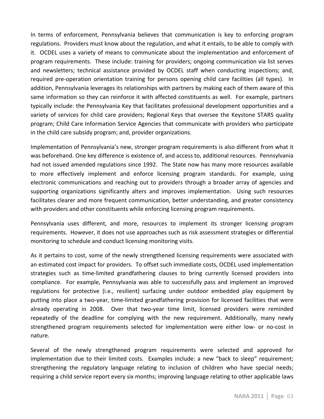In terms of enforcement, Pennsylvania believes that communication is key to enforcing program regulations. Providers must know about the regulation, and what it entails, to be able to comply with it. OCDEL uses a variety of means to communicate about the implementation and enforcement of program requirements. These include: training for providers; ongoing communication via list serves and newsletters; technical assistance provided by OCDEL staff when conducting inspections; and, required pre-operation orientation training for persons opening child care facilities (all types). In addition, Pennsylvania leverages its relationships with partners by making each of them aware of this same information so they can reinforce it with affected constituents as well. For example, partners typically include: the Pennsylvania Key that facilitates professional development opportunities and a variety of services for child care providers; Regional Keys that oversee the Keystone STARS quality program; Child Care Information Service Agencies that communicate with providers who participate in the child care subsidy program; and, provider organizations.

Implementation of Pennsylvania's new, stronger program requirements is also different from what it was beforehand. One key difference is existence of, and access to, additional resources. Pennsylvania had not issued amended regulations since 1992. The State now has many more resources available to more effectively implement and enforce licensing program standards. For example, using electronic communications and reaching out to providers through a broader array of agencies and supporting organizations significantly alters and improves implementation. Using such resources facilitates clearer and more frequent communication, better understanding, and greater consistency with providers and other constituents while enforcing licensing program requirements.

Pennsylvania uses different, and more, resources to implement its stronger licensing program requirements. However, it does not use approaches such as risk assessment strategies or differential monitoring to schedule and conduct licensing monitoring visits.

As it pertains to cost, some of the newly strengthened licensing requirements were associated with an estimated cost impact for providers. To offset such immediate costs, OCDEL used implementation strategies such as time-limited grandfathering clauses to bring currently licensed providers into compliance. For example, Pennsylvania was able to successfully pass and implement an improved regulations for protective (i.e., resilient) surfacing under outdoor embedded play equipment by putting into place a two-year, time-limited grandfathering provision for licensed facilities that were already operating in 2008. Over that two-year time limit, licensed providers were reminded repeatedly of the deadline for complying with the new requirement. Additionally, many newly strengthened program requirements selected for implementation were either low- or no-cost in nature.

Several of the newly strengthened program requirements were selected and approved for implementation due to their limited costs. Examples include: a new "back to sleep" requirement; strengthening the regulatory language relating to inclusion of children who have special needs; requiring a child service report every six months; improving language relating to other applicable laws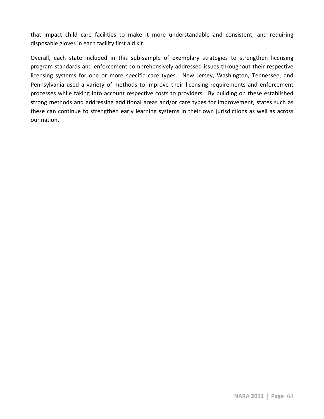that impact child care facilities to make it more understandable and consistent; and requiring disposable gloves in each facility first aid kit.

Overall, each state included in this sub-sample of exemplary strategies to strengthen licensing program standards and enforcement comprehensively addressed issues throughout their respective licensing systems for one or more specific care types. New Jersey, Washington, Tennessee, and Pennsylvania used a variety of methods to improve their licensing requirements and enforcement processes while taking into account respective costs to providers. By building on these established strong methods and addressing additional areas and/or care types for improvement, states such as these can continue to strengthen early learning systems in their own jurisdictions as well as across our nation.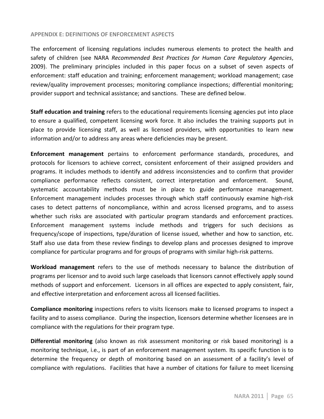#### **APPENDIX E: DEFINITIONS OF ENFORCEMENT ASPECTS**

The enforcement of licensing regulations includes numerous elements to protect the health and safety of children (see NARA *Recommended Best Practices for Human Care Regulatory Agencies*, 2009). The preliminary principles included in this paper focus on a subset of seven aspects of enforcement: staff education and training; enforcement management; workload management; case review/quality improvement processes; monitoring compliance inspections; differential monitoring; provider support and technical assistance; and sanctions. These are defined below.

**Staff education and training** refers to the educational requirements licensing agencies put into place to ensure a qualified, competent licensing work force. It also includes the training supports put in place to provide licensing staff, as well as licensed providers, with opportunities to learn new information and/or to address any areas where deficiencies may be present.

**Enforcement management** pertains to enforcement performance standards, procedures, and protocols for licensors to achieve correct, consistent enforcement of their assigned providers and programs. It includes methods to identify and address inconsistencies and to confirm that provider compliance performance reflects consistent, correct interpretation and enforcement. Sound, systematic accountability methods must be in place to guide performance management. Enforcement management includes processes through which staff continuously examine high-risk cases to detect patterns of noncompliance, within and across licensed programs, and to assess whether such risks are associated with particular program standards and enforcement practices. Enforcement management systems include methods and triggers for such decisions as frequency/scope of inspections, type/duration of license issued, whether and how to sanction, etc. Staff also use data from these review findings to develop plans and processes designed to improve compliance for particular programs and for groups of programs with similar high-risk patterns.

**Workload management** refers to the use of methods necessary to balance the distribution of programs per licensor and to avoid such large caseloads that licensors cannot effectively apply sound methods of support and enforcement. Licensors in all offices are expected to apply consistent, fair, and effective interpretation and enforcement across all licensed facilities.

**Compliance monitoring** inspections refers to visits licensors make to licensed programs to inspect a facility and to assess compliance. "During the inspection, licensors determine whether licensees are in compliance with the regulations for their program type.

**Differential monitoring** (also known as risk assessment monitoring or risk based monitoring) is a monitoring technique, i.e., is part of an enforcement management system. Its specific function is to determine the frequency or depth of monitoring based on an assessment of a facility's level of compliance with regulations. Facilities that have a number of citations for failure to meet licensing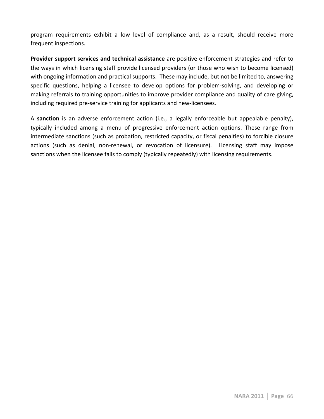program requirements exhibit a low level of compliance and, as a result, should receive more frequent inspections.

**Provider support services and technical assistance** are positive enforcement strategies and refer to the ways in which licensing staff provide licensed providers (or those who wish to become licensed) with ongoing information and practical supports. These may include, but not be limited to, answering specific questions, helping a licensee to develop options for problem-solving, and developing or making referrals to training opportunities to improve provider compliance and quality of care giving, including required pre-service training for applicants and new-licensees.

A **sanction** is an adverse enforcement action (i.e., a legally enforceable but appealable penalty), typically included among a menu of progressive enforcement action options. These range from intermediate sanctions (such as probation, restricted capacity, or fiscal penalties) to forcible closure actions (such as denial, non-renewal, or revocation of licensure). Licensing staff may impose sanctions when the licensee fails to comply (typically repeatedly) with licensing requirements.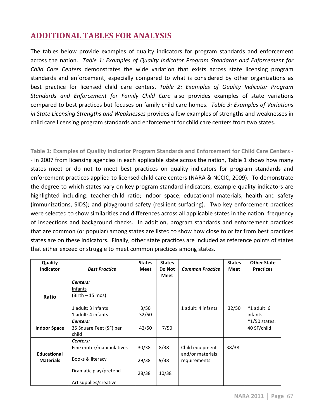# **ADDITIONAL TABLES FOR ANALYSIS**

The tables below provide examples of quality indicators for program standards and enforcement across the nation. Table 1: Examples of Quality Indicator Program Standards and Enforcement for *Child Care Centers* demonstrates the wide variation that exists across state licensing program standards and enforcement, especially compared to what is considered by other organizations as best practice for licensed child care centers. Table 2: Examples of Quality Indicator Program *Standards and Enforcement for Family Child Care also provides examples of state variations* compared to best practices but focuses on family child care homes. Table 3: Examples of Variations *in State Licensing Strengths and Weaknesses* provides a few examples of strengths and weaknesses in child care licensing program standards and enforcement for child care centers from two states.

Table 1: Examples of Quality Indicator Program Standards and Enforcement for Child Care Centers -- in 2007 from licensing agencies in each applicable state across the nation, Table 1 shows how many states meet or do not to meet best practices on quality indicators for program standards and enforcement practices applied to licensed child care centers (NARA & NCCIC, 2009). To demonstrate the degree to which states vary on key program standard indicators, example quality indicators are highlighted including: teacher-child ratio; indoor space; educational materials; health and safety (immunizations, SIDS); and playground safety (resilient surfacing). Two key enforcement practices were selected to show similarities and differences across all applicable states in the nation: frequency of inspections and background checks. In addition, program standards and enforcement practices that are common (or popular) among states are listed to show how close to or far from best practices states are on these indicators. Finally, other state practices are included as reference points of states that either exceed or struggle to meet common practices among states.

| <b>Quality</b>      |                          | <b>States</b> | <b>States</b> |                        | <b>States</b> | <b>Other State</b> |
|---------------------|--------------------------|---------------|---------------|------------------------|---------------|--------------------|
| <b>Indicator</b>    | <b>Best Practice</b>     | <b>Meet</b>   | Do Not        | <b>Common Practice</b> | Meet          | <b>Practices</b>   |
|                     |                          |               | Meet          |                        |               |                    |
|                     | Centers:                 |               |               |                        |               |                    |
|                     | Infants                  |               |               |                        |               |                    |
| Ratio               | (Birth – 15 mos)         |               |               |                        |               |                    |
|                     |                          |               |               |                        |               |                    |
|                     | 1 adult: 3 infants       | 3/50          |               | 1 adult: 4 infants     | 32/50         | $*1$ adult: 6      |
|                     | 1 adult: 4 infants       | 32/50         |               |                        |               | infants            |
|                     | Centers:                 |               |               |                        |               | $*1/50$ states:    |
| <b>Indoor Space</b> | 35 Square Feet (SF) per  | 42/50         | 7/50          |                        |               | 40 SF/child        |
|                     | child                    |               |               |                        |               |                    |
|                     | Centers:                 |               |               |                        |               |                    |
|                     | Fine motor/manipulatives | 30/38         | 8/38          | Child equipment        | 38/38         |                    |
| <b>Educational</b>  |                          |               |               | and/or materials       |               |                    |
| <b>Materials</b>    | Books & literacy         | 29/38         | 9/38          | requirements           |               |                    |
|                     |                          |               |               |                        |               |                    |
|                     | Dramatic play/pretend    | 28/38         | 10/38         |                        |               |                    |
|                     | Art supplies/creative    |               |               |                        |               |                    |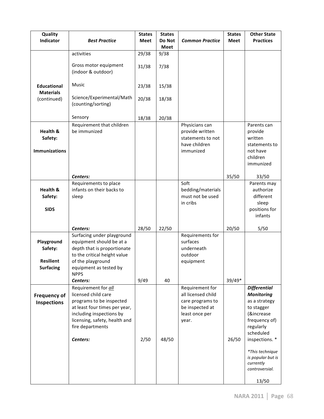| Quality                                                       |                                                                                                                                                                                                      | <b>States</b> | <b>States</b>  |                                                                                                         | <b>States</b> | <b>Other State</b>                                                                                                                                 |
|---------------------------------------------------------------|------------------------------------------------------------------------------------------------------------------------------------------------------------------------------------------------------|---------------|----------------|---------------------------------------------------------------------------------------------------------|---------------|----------------------------------------------------------------------------------------------------------------------------------------------------|
| Indicator                                                     | <b>Best Practice</b>                                                                                                                                                                                 | <b>Meet</b>   | Do Not<br>Meet | <b>Common Practice</b>                                                                                  | Meet          | <b>Practices</b>                                                                                                                                   |
|                                                               | activities                                                                                                                                                                                           | 29/38         | 9/38           |                                                                                                         |               |                                                                                                                                                    |
|                                                               | Gross motor equipment<br>(indoor & outdoor)                                                                                                                                                          | 31/38         | 7/38           |                                                                                                         |               |                                                                                                                                                    |
| <b>Educational</b>                                            | Music                                                                                                                                                                                                | 23/38         | 15/38          |                                                                                                         |               |                                                                                                                                                    |
| <b>Materials</b><br>(continued)                               | Science/Experimental/Math<br>(counting/sorting)                                                                                                                                                      | 20/38         | 18/38          |                                                                                                         |               |                                                                                                                                                    |
|                                                               | Sensory                                                                                                                                                                                              | 18/38         | 20/38          |                                                                                                         |               |                                                                                                                                                    |
| Health &<br>Safety:<br><b>Immunizations</b>                   | Requirement that children<br>be immunized                                                                                                                                                            |               |                | Physicians can<br>provide written<br>statements to not<br>have children<br>immunized                    |               | Parents can<br>provide<br>written<br>statements to<br>not have<br>children<br>immunized                                                            |
|                                                               | Centers:                                                                                                                                                                                             |               |                |                                                                                                         | 35/50         | 33/50                                                                                                                                              |
| Health &<br>Safety:<br><b>SIDS</b>                            | Requirements to place<br>infants on their backs to<br>sleep                                                                                                                                          |               |                | Soft<br>bedding/materials<br>must not be used<br>in cribs                                               |               | Parents may<br>authorize<br>different<br>sleep<br>positions for<br>infants                                                                         |
|                                                               | Centers:                                                                                                                                                                                             | 28/50         | 22/50          |                                                                                                         | 20/50         | 5/50                                                                                                                                               |
| Playground<br>Safety:<br><b>Resilient</b><br><b>Surfacing</b> | Surfacing under playground<br>equipment should be at a<br>depth that is proportionate<br>to the critical height value<br>of the playground<br>equipment as tested by<br><b>NPPS</b>                  |               |                | Requirements for<br>surfaces<br>underneath<br>outdoor<br>equipment                                      |               |                                                                                                                                                    |
|                                                               | Centers:                                                                                                                                                                                             | 9/49          | 40             |                                                                                                         | 39/49*        |                                                                                                                                                    |
| <b>Frequency of</b><br>Inspections                            | Requirement for all<br>licensed child care<br>programs to be inspected<br>at least four times per year,<br>including inspections by<br>licensing, safety, health and<br>fire departments<br>Centers: | 2/50          | 48/50          | Requirement for<br>all licensed child<br>care programs to<br>be inspected at<br>least once per<br>year. | 26/50         | <b>Differential</b><br><b>Monitoring</b><br>as a strategy<br>to stagger<br>(&increase<br>frequency of)<br>regularly<br>scheduled<br>inspections. * |
|                                                               |                                                                                                                                                                                                      |               |                |                                                                                                         |               | *This technique<br>is popular but is<br>currently<br>controversial.<br>13/50                                                                       |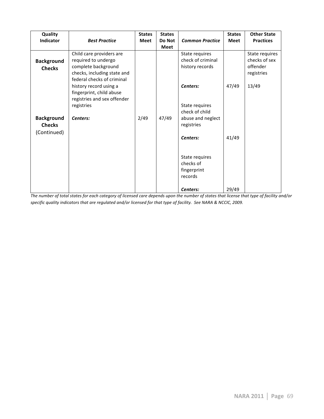| Quality           |                             | <b>States</b> | <b>States</b> |                        | <b>States</b> | <b>Other State</b> |
|-------------------|-----------------------------|---------------|---------------|------------------------|---------------|--------------------|
| <b>Indicator</b>  | <b>Best Practice</b>        | <b>Meet</b>   | Do Not        | <b>Common Practice</b> | <b>Meet</b>   | <b>Practices</b>   |
|                   |                             |               | <b>Meet</b>   |                        |               |                    |
|                   | Child care providers are    |               |               | State requires         |               | State requires     |
| <b>Background</b> | required to undergo         |               |               | check of criminal      |               | checks of sex      |
| <b>Checks</b>     | complete background         |               |               | history records        |               | offender           |
|                   | checks, including state and |               |               |                        |               | registries         |
|                   | federal checks of criminal  |               |               |                        |               |                    |
|                   | history record using a      |               |               | Centers:               | 47/49         | 13/49              |
|                   | fingerprint, child abuse    |               |               |                        |               |                    |
|                   | registries and sex offender |               |               |                        |               |                    |
|                   | registries                  |               |               | State requires         |               |                    |
|                   |                             |               |               | check of child         |               |                    |
| <b>Background</b> | Centers:                    | 2/49          | 47/49         | abuse and neglect      |               |                    |
| <b>Checks</b>     |                             |               |               | registries             |               |                    |
| (Continued)       |                             |               |               |                        |               |                    |
|                   |                             |               |               | Centers:               | 41/49         |                    |
|                   |                             |               |               |                        |               |                    |
|                   |                             |               |               |                        |               |                    |
|                   |                             |               |               | State requires         |               |                    |
|                   |                             |               |               | checks of              |               |                    |
|                   |                             |               |               | fingerprint            |               |                    |
|                   |                             |               |               | records                |               |                    |
|                   |                             |               |               | Centers:               | 29/49         |                    |

*The\$number\$of\$total\$states\$for\$each\$category\$of\$licensed\$care\$depends\$upon\$the\$number\$of\$states\$that\$license\$that\$type\$of\$facility\$and/or\$* specific quality indicators that are regulated and/or licensed for that type of facility. See NARA & NCCIC, 2009.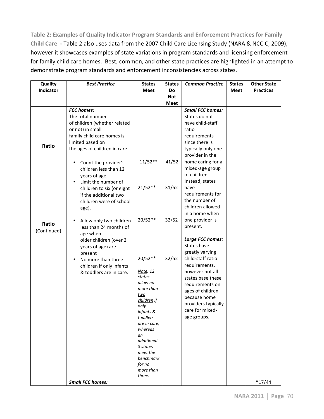Table 2: Examples of Quality Indicator Program Standards and Enforcement Practices for Family Child Care - Table 2 also uses data from the 2007 Child Care Licensing Study (NARA & NCCIC, 2009), however it showcases examples of state variations in program standards and licensing enforcement for family child care homes. Best, common, and other state practices are highlighted in an attempt to demonstrate program standards and enforcement inconsistencies across states.

| Quality     | <b>Best Practice</b>              | <b>States</b>      | <b>States</b> | <b>Common Practice</b>  | <b>States</b> | <b>Other State</b> |
|-------------|-----------------------------------|--------------------|---------------|-------------------------|---------------|--------------------|
| Indicator   |                                   | <b>Meet</b>        | Do            |                         | Meet          | <b>Practices</b>   |
|             |                                   |                    | <b>Not</b>    |                         |               |                    |
|             |                                   |                    | <b>Meet</b>   |                         |               |                    |
|             | <b>FCC</b> homes:                 |                    |               | <b>Small FCC homes:</b> |               |                    |
|             | The total number                  |                    |               | States do not           |               |                    |
|             | of children (whether related      |                    |               | have child-staff        |               |                    |
|             | or not) in small                  |                    |               | ratio                   |               |                    |
|             | family child care homes is        |                    |               | requirements            |               |                    |
| Ratio       | limited based on                  |                    |               | since there is          |               |                    |
|             | the ages of children in care.     |                    |               | typically only one      |               |                    |
|             |                                   |                    |               | provider in the         |               |                    |
|             | Count the provider's<br>$\bullet$ | $11/52**$          | 41/52         | home caring for a       |               |                    |
|             | children less than 12             |                    |               | mixed-age group         |               |                    |
|             | years of age                      |                    |               | of children.            |               |                    |
|             | Limit the number of               |                    |               | Instead, states         |               |                    |
|             | children to six (or eight         | $21/52**$          | 31/52         | have                    |               |                    |
|             | if the additional two             |                    |               | requirements for        |               |                    |
|             | children were of school           |                    |               | the number of           |               |                    |
|             | age).                             |                    |               | children allowed        |               |                    |
|             |                                   |                    |               | in a home when          |               |                    |
| Ratio       | Allow only two children           | $20/52**$          | 32/52         | one provider is         |               |                    |
| (Continued) | less than 24 months of            |                    |               | present.                |               |                    |
|             | age when                          |                    |               |                         |               |                    |
|             | older children (over 2            |                    |               | Large FCC homes:        |               |                    |
|             | years of age) are                 |                    |               | States have             |               |                    |
|             | present                           |                    |               | greatly varying         |               |                    |
|             | No more than three                | 20/52**            | 32/52         | child-staff ratio       |               |                    |
|             | children if only infants          |                    |               | requirements,           |               |                    |
|             | & toddlers are in care.           | Note: 12<br>states |               | however not all         |               |                    |
|             |                                   | allow no           |               | states base these       |               |                    |
|             |                                   | more than          |               | requirements on         |               |                    |
|             |                                   | two                |               | ages of children,       |               |                    |
|             |                                   | children if        |               | because home            |               |                    |
|             |                                   | only               |               | providers typically     |               |                    |
|             |                                   | infants &          |               | care for mixed-         |               |                    |
|             |                                   | toddlers           |               | age groups.             |               |                    |
|             |                                   | are in care,       |               |                         |               |                    |
|             |                                   | whereas<br>an      |               |                         |               |                    |
|             |                                   | additional         |               |                         |               |                    |
|             |                                   | 8 states           |               |                         |               |                    |
|             |                                   | meet the           |               |                         |               |                    |
|             |                                   | benchmark          |               |                         |               |                    |
|             |                                   | for no             |               |                         |               |                    |
|             |                                   | more than          |               |                         |               |                    |
|             |                                   | three.             |               |                         |               |                    |
|             | <b>Small FCC homes:</b>           |                    |               |                         |               | $*17/44$           |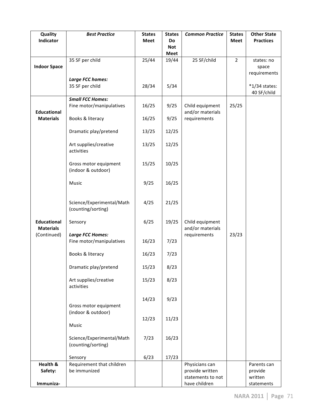| Quality                         | <b>Best Practice</b>                            | <b>States</b> | <b>States</b>    | <b>Common Practice</b>              | <b>States</b>  | <b>Other State</b> |
|---------------------------------|-------------------------------------------------|---------------|------------------|-------------------------------------|----------------|--------------------|
| Indicator                       |                                                 | Meet          | Do<br><b>Not</b> |                                     | <b>Meet</b>    | <b>Practices</b>   |
|                                 |                                                 |               | <b>Meet</b>      |                                     |                |                    |
|                                 | 35 SF per child                                 | 25/44         | 19/44            | 25 SF/child                         | $\overline{2}$ | states: no         |
| <b>Indoor Space</b>             |                                                 |               |                  |                                     |                | space              |
|                                 | Large FCC homes:                                |               |                  |                                     |                | requirements       |
|                                 | 35 SF per child                                 | 28/34         | 5/34             |                                     |                | *1/34 states:      |
|                                 |                                                 |               |                  |                                     |                | 40 SF/child        |
|                                 | <b>Small FCC Homes:</b>                         |               |                  |                                     |                |                    |
| <b>Educational</b>              | Fine motor/manipulatives                        | 16/25         | 9/25             | Child equipment<br>and/or materials | 25/25          |                    |
| <b>Materials</b>                | Books & literacy                                | 16/25         | 9/25             | requirements                        |                |                    |
|                                 |                                                 |               |                  |                                     |                |                    |
|                                 | Dramatic play/pretend                           | 13/25         | 12/25            |                                     |                |                    |
|                                 | Art supplies/creative                           | 13/25         | 12/25            |                                     |                |                    |
|                                 | activities                                      |               |                  |                                     |                |                    |
|                                 |                                                 |               |                  |                                     |                |                    |
|                                 | Gross motor equipment                           | 15/25         | 10/25            |                                     |                |                    |
|                                 | (indoor & outdoor)                              |               |                  |                                     |                |                    |
|                                 | Music                                           | 9/25          | 16/25            |                                     |                |                    |
|                                 |                                                 |               |                  |                                     |                |                    |
|                                 |                                                 |               |                  |                                     |                |                    |
|                                 | Science/Experimental/Math<br>(counting/sorting) | 4/25          | 21/25            |                                     |                |                    |
|                                 |                                                 |               |                  |                                     |                |                    |
| <b>Educational</b>              | Sensory                                         | 6/25          | 19/25            | Child equipment                     |                |                    |
| <b>Materials</b><br>(Continued) | <b>Large FCC Homes:</b>                         |               |                  | and/or materials<br>requirements    | 23/23          |                    |
|                                 | Fine motor/manipulatives                        | 16/23         | 7/23             |                                     |                |                    |
|                                 |                                                 |               |                  |                                     |                |                    |
|                                 | Books & literacy                                | 16/23         | 7/23             |                                     |                |                    |
|                                 | Dramatic play/pretend                           | 15/23         | 8/23             |                                     |                |                    |
|                                 |                                                 |               |                  |                                     |                |                    |
|                                 | Art supplies/creative                           | 15/23         | 8/23             |                                     |                |                    |
|                                 | activities                                      |               |                  |                                     |                |                    |
|                                 |                                                 | 14/23         | 9/23             |                                     |                |                    |
|                                 | Gross motor equipment                           |               |                  |                                     |                |                    |
|                                 | (indoor & outdoor)                              |               |                  |                                     |                |                    |
|                                 | Music                                           | 12/23         | 11/23            |                                     |                |                    |
|                                 |                                                 |               |                  |                                     |                |                    |
|                                 | Science/Experimental/Math                       | 7/23          | 16/23            |                                     |                |                    |
|                                 | (counting/sorting)                              |               |                  |                                     |                |                    |
|                                 | Sensory                                         | 6/23          | 17/23            |                                     |                |                    |
| Health &                        | Requirement that children                       |               |                  | Physicians can                      |                | Parents can        |
| Safety:                         | be immunized                                    |               |                  | provide written                     |                | provide            |
|                                 |                                                 |               |                  | statements to not                   |                | written            |
| Immuniza-                       |                                                 |               |                  | have children                       |                | statements         |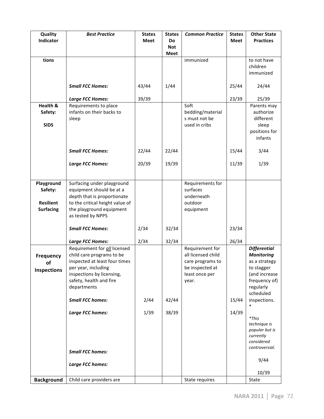| Quality            | <b>Best Practice</b>                                   | <b>States</b> | <b>States</b>    | <b>Common Practice</b>              | <b>States</b> | <b>Other State</b>          |
|--------------------|--------------------------------------------------------|---------------|------------------|-------------------------------------|---------------|-----------------------------|
| Indicator          |                                                        | <b>Meet</b>   | Do<br><b>Not</b> |                                     | <b>Meet</b>   | <b>Practices</b>            |
|                    |                                                        |               | <b>Meet</b>      |                                     |               |                             |
| tions              |                                                        |               |                  | immunized                           |               | to not have                 |
|                    |                                                        |               |                  |                                     |               | children                    |
|                    |                                                        |               |                  |                                     |               | immunized                   |
|                    | <b>Small FCC Homes:</b>                                | 43/44         | 1/44             |                                     | 25/44         | 24/44                       |
|                    |                                                        |               |                  |                                     |               |                             |
|                    | <b>Large FCC Homes:</b>                                | 39/39         |                  |                                     | 23/39         | 25/39                       |
| Health &           | Requirements to place                                  |               |                  | Soft                                |               | Parents may                 |
| Safety:            | infants on their backs to                              |               |                  | bedding/material                    |               | authorize                   |
| <b>SIDS</b>        | sleep                                                  |               |                  | s must not be<br>used in cribs      |               | different<br>sleep          |
|                    |                                                        |               |                  |                                     |               | positions for               |
|                    |                                                        |               |                  |                                     |               | infants                     |
|                    |                                                        |               |                  |                                     |               |                             |
|                    | <b>Small FCC Homes:</b>                                | 22/44         | 22/44            |                                     | 15/44         | 3/44                        |
|                    | <b>Large FCC Homes:</b>                                | 20/39         | 19/39            |                                     | 11/39         | 1/39                        |
|                    |                                                        |               |                  |                                     |               |                             |
|                    |                                                        |               |                  |                                     |               |                             |
| Playground         | Surfacing under playground<br>equipment should be at a |               |                  | Requirements for<br>surfaces        |               |                             |
| Safety:            | depth that is proportionate                            |               |                  | underneath                          |               |                             |
| <b>Resilient</b>   | to the critical height value of                        |               |                  | outdoor                             |               |                             |
| <b>Surfacing</b>   | the playground equipment                               |               |                  | equipment                           |               |                             |
|                    | as tested by NPPS                                      |               |                  |                                     |               |                             |
|                    | <b>Small FCC Homes:</b>                                | 2/34          | 32/34            |                                     | 23/34         |                             |
|                    |                                                        |               |                  |                                     |               |                             |
|                    | <b>Large FCC Homes:</b>                                | 2/34          | 32/34            |                                     | 26/34         |                             |
|                    | Requirement for all licensed                           |               |                  | Requirement for                     |               | <b>Differential</b>         |
| Frequency          | child care programs to be                              |               |                  | all licensed child                  |               | <b>Monitoring</b>           |
| of                 | inspected at least four times                          |               |                  | care programs to<br>be inspected at |               | as a strategy               |
| <b>Inspections</b> | per year, including<br>inspections by licensing,       |               |                  | least once per                      |               | to stagger<br>(and increase |
|                    | safety, health and fire                                |               |                  | year.                               |               | frequency of)               |
|                    | departments                                            |               |                  |                                     |               | regularly                   |
|                    |                                                        |               |                  |                                     |               | scheduled                   |
|                    | <b>Small FCC homes:</b>                                | 2/44          | 42/44            |                                     | 15/44         | inspections.<br>$\ast$      |
|                    | <b>Large FCC homes:</b>                                | 1/39          | 38/39            |                                     | 14/39         |                             |
|                    |                                                        |               |                  |                                     |               | $*$ This                    |
|                    |                                                        |               |                  |                                     |               | technique is                |
|                    |                                                        |               |                  |                                     |               | popular but is<br>currently |
|                    |                                                        |               |                  |                                     |               | considered                  |
|                    | <b>Small FCC homes:</b>                                |               |                  |                                     |               | controversial.              |
|                    |                                                        |               |                  |                                     |               | 9/44                        |
|                    | Large FCC homes:                                       |               |                  |                                     |               |                             |
|                    |                                                        |               |                  |                                     |               | 10/39                       |
| <b>Background</b>  | Child care providers are                               |               |                  | State requires                      |               | State                       |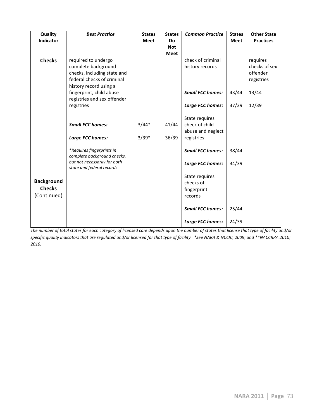| Quality           | <b>Best Practice</b>                                      | <b>States</b> | <b>States</b> | <b>Common Practice</b>  | <b>States</b> | <b>Other State</b> |
|-------------------|-----------------------------------------------------------|---------------|---------------|-------------------------|---------------|--------------------|
| <b>Indicator</b>  |                                                           | <b>Meet</b>   | <b>Do</b>     |                         | <b>Meet</b>   | <b>Practices</b>   |
|                   |                                                           |               | <b>Not</b>    |                         |               |                    |
|                   |                                                           |               | <b>Meet</b>   |                         |               |                    |
| <b>Checks</b>     | required to undergo                                       |               |               | check of criminal       |               | requires           |
|                   | complete background                                       |               |               | history records         |               | checks of sex      |
|                   | checks, including state and                               |               |               |                         |               | offender           |
|                   | federal checks of criminal                                |               |               |                         |               | registries         |
|                   | history record using a                                    |               |               |                         |               |                    |
|                   | fingerprint, child abuse                                  |               |               | <b>Small FCC homes:</b> | 43/44         | 13/44              |
|                   | registries and sex offender                               |               |               | Large FCC homes:        | 37/39         | 12/39              |
|                   | registries                                                |               |               |                         |               |                    |
|                   |                                                           |               |               | State requires          |               |                    |
|                   | <b>Small FCC homes:</b>                                   | $3/44*$       | 41/44         | check of child          |               |                    |
|                   |                                                           |               |               | abuse and neglect       |               |                    |
|                   | <b>Large FCC homes:</b>                                   | $3/39*$       | 36/39         | registries              |               |                    |
|                   |                                                           |               |               |                         |               |                    |
|                   | *Requires fingerprints in                                 |               |               | <b>Small FCC homes:</b> | 38/44         |                    |
|                   | complete background checks,                               |               |               |                         |               |                    |
|                   | but not necessarily for both<br>state and federal records |               |               | <b>Large FCC homes:</b> | 34/39         |                    |
|                   |                                                           |               |               | State requires          |               |                    |
| <b>Background</b> |                                                           |               |               | checks of               |               |                    |
| <b>Checks</b>     |                                                           |               |               | fingerprint             |               |                    |
| (Continued)       |                                                           |               |               | records                 |               |                    |
|                   |                                                           |               |               |                         |               |                    |
|                   |                                                           |               |               | <b>Small FCC homes:</b> | 25/44         |                    |
|                   |                                                           |               |               |                         |               |                    |
|                   |                                                           |               |               | Large FCC homes:        | 24/39         |                    |

The number of total states for each category of licensed care depends upon the number of states that license that type of facility and/or specific quality indicators that are regulated and/or licensed for that type of facility. \*See NARA & NCCIC, 2009; and \*\*NACCRRA 2010; *2010.*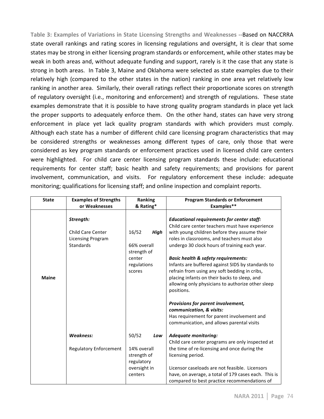Table 3: Examples of Variations in State Licensing Strengths and Weaknesses --Based on NACCRRA state overall rankings and rating scores in licensing regulations and oversight, it is clear that some states may be strong in either licensing program standards or enforcement, while other states may be weak in both areas and, without adequate funding and support, rarely is it the case that any state is strong in both areas. In Table 3, Maine and Oklahoma were selected as state examples due to their relatively high (compared to the other states in the nation) ranking in one area yet relatively low ranking in another area. Similarly, their overall ratings reflect their proportionate scores on strength of regulatory oversight (i.e., monitoring and enforcement) and strength of regulations. These state examples demonstrate that it is possible to have strong quality program standards in place yet lack the proper supports to adequately enforce them. On the other hand, states can have very strong enforcement in place yet lack quality program standards with which providers must comply. Although each state has a number of different child care licensing program characteristics that may be considered strengths or weaknesses among different types of care, only those that were considered as key program standards or enforcement practices used in licensed child care centers were highlighted. " For child care center licensing program standards these include: educational requirements for center staff; basic health and safety requirements; and provisions for parent involvement, communication, and visits. For regulatory enforcement these include: adequate monitoring; qualifications for licensing staff; and online inspection and complaint reports.

| <b>State</b> | <b>Examples of Strengths</b><br>or Weaknesses                                  | Ranking<br>& Rating*                                                                  | <b>Program Standards or Enforcement</b><br>Examples**                                                                                                                                                                                                                                                                                                                                                                                                                                                                           |
|--------------|--------------------------------------------------------------------------------|---------------------------------------------------------------------------------------|---------------------------------------------------------------------------------------------------------------------------------------------------------------------------------------------------------------------------------------------------------------------------------------------------------------------------------------------------------------------------------------------------------------------------------------------------------------------------------------------------------------------------------|
| <b>Maine</b> | Strength:<br><b>Child Care Center</b><br><b>Licensing Program</b><br>Standards | 16/52<br><b>High</b><br>66% overall<br>strength of<br>center<br>regulations<br>scores | <b>Educational requirements for center staff:</b><br>Child care center teachers must have experience<br>with young children before they assume their<br>roles in classrooms, and teachers must also<br>undergo 30 clock hours of training each year.<br><b>Basic health &amp; safety requirements:</b><br>Infants are buffered against SIDS by standards to<br>refrain from using any soft bedding in cribs,<br>placing infants on their backs to sleep, and<br>allowing only physicians to authorize other sleep<br>positions. |
|              |                                                                                |                                                                                       | Provisions for parent involvement,<br>communication, & visits:<br>Has requirement for parent involvement and<br>communication, and allows parental visits                                                                                                                                                                                                                                                                                                                                                                       |
|              | <b>Weakness:</b>                                                               | 50/52<br>Low                                                                          | <b>Adequate monitoring:</b><br>Child care center programs are only inspected at                                                                                                                                                                                                                                                                                                                                                                                                                                                 |
|              | <b>Regulatory Enforcement</b>                                                  | 14% overall<br>strength of<br>regulatory<br>oversight in                              | the time of re-licensing and once during the<br>licensing period.<br>Licensor caseloads are not feasible. Licensors                                                                                                                                                                                                                                                                                                                                                                                                             |
|              |                                                                                | centers                                                                               | have, on average, a total of 179 cases each. This is<br>compared to best practice recommendations of                                                                                                                                                                                                                                                                                                                                                                                                                            |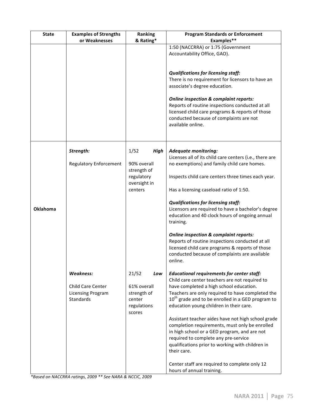| <b>State</b>    | <b>Examples of Strengths</b>  | Ranking                 |             | <b>Program Standards or Enforcement</b>                                              |
|-----------------|-------------------------------|-------------------------|-------------|--------------------------------------------------------------------------------------|
|                 | or Weaknesses                 | & Rating*               |             | Examples**                                                                           |
|                 |                               |                         |             | 1:50 (NACCRRA) or 1:75 (Government                                                   |
|                 |                               |                         |             | Accountability Office, GAO).                                                         |
|                 |                               |                         |             |                                                                                      |
|                 |                               |                         |             |                                                                                      |
|                 |                               |                         |             | <b>Qualifications for licensing staff:</b>                                           |
|                 |                               |                         |             | There is no requirement for licensors to have an                                     |
|                 |                               |                         |             | associate's degree education.                                                        |
|                 |                               |                         |             | <b>Online inspection &amp; complaint reports:</b>                                    |
|                 |                               |                         |             | Reports of routine inspections conducted at all                                      |
|                 |                               |                         |             | licensed child care programs & reports of those                                      |
|                 |                               |                         |             | conducted because of complaints are not                                              |
|                 |                               |                         |             | available online.                                                                    |
|                 |                               |                         |             |                                                                                      |
|                 |                               |                         |             |                                                                                      |
|                 |                               |                         |             |                                                                                      |
|                 | Strength:                     | 1/52                    | <b>High</b> | <b>Adequate monitoring:</b>                                                          |
|                 |                               |                         |             | Licenses all of its child care centers (i.e., there are                              |
|                 | <b>Regulatory Enforcement</b> | 90% overall             |             | no exemptions) and family child care homes.                                          |
|                 |                               | strength of             |             |                                                                                      |
|                 |                               | regulatory              |             | Inspects child care centers three times each year.                                   |
|                 |                               | oversight in<br>centers |             | Has a licensing caseload ratio of 1:50.                                              |
|                 |                               |                         |             |                                                                                      |
|                 |                               |                         |             | <b>Qualifications for licensing staff:</b>                                           |
| <b>Oklahoma</b> |                               |                         |             | Licensors are required to have a bachelor's degree                                   |
|                 |                               |                         |             | education and 40 clock hours of ongoing annual                                       |
|                 |                               |                         |             | training.                                                                            |
|                 |                               |                         |             |                                                                                      |
|                 |                               |                         |             | <b>Online inspection &amp; complaint reports:</b>                                    |
|                 |                               |                         |             | Reports of routine inspections conducted at all                                      |
|                 |                               |                         |             | licensed child care programs & reports of those                                      |
|                 |                               |                         |             | conducted because of complaints are available<br>online.                             |
|                 |                               |                         |             |                                                                                      |
|                 | <b>Weakness:</b>              | 21/52                   | Low         | <b>Educational requirements for center staff:</b>                                    |
|                 |                               |                         |             | Child care center teachers are not required to                                       |
|                 | Child Care Center             | 61% overall             |             | have completed a high school education.                                              |
|                 | <b>Licensing Program</b>      | strength of             |             | Teachers are only required to have completed the                                     |
|                 | Standards                     | center                  |             | $10th$ grade and to be enrolled in a GED program to                                  |
|                 |                               | regulations             |             | education young children in their care.                                              |
|                 |                               | scores                  |             |                                                                                      |
|                 |                               |                         |             | Assistant teacher aides have not high school grade                                   |
|                 |                               |                         |             | completion requirements, must only be enrolled                                       |
|                 |                               |                         |             | in high school or a GED program, and are not<br>required to complete any pre-service |
|                 |                               |                         |             | qualifications prior to working with children in                                     |
|                 |                               |                         |             | their care.                                                                          |
|                 |                               |                         |             |                                                                                      |
|                 |                               |                         |             | Center staff are required to complete only 12                                        |
|                 |                               |                         |             | hours of annual training.                                                            |

*\*Based\$on\$NACCRRA\$ratings,\$2009\$\*\*\$See\$NARA\$&\$NCCIC,\$2009*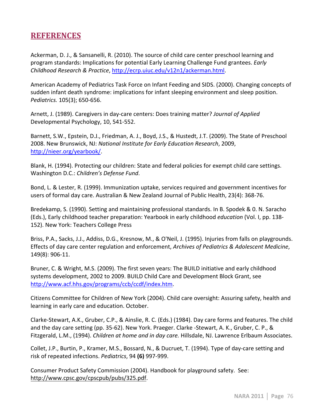## **REFERENCES**

Ackerman, D. J., & Sansanelli, R. (2010). The source of child care center preschool learning and program standards: Implications for potential Early Learning Challenge Fund grantees. *Early Childhood\$Research\$&\$Practice*,"http://ecrp.uiuc.edu/v12n1/ackerman.html.

American Academy of Pediatrics Task Force on Infant Feeding and SIDS. (2000). Changing concepts of sudden infant death syndrome: implications for infant sleeping environment and sleep position. *Pediatrics.* 105(3); 650-656.

Arnett, J. (1989). Caregivers in day-care centers: Does training matter? *Journal of Applied* Developmental Psychology, 10, 541-552.

Barnett, S.W., Epstein, D.J., Friedman, A. J., Boyd, J.S., & Hustedt, J.T. (2009). The State of Preschool 2008. New Brunswick, NJ: National Institute for Early Education Research, 2009, http://nieer.org/yearbook/.

Blank, H. (1994). Protecting our children: State and federal policies for exempt child care settings. Washington D.C.: Children's Defense Fund.

Bond, L. & Lester, R. (1999). Immunization uptake, services required and government incentives for users of formal day care. Australian & New Zealand Journal of Public Health, 23(4): 368-76.

Bredekamp, S. (1990). Setting and maintaining professional standards. In B. Spodek & 0. N. Saracho (Eds.), Early childhood teacher preparation: Yearbook in early childhood *education* (Vol. I, pp. 138-152). New York: Teachers College Press

Briss, P.A., Sacks, J.J., Addiss, D.G., Kresnow, M., & O'Neil, J. (1995). Injuries from falls on playgrounds. Effects of day care center regulation and enforcement, *Archives of Pediatrics & Adolescent Medicine*, 149(8): 906-11.

Bruner, C. & Wright, M.S. (2009). The first seven years: The BUILD initiative and early childhood systems development, 2002 to 2009. BUILD Child Care and Development Block Grant, see http://www.acf.hhs.gov/programs/ccb/ccdf/index.htm.

Citizens Committee for Children of New York (2004). Child care oversight: Assuring safety, health and learning in early care and education. October.

Clarke-Stewart, A.K., Gruber, C.P., & Ainslie, R. C. (Eds.) (1984). Day care forms and features. The child and the day care setting (pp. 35-62). New York. Praeger. Clarke -Stewart, A. K., Gruber, C. P., & Fitzgerald, L.M., (1994). *Children at home and in day care.* Hillsdale, NJ. Lawrence Erlbaum Associates.

Collet, J.P., Burtin, P., Kramer, M.S., Bossard, N., & Ducruet, T. (1994). Type of day-care setting and risk of repeated infections. *Pediatrics*, 94 (6) 997-999.

Consumer Product Safety Commission (2004). Handbook for playground safety. See: http://www.cpsc.gov/cpscpub/pubs/325.pdf.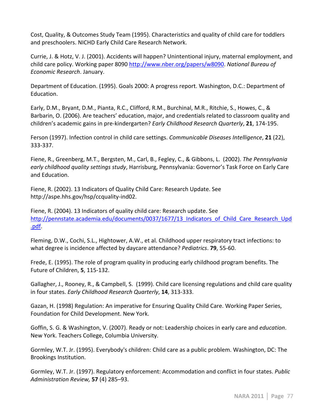Cost, Quality, & Outcomes Study Team (1995). Characteristics and quality of child care for toddlers and preschoolers. NICHD Early Child Care Research Network.

Currie, J. & Hotz, V. J. (2001). Accidents will happen? Unintentional injury, maternal employment, and child care policy. Working paper 8090 http://www.nber.org/papers/w8090. National Bureau of *Economic\$Research*."January.

Department of Education. (1995). Goals 2000: A progress report. Washington, D.C.: Department of Education.

Early, D.M., Bryant, D.M., Pianta, R.C., Clifford, R.M., Burchinal, M.R., Ritchie, S., Howes, C., & Barbarin, O. (2006). Are teachers' education, major, and credentials related to classroom quality and children's academic gains in pre-kindergarten? *Early Childhood Research Quarterly*, 21, 174-195.

Ferson (1997). Infection control in child care settings. *Communicable Diseases Intelligence*, 21 (22), 333-337.

Fiene, R., Greenberg, M.T., Bergsten, M., Carl, B., Fegley, C., & Gibbons, L. (2002). *The Pennsylvania* early childhood quality settings study, Harrisburg, Pennsylvania: Governor's Task Force on Early Care and Education.

Fiene, R. (2002). 13 Indicators of Quality Child Care: Research Update. See http://aspe.hhs.gov/hsp/ccquality-ind02.

Fiene, R. (2004). 13 Indicators of quality child care: Research update. See http://pennstate.academia.edu/documents/0037/1677/13 Indicators of Child Care Research Upd .pdf.

Fleming, D.W., Cochi, S.L., Hightower, A.W., et al. Childhood upper respiratory tract infections: to what degree is incidence affected by daycare attendance? *Pediatrics*. **79**, 55-60.

Frede, E. (1995). The role of program quality in producing early childhood program benefits. The Future of Children, **5**, 115-132.

Gallagher, J., Rooney, R., & Campbell, S. (1999). Child care licensing regulations and child care quality in four states. *Early Childhood Research Quarterly*, **14**, 313-333.

Gazan, H. (1998) Regulation: An imperative for Ensuring Quality Child Care. Working Paper Series, Foundation for Child Development. New York.

Goffin, S. G. & Washington, V. (2007). Ready or not: Leadership choices in early care and *education*. New York. Teachers College, Columbia University.

Gormley, W.T. Jr. (1995). Everybody's children: Child care as a public problem. Washington, DC: The Brookings Institution.

Gormley, W.T. Jr. (1997). Regulatory enforcement: Accommodation and conflict in four states. *Public Administration\$Review,* **57**"(4)"285–93.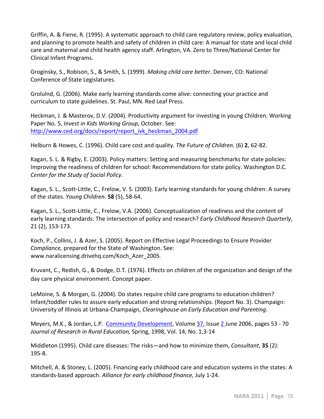Griffin, A. & Fiene, R. (1995). A systematic approach to child care regulatory review, policy evaluation, and planning to promote health and safety of children in child care: A manual for state and local child care and maternal and child health agency staff. Arlington, VA. Zero to Three/National Center for Clinical Infant Programs.

Groginsky, S., Robison, S., & Smith, S. (1999). *Making child care better*. Denver, CO: National Conference of State Legislatures.

Grolulnd, G. (2006). Make early learning standards come alive: connecting your practice and curriculum to state guidelines. St. Paul, MN. Red Leaf Press.

Heckman, J. & Masterov, D.V. (2004). Productivity argument for investing in young Children. Working Paper No. 5, *Invest in Kids Working Group*, October. See: http://www.ced.org/docs/report/report ivk heckman 2004.pdf

Helburn & Howes, C. (1996). Child care cost and quality. *The Future of Children.* (6) 2, 62-82.

Kagan, S. L. & Rigby, E. (2003). Policy matters: Setting and measuring benchmarks for state policies: Improving the readiness of children for school: Recommendations for state policy. Washington D.C. *Center for the Study of Social Policy.* 

Kagan, S. L., Scott-Little, C., Frelow, V. S. (2003). Early learning standards for young children: A survey of the states. *Young Children*. **58** (5), 58-64.

Kagan, S. L., Scott-Little, C., Frelow, V.A. (2006). Conceptualization of readiness and the content of early learning standards: The intersection of policy and research? *Early Childhood Research Quarterly*, 21 (2), 153-173.

Koch, P., Collins, J. & Azer, S. (2005). Report on Effective Legal Proceedings to Ensure Provider *Compliance,* prepared for the State of Washington. See: www.naralicensing.drivehq.com/Koch\_Azer\_2005.

Kruvant, C., Redish, G., & Dodge, D.T. (1976). Effects on children of the organization and design of the day care physical environment. Concept paper.

LeMoine, S. & Morgan, G. (2004). Do states require child care programs to education children? Infant/toddler rules to assure early education and strong relationships. (Report No. 3). Champaign: University of Illinois at Urbana-Champaign, *Clearinghouse on Early Education and Parenting*.

Meyers, M.K., & Jordan, L.P. Community Development, Volume 37, Issue 2 June 2006, pages 53 - 70 Journal of Research in Rural Education, Spring, 1998, Vol. 14, No. 1,3-14

Middleton (1995). Child care diseases: The risks—and how to minimize them, *Consultant*, **35** (2):  $195 - 8.$ 

Mitchell, A. & Stoney, L. (2005). Financing early childhood care and education systems in the states: A standards-based approach. Alliance for early childhood finance, July 1-24.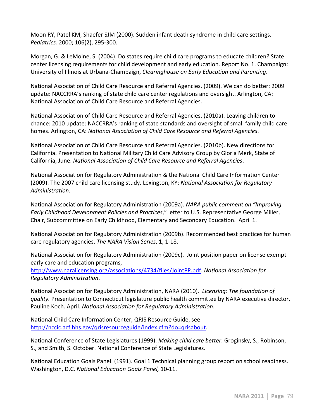Moon RY, Patel KM, Shaefer SJM (2000). Sudden infant death syndrome in child care settings. *Pediatrics.* 2000; 106(2), 295-300.

Morgan, G. & LeMoine, S. (2004). Do states require child care programs to educate children? State center licensing requirements for child development and early education. Report No. 1. Champaign: University of Illinois at Urbana-Champaign, *Clearinghouse on Early Education and Parenting*.

National Association of Child Care Resource and Referral Agencies. (2009). We can do better: 2009 update: NACCRRA's ranking of state child care center regulations and oversight. Arlington, CA: National Association of Child Care Resource and Referral Agencies.

National Association of Child Care Resource and Referral Agencies. (2010a). Leaving children to chance: 2010 update: NACCRRA's ranking of state standards and oversight of small family child care homes. Arlington, CA: National Association of Child Care Resource and Referral Agencies.

National Association of Child Care Resource and Referral Agencies. (2010b). New directions for California. Presentation to National Military Child Care Advisory Group by Gloria Merk, State of California, June. *National Association of Child Care Resource and Referral Agencies.* 

National Association for Regulatory Administration & the National Child Care Information Center (2009). The 2007 child care licensing study. Lexington, KY: National Association for Regulatory *Administration*.

National Association for Regulatory Administration (2009a). *NARA public comment on "Improving Early Childhood Development Policies and Practices,"* letter to U.S. Representative George Miller, Chair, Subcommittee on Early Childhood, Elementary and Secondary Education. April 1.

National Association for Regulatory Administration (2009b). Recommended best practices for human care regulatory agencies. The NARA Vision Series, 1, 1-18.

National Association for Regulatory Administration (2009c). Joint position paper on license exempt early care and education programs,

http://www.naralicensing.org/associations/4734/files/JointPP.pdf. National Association for *Regulatory\$Administration*.

National Association for Regulatory Administration, NARA (2010). *Licensing: The foundation of quality.* Presentation to Connecticut legislature public health committee by NARA executive director, Pauline Koch. April. *National Association for Regulatory Administration*.

National Child Care Information Center, QRIS Resource Guide, see http://nccic.acf.hhs.gov/qrisresourceguide/index.cfm?do=qrisabout.

National Conference of State Legislatures (1999). *Making child care better*. Groginsky, S., Robinson, S., and Smith, S. October. National Conference of State Legislatures.

National Education Goals Panel. (1991). Goal 1 Technical planning group report on school readiness. Washington, D.C. National Education Goals Panel, 10-11.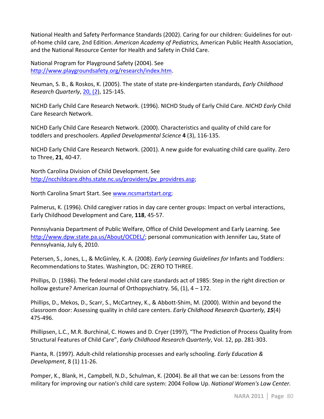National Health and Safety Performance Standards (2002). Caring for our children: Guidelines for outof-home child care, 2nd Edition. *American Academy of Pediatrics*, American Public Health Association, and the National Resource Center for Health and Safety in Child Care.

National Program for Playground Safety (2004). See http://www.playgroundsafety.org/research/index.htm.

Neuman, S. B., & Roskos, K. (2005). The state of state pre-kindergarten standards, *Early Childhood Research Quarterly, 20, (2), 125-145.* 

NICHD"Early"Child"Care"Research"Network. (1996). NICHD"Study"of"Early"Child"Care."*NICHD\$Early\$*Child" Care Research Network.

NICHD Early Child Care Research Network. (2000). Characteristics and quality of child care for toddlers and preschoolers. *Applied Developmental Science* **4** (3), 116-135.

NICHD Early Child Care Research Network. (2001). A new guide for evaluating child care quality. Zero to Three, **21**, 40-47.

North Carolina Division of Child Development. See http://ncchildcare.dhhs.state.nc.us/providers/pv\_providres.asp;

North Carolina Smart Start. See www.ncsmartstart.org;

Palmerus, K. (1996). Child caregiver ratios in day care center groups: Impact on verbal interactions, Early Childhood Development and Care, 118, 45-57.

Pennsylvania Department of Public Welfare, Office of Child Development and Early Learning. See http://www.dpw.state.pa.us/About/OCDEL/; personal communication with Jennifer Lau, State of Pennsylvania, July 6, 2010.

Petersen, S., Jones, L., & McGinley, K. A. (2008). *Early Learning Guidelines for Infants and Toddlers:* Recommendations to States. Washington, DC: ZERO TO THREE.

Phillips, D. (1986). The federal model child care standards act of 1985: Step in the right direction or hollow gesture? American Journal of Orthopsychiatry. 56, (1),  $4 - 172$ .

Phillips, D., Mekos, D., Scarr, S., McCartney, K., & Abbott-Shim, M. (2000). Within and beyond the classroom door: Assessing quality in child care centers. *Early Childhood Research Quarterly,* 15(4) 475-496.

Phillipsen, L.C., M.R. Burchinal, C. Howes and D. Cryer (1997), "The Prediction of Process Quality from Structural Features of Child Care", *Early Childhood Research Quarterly*, Vol. 12, pp. 281-303.

Pianta, R. (1997). Adult-child relationship processes and early schooling. *Early Education & Development*, 8 (1) 11-26.

Pomper, K., Blank, H., Campbell, N.D., Schulman, K. (2004). Be all that we can be: Lessons from the military for improving our nation's child care system: 2004 Follow Up. National Women's Law Center.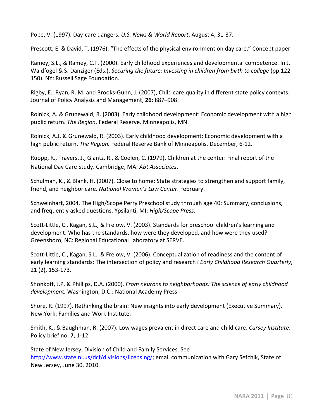Pope, V. (1997). Day-care dangers. U.S. News & World Report, August 4, 31-37.

Prescott, E. & David, T. (1976). "The effects of the physical environment on day care." Concept paper.

Ramey, S.L., & Ramey, C.T. (2000). Early childhood experiences and developmental competence. In J. Waldfogel & S. Danziger (Eds.), *Securing the future: Investing in children from birth to college* (pp.122-150). NY: Russell Sage Foundation.

Rigby, E., Ryan, R. M. and Brooks-Gunn, J. (2007), Child care quality in different state policy contexts. Journal"of"Policy"Analysis"and"Management,"**26**: 887–908."

Rolnick, A. & Grunewald, R. (2003). Early childhood development: Economic development with a high public return. The Region. Federal Reserve. Minneapolis, MN.

Rolnick, A.J. & Grunewald, R. (2003). Early childhood development: Economic development with a high public return. The Region. Federal Reserve Bank of Minneapolis. December, 6-12.

Ruopp, R., Travers, J., Glantz, R., & Coelen, C. (1979). Children at the center: Final report of the National Day Care Study. Cambridge, MA: Abt Associates.

Schulman, K., & Blank, H. (2007). Close to home: State strategies to strengthen and support family, friend, and neighbor care. National Women's Law Center. February.

Schweinhart, 2004. The High/Scope Perry Preschool study through age 40: Summary, conclusions, and frequently asked questions. Ypsilanti, MI: *High/Scope Press.* 

Scott-Little, C., Kagan, S.L., & Frelow, V. (2003). Standards for preschool children's learning and development: Who has the standards, how were they developed, and how were they used? Greensboro, NC: Regional Educational Laboratory at SERVE.

Scott-Little, C., Kagan, S.L., & Frelow, V. (2006). Conceptualization of readiness and the content of early learning standards: The intersection of policy and research? *Early Childhood Research Quarterly*, 21 (2), 153-173.

Shonkoff, J.P. & Phillips, D.A. (2000). *From neurons to neighborhoods: The science of early childhood development.* Washington, D.C.: National Academy Press.

Shore, R. (1997). Rethinking the brain: New insights into early development (Executive Summary). New York: Families and Work Institute.

Smith, K., & Baughman, R. (2007). Low wages prevalent in direct care and child care. *Carsey Institute*. Policy brief no. **7**, 1-12.

State of New Jersey, Division of Child and Family Services. See http://www.state.nj.us/dcf/divisions/licensing/; email communication with Gary Sefchik, State of New Jersey, June 30, 2010.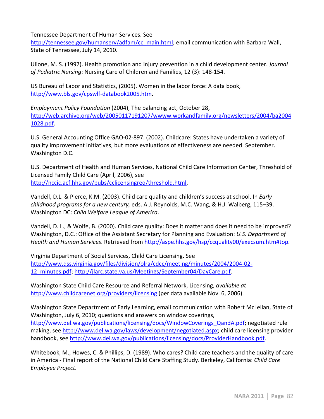Tennessee Department of Human Services. See

http://tennessee.gov/humanserv/adfam/cc\_main.html; email communication with Barbara Wall, State of Tennessee, July 14, 2010.

Ulione,"M."S."(1997)."Health"promotion"and"injury"prevention"in"a"child"development"center."*Journal\$* of Pediatric Nursing: Nursing Care of Children and Families, 12 (3): 148-154.

US Bureau of Labor and Statistics, (2005). Women in the labor force: A data book, http://www.bls.gov/cpswlf-databook2005.htm.

*Employment Policy Foundation* (2004), The balancing act, October 28, http://web.archive.org/web/20050117191207/wwww.workandfamily.org/newsletters/2004/ba2004 1028.pdf.

U.S. General Accounting Office GAO-02-897. (2002). Childcare: States have undertaken a variety of quality improvement initiatives, but more evaluations of effectiveness are needed. September. Washington D.C.

U.S. Department of Health and Human Services, National Child Care Information Center, Threshold of Licensed Family Child Care (April, 2006), see http://nccic.acf.hhs.gov/pubs/cclicensingreq/threshold.html.

Vandell, D.L. & Pierce, K.M. (2003). Child care quality and children's success at school. In *Early childhood programs for a new century, eds. A.J. Reynolds, M.C. Wang, & H.J. Walberg, 115–39.* Washington DC: Child Welfare League of America.

Vandell, D. L., & Wolfe, B. (2000). Child care quality: Does it matter and does it need to be improved? Washington, D.C.: Office of the Assistant Secretary for Planning and Evaluation: U.S. Department of *Health\$and\$Human\$Services*."Retrieved"from http://aspe.hhs.gov/hsp/ccquality00/execsum.htm#top.

Virginia Department of Social Services, Child Care Licensing. See http://www.dss.virginia.gov/files/division/olra/cdcc/meeting/minutes/2004/2004-02-12 minutes.pdf; http://jlarc.state.va.us/Meetings/September04/DayCare.pdf.

Washington State Child Care Resource and Referral Network, Licensing, *available at* http://www.childcarenet.org/providers/licensing (per data available Nov. 6, 2006).

Washington State Department of Early Learning, email communication with Robert McLellan, State of Washington, July 6, 2010; questions and answers on window coverings,

http://www.del.wa.gov/publications/licensing/docs/WindowCoverings\_QandA.pdf; negotiated rule making, see http://www.del.wa.gov/laws/development/negotiated.aspx; child care licensing provider handbook, see http://www.del.wa.gov/publications/licensing/docs/ProviderHandbook.pdf.

Whitebook, M., Howes, C. & Phillips, D. (1989). Who cares? Child care teachers and the quality of care in America - Final report of the National Child Care Staffing Study. Berkeley, California: *Child Care Employee\$Project*.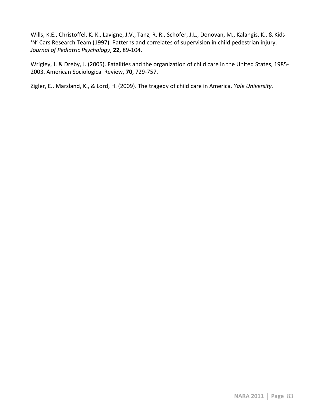Wills, K.E., Christoffel, K. K., Lavigne, J.V., Tanz, R. R., Schofer, J.L., Donovan, M., Kalangis, K., & Kids 'N' Cars Research Team (1997). Patterns and correlates of supervision in child pedestrian injury. *Journal of Pediatric Psychology*, 22, 89-104.

Wrigley, J. & Dreby, J. (2005). Fatalities and the organization of child care in the United States, 1985-2003. American Sociological Review, 70, 729-757.

Zigler, E., Marsland, K., & Lord, H. (2009). The tragedy of child care in America. *Yale University*.